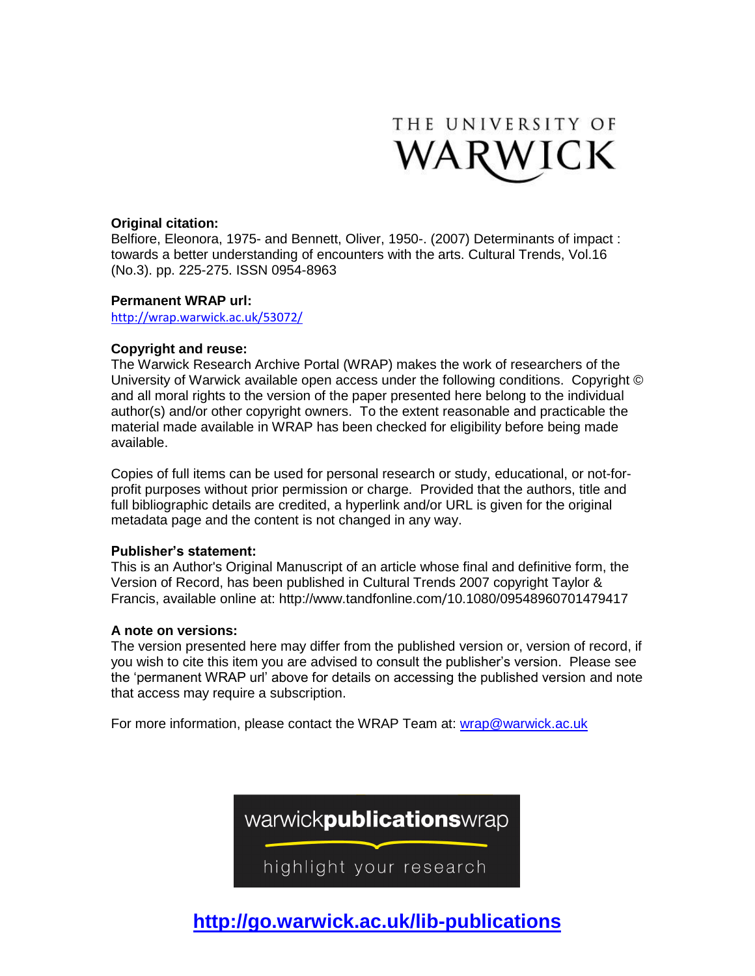

## **Original citation:**

Belfiore, Eleonora, 1975- and Bennett, Oliver, 1950-. (2007) Determinants of impact : towards a better understanding of encounters with the arts. Cultural Trends, Vol.16 (No.3). pp. 225-275. ISSN 0954-8963

#### **Permanent WRAP url:**

<http://wrap.warwick.ac.uk/53072/>

## **Copyright and reuse:**

The Warwick Research Archive Portal (WRAP) makes the work of researchers of the University of Warwick available open access under the following conditions. Copyright © and all moral rights to the version of the paper presented here belong to the individual author(s) and/or other copyright owners. To the extent reasonable and practicable the material made available in WRAP has been checked for eligibility before being made available.

Copies of full items can be used for personal research or study, educational, or not-forprofit purposes without prior permission or charge. Provided that the authors, title and full bibliographic details are credited, a hyperlink and/or URL is given for the original metadata page and the content is not changed in any way.

#### **Publisher's statement:**

This is an Author's Original Manuscript of an article whose final and definitive form, the Version of Record, has been published in Cultural Trends 2007 copyright Taylor & Francis, available online at: http://www.tandfonline.com/10.1080/09548960701479417

#### **A note on versions:**

The version presented here may differ from the published version or, version of record, if you wish to cite this item you are advised to consult the publisher's version. Please see the 'permanent WRAP url' above for details on accessing the published version and note that access may require a subscription.

For more information, please contact the WRAP Team at: [wrap@warwick.ac.uk](mailto:wrap@warwick.ac.uk)



**http://go.warwick.ac.uk/lib-publications**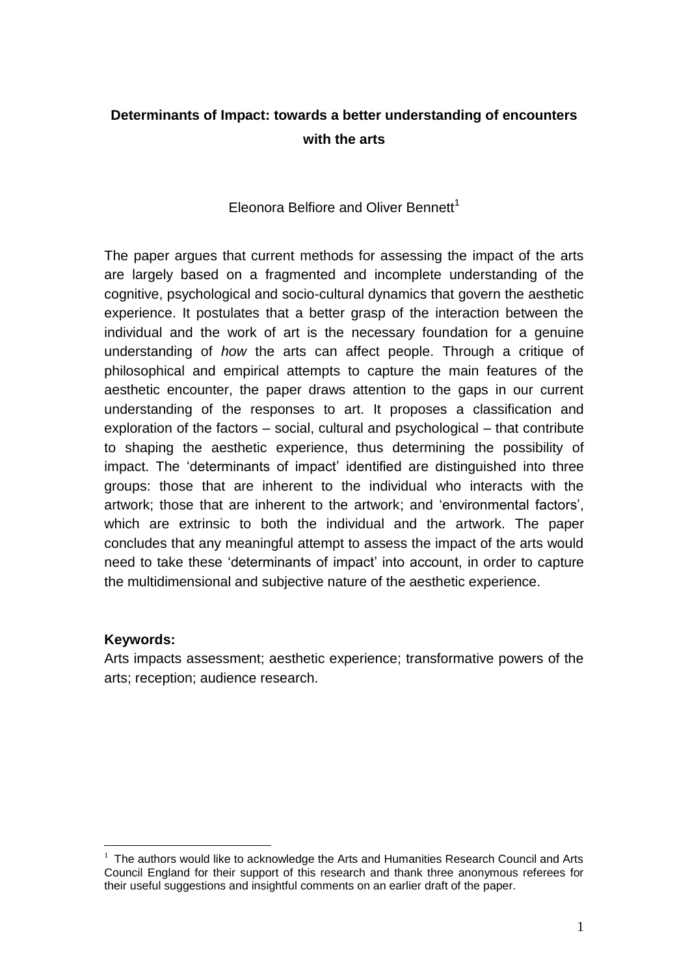# **Determinants of Impact: towards a better understanding of encounters with the arts**

# Eleonora Belfiore and Oliver Bennett<sup>1</sup>

The paper argues that current methods for assessing the impact of the arts are largely based on a fragmented and incomplete understanding of the cognitive, psychological and socio-cultural dynamics that govern the aesthetic experience. It postulates that a better grasp of the interaction between the individual and the work of art is the necessary foundation for a genuine understanding of *how* the arts can affect people. Through a critique of philosophical and empirical attempts to capture the main features of the aesthetic encounter, the paper draws attention to the gaps in our current understanding of the responses to art. It proposes a classification and exploration of the factors – social, cultural and psychological – that contribute to shaping the aesthetic experience, thus determining the possibility of impact. The 'determinants of impact' identified are distinguished into three groups: those that are inherent to the individual who interacts with the artwork; those that are inherent to the artwork; and 'environmental factors', which are extrinsic to both the individual and the artwork. The paper concludes that any meaningful attempt to assess the impact of the arts would need to take these 'determinants of impact' into account, in order to capture the multidimensional and subjective nature of the aesthetic experience.

# **Keywords:**

Arts impacts assessment; aesthetic experience; transformative powers of the arts; reception; audience research.

<sup>&</sup>lt;u>.</u>  $<sup>1</sup>$  The authors would like to acknowledge the Arts and Humanities Research Council and Arts</sup> Council England for their support of this research and thank three anonymous referees for their useful suggestions and insightful comments on an earlier draft of the paper.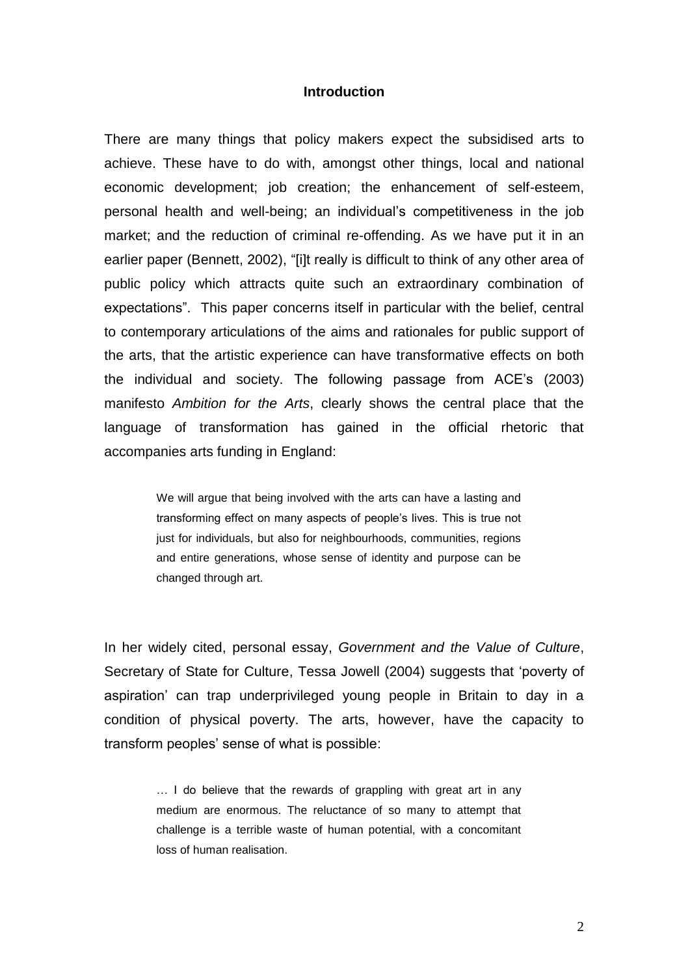#### **Introduction**

There are many things that policy makers expect the subsidised arts to achieve. These have to do with, amongst other things, local and national economic development; job creation; the enhancement of self-esteem, personal health and well-being; an individual's competitiveness in the job market; and the reduction of criminal re-offending. As we have put it in an earlier paper (Bennett, 2002), "[i]t really is difficult to think of any other area of public policy which attracts quite such an extraordinary combination of expectations". This paper concerns itself in particular with the belief, central to contemporary articulations of the aims and rationales for public support of the arts, that the artistic experience can have transformative effects on both the individual and society. The following passage from ACE's (2003) manifesto *Ambition for the Arts*, clearly shows the central place that the language of transformation has gained in the official rhetoric that accompanies arts funding in England:

> We will argue that being involved with the arts can have a lasting and transforming effect on many aspects of people's lives. This is true not just for individuals, but also for neighbourhoods, communities, regions and entire generations, whose sense of identity and purpose can be changed through art.

In her widely cited, personal essay, *Government and the Value of Culture*, Secretary of State for Culture, Tessa Jowell (2004) suggests that 'poverty of aspiration' can trap underprivileged young people in Britain to day in a condition of physical poverty. The arts, however, have the capacity to transform peoples' sense of what is possible:

> … I do believe that the rewards of grappling with great art in any medium are enormous. The reluctance of so many to attempt that challenge is a terrible waste of human potential, with a concomitant loss of human realisation.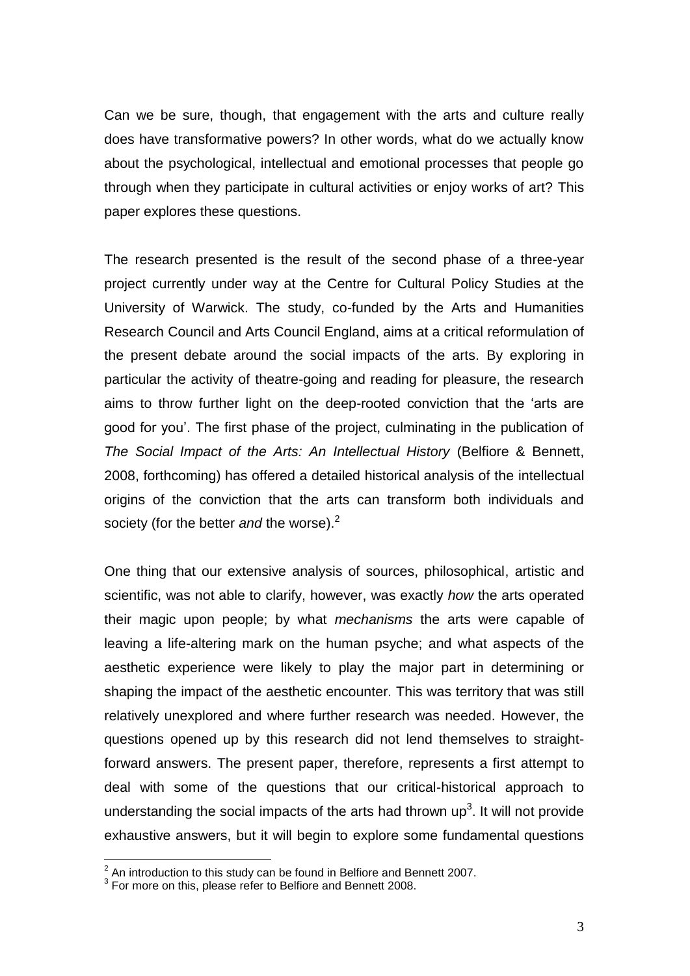Can we be sure, though, that engagement with the arts and culture really does have transformative powers? In other words, what do we actually know about the psychological, intellectual and emotional processes that people go through when they participate in cultural activities or enjoy works of art? This paper explores these questions.

The research presented is the result of the second phase of a three-year project currently under way at the Centre for Cultural Policy Studies at the University of Warwick. The study, co-funded by the Arts and Humanities Research Council and Arts Council England, aims at a critical reformulation of the present debate around the social impacts of the arts. By exploring in particular the activity of theatre-going and reading for pleasure, the research aims to throw further light on the deep-rooted conviction that the 'arts are good for you'. The first phase of the project, culminating in the publication of *The Social Impact of the Arts: An Intellectual History* (Belfiore & Bennett, 2008, forthcoming) has offered a detailed historical analysis of the intellectual origins of the conviction that the arts can transform both individuals and society (for the better *and* the worse).<sup>2</sup>

One thing that our extensive analysis of sources, philosophical, artistic and scientific, was not able to clarify, however, was exactly *how* the arts operated their magic upon people; by what *mechanisms* the arts were capable of leaving a life-altering mark on the human psyche; and what aspects of the aesthetic experience were likely to play the major part in determining or shaping the impact of the aesthetic encounter. This was territory that was still relatively unexplored and where further research was needed. However, the questions opened up by this research did not lend themselves to straightforward answers. The present paper, therefore, represents a first attempt to deal with some of the questions that our critical-historical approach to understanding the social impacts of the arts had thrown up<sup>3</sup>. It will not provide exhaustive answers, but it will begin to explore some fundamental questions

 2 An introduction to this study can be found in Belfiore and Bennett 2007.

<sup>&</sup>lt;sup>3</sup> For more on this, please refer to Belfiore and Bennett 2008.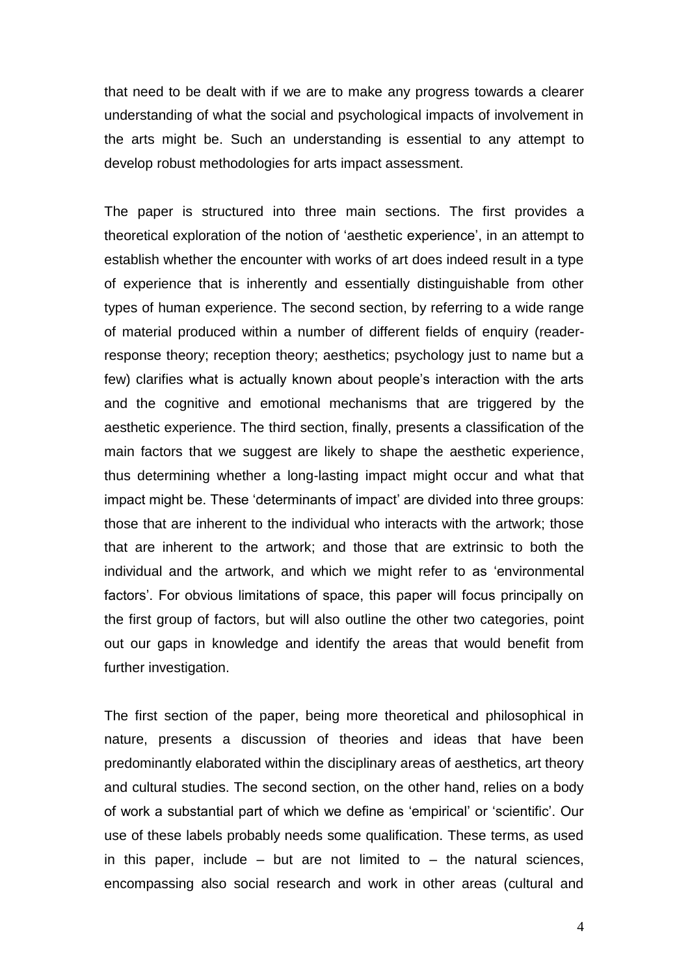that need to be dealt with if we are to make any progress towards a clearer understanding of what the social and psychological impacts of involvement in the arts might be. Such an understanding is essential to any attempt to develop robust methodologies for arts impact assessment.

The paper is structured into three main sections. The first provides a theoretical exploration of the notion of 'aesthetic experience', in an attempt to establish whether the encounter with works of art does indeed result in a type of experience that is inherently and essentially distinguishable from other types of human experience. The second section, by referring to a wide range of material produced within a number of different fields of enquiry (readerresponse theory; reception theory; aesthetics; psychology just to name but a few) clarifies what is actually known about people's interaction with the arts and the cognitive and emotional mechanisms that are triggered by the aesthetic experience. The third section, finally, presents a classification of the main factors that we suggest are likely to shape the aesthetic experience, thus determining whether a long-lasting impact might occur and what that impact might be. These 'determinants of impact' are divided into three groups: those that are inherent to the individual who interacts with the artwork; those that are inherent to the artwork; and those that are extrinsic to both the individual and the artwork, and which we might refer to as 'environmental factors'. For obvious limitations of space, this paper will focus principally on the first group of factors, but will also outline the other two categories, point out our gaps in knowledge and identify the areas that would benefit from further investigation.

The first section of the paper, being more theoretical and philosophical in nature, presents a discussion of theories and ideas that have been predominantly elaborated within the disciplinary areas of aesthetics, art theory and cultural studies. The second section, on the other hand, relies on a body of work a substantial part of which we define as 'empirical' or 'scientific'. Our use of these labels probably needs some qualification. These terms, as used in this paper, include – but are not limited to – the natural sciences, encompassing also social research and work in other areas (cultural and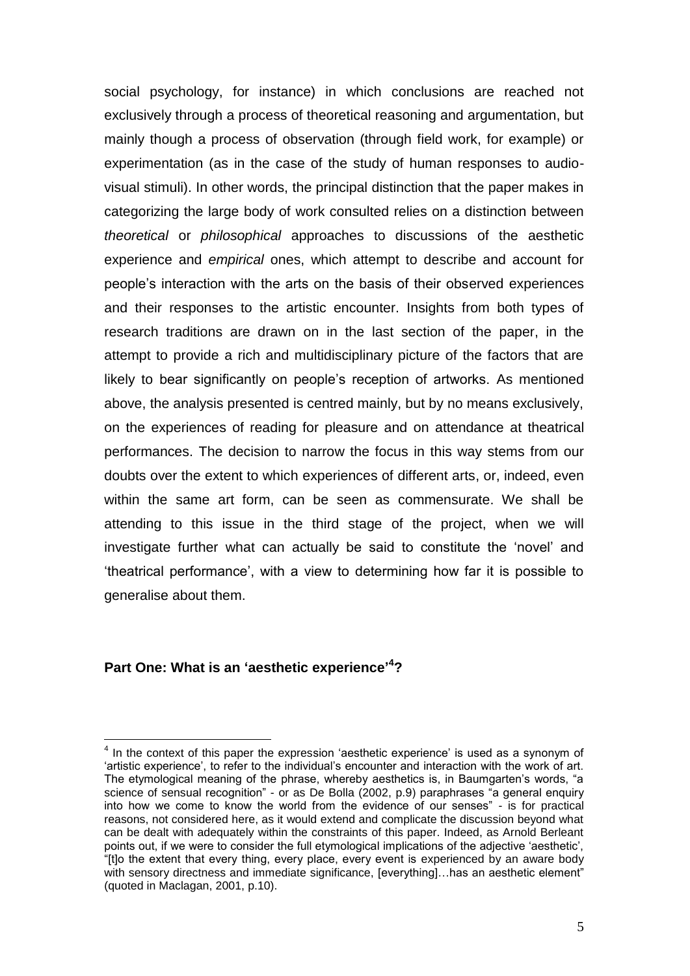social psychology, for instance) in which conclusions are reached not exclusively through a process of theoretical reasoning and argumentation, but mainly though a process of observation (through field work, for example) or experimentation (as in the case of the study of human responses to audiovisual stimuli). In other words, the principal distinction that the paper makes in categorizing the large body of work consulted relies on a distinction between *theoretical* or *philosophical* approaches to discussions of the aesthetic experience and *empirical* ones, which attempt to describe and account for people's interaction with the arts on the basis of their observed experiences and their responses to the artistic encounter. Insights from both types of research traditions are drawn on in the last section of the paper, in the attempt to provide a rich and multidisciplinary picture of the factors that are likely to bear significantly on people's reception of artworks. As mentioned above, the analysis presented is centred mainly, but by no means exclusively, on the experiences of reading for pleasure and on attendance at theatrical performances. The decision to narrow the focus in this way stems from our doubts over the extent to which experiences of different arts, or, indeed, even within the same art form, can be seen as commensurate. We shall be attending to this issue in the third stage of the project, when we will investigate further what can actually be said to constitute the 'novel' and 'theatrical performance', with a view to determining how far it is possible to generalise about them.

# **Part One: What is an 'aesthetic experience' 4 ?**

 $<sup>4</sup>$  In the context of this paper the expression 'aesthetic experience' is used as a synonym of</sup> 'artistic experience', to refer to the individual's encounter and interaction with the work of art. The etymological meaning of the phrase, whereby aesthetics is, in Baumgarten's words, "a science of sensual recognition" - or as De Bolla (2002, p.9) paraphrases "a general enquiry into how we come to know the world from the evidence of our senses" - is for practical reasons, not considered here, as it would extend and complicate the discussion beyond what can be dealt with adequately within the constraints of this paper. Indeed, as Arnold Berleant points out, if we were to consider the full etymological implications of the adjective 'aesthetic', "[t]o the extent that every thing, every place, every event is experienced by an aware body with sensory directness and immediate significance, [everything]...has an aesthetic element" (quoted in Maclagan, 2001, p.10).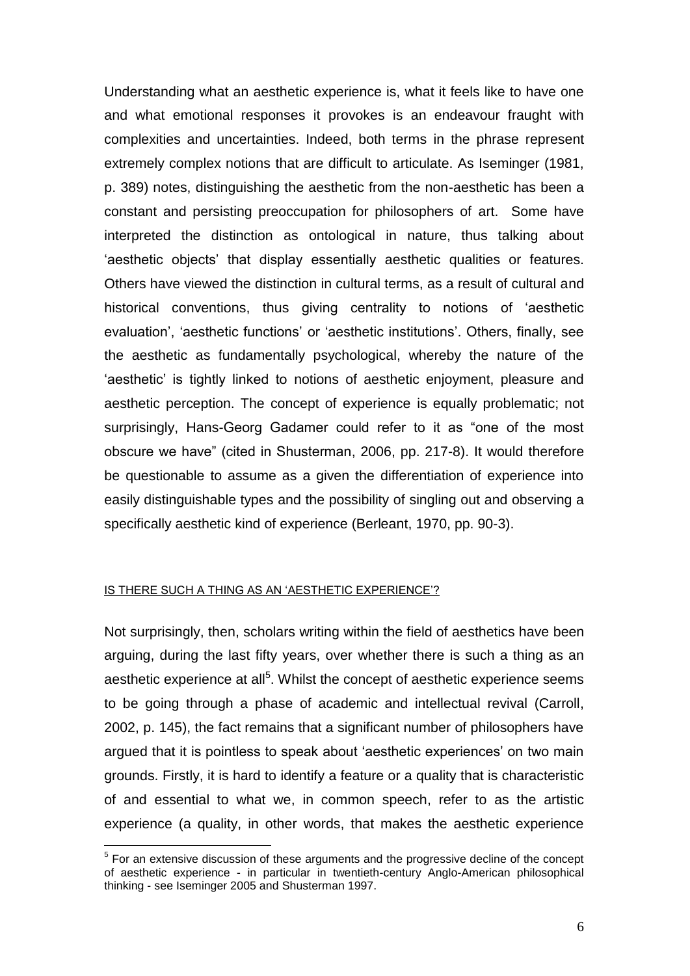Understanding what an aesthetic experience is, what it feels like to have one and what emotional responses it provokes is an endeavour fraught with complexities and uncertainties. Indeed, both terms in the phrase represent extremely complex notions that are difficult to articulate. As Iseminger (1981, p. 389) notes, distinguishing the aesthetic from the non-aesthetic has been a constant and persisting preoccupation for philosophers of art. Some have interpreted the distinction as ontological in nature, thus talking about 'aesthetic objects' that display essentially aesthetic qualities or features. Others have viewed the distinction in cultural terms, as a result of cultural and historical conventions, thus giving centrality to notions of 'aesthetic evaluation', 'aesthetic functions' or 'aesthetic institutions'. Others, finally, see the aesthetic as fundamentally psychological, whereby the nature of the 'aesthetic' is tightly linked to notions of aesthetic enjoyment, pleasure and aesthetic perception. The concept of experience is equally problematic; not surprisingly, Hans-Georg Gadamer could refer to it as "one of the most obscure we have" (cited in Shusterman, 2006, pp. 217-8). It would therefore be questionable to assume as a given the differentiation of experience into easily distinguishable types and the possibility of singling out and observing a specifically aesthetic kind of experience (Berleant, 1970, pp. 90-3).

## IS THERE SUCH A THING AS AN 'AESTHETIC EXPERIENCE'?

<u>.</u>

Not surprisingly, then, scholars writing within the field of aesthetics have been arguing, during the last fifty years, over whether there is such a thing as an aesthetic experience at all<sup>5</sup>. Whilst the concept of aesthetic experience seems to be going through a phase of academic and intellectual revival (Carroll, 2002, p. 145), the fact remains that a significant number of philosophers have argued that it is pointless to speak about 'aesthetic experiences' on two main grounds. Firstly, it is hard to identify a feature or a quality that is characteristic of and essential to what we, in common speech, refer to as the artistic experience (a quality, in other words, that makes the aesthetic experience

 $5$  For an extensive discussion of these arguments and the progressive decline of the concept of aesthetic experience - in particular in twentieth-century Anglo-American philosophical thinking - see Iseminger 2005 and Shusterman 1997.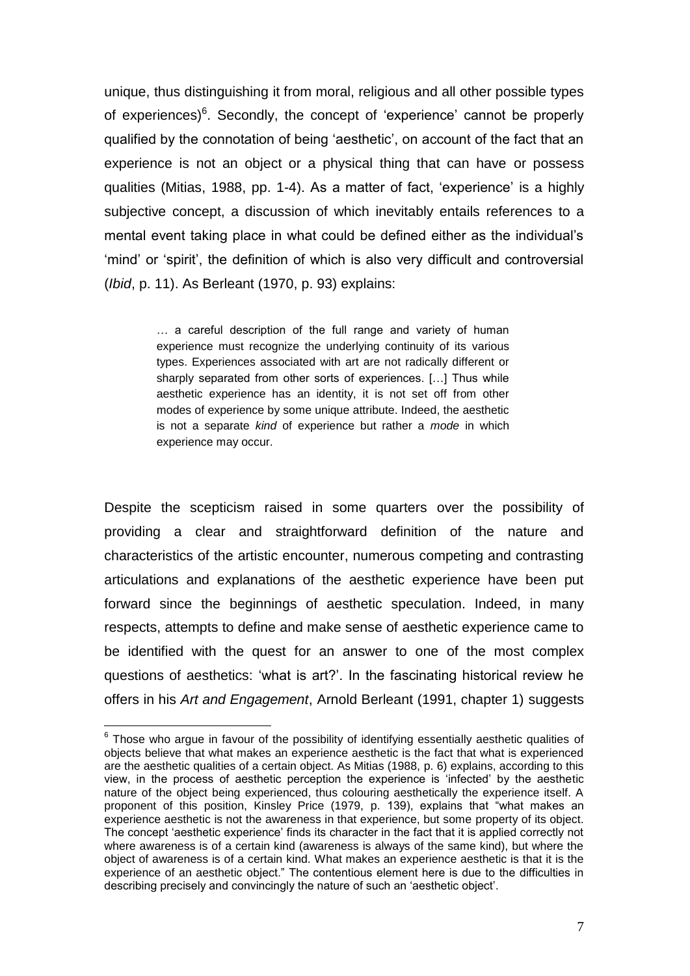unique, thus distinguishing it from moral, religious and all other possible types of experiences)<sup>6</sup>. Secondly, the concept of 'experience' cannot be properly qualified by the connotation of being 'aesthetic', on account of the fact that an experience is not an object or a physical thing that can have or possess qualities (Mitias, 1988, pp. 1-4). As a matter of fact, 'experience' is a highly subjective concept, a discussion of which inevitably entails references to a mental event taking place in what could be defined either as the individual's 'mind' or 'spirit', the definition of which is also very difficult and controversial (*Ibid*, p. 11). As Berleant (1970, p. 93) explains:

> … a careful description of the full range and variety of human experience must recognize the underlying continuity of its various types. Experiences associated with art are not radically different or sharply separated from other sorts of experiences. […] Thus while aesthetic experience has an identity, it is not set off from other modes of experience by some unique attribute. Indeed, the aesthetic is not a separate *kind* of experience but rather a *mode* in which experience may occur.

Despite the scepticism raised in some quarters over the possibility of providing a clear and straightforward definition of the nature and characteristics of the artistic encounter, numerous competing and contrasting articulations and explanations of the aesthetic experience have been put forward since the beginnings of aesthetic speculation. Indeed, in many respects, attempts to define and make sense of aesthetic experience came to be identified with the quest for an answer to one of the most complex questions of aesthetics: 'what is art?'. In the fascinating historical review he offers in his *Art and Engagement*, Arnold Berleant (1991, chapter 1) suggests

 $6$  Those who argue in favour of the possibility of identifying essentially aesthetic qualities of objects believe that what makes an experience aesthetic is the fact that what is experienced are the aesthetic qualities of a certain object. As Mitias (1988, p. 6) explains, according to this view, in the process of aesthetic perception the experience is 'infected' by the aesthetic nature of the object being experienced, thus colouring aesthetically the experience itself. A proponent of this position, Kinsley Price (1979, p. 139), explains that "what makes an experience aesthetic is not the awareness in that experience, but some property of its object. The concept 'aesthetic experience' finds its character in the fact that it is applied correctly not where awareness is of a certain kind (awareness is always of the same kind), but where the object of awareness is of a certain kind. What makes an experience aesthetic is that it is the experience of an aesthetic object." The contentious element here is due to the difficulties in describing precisely and convincingly the nature of such an 'aesthetic object'.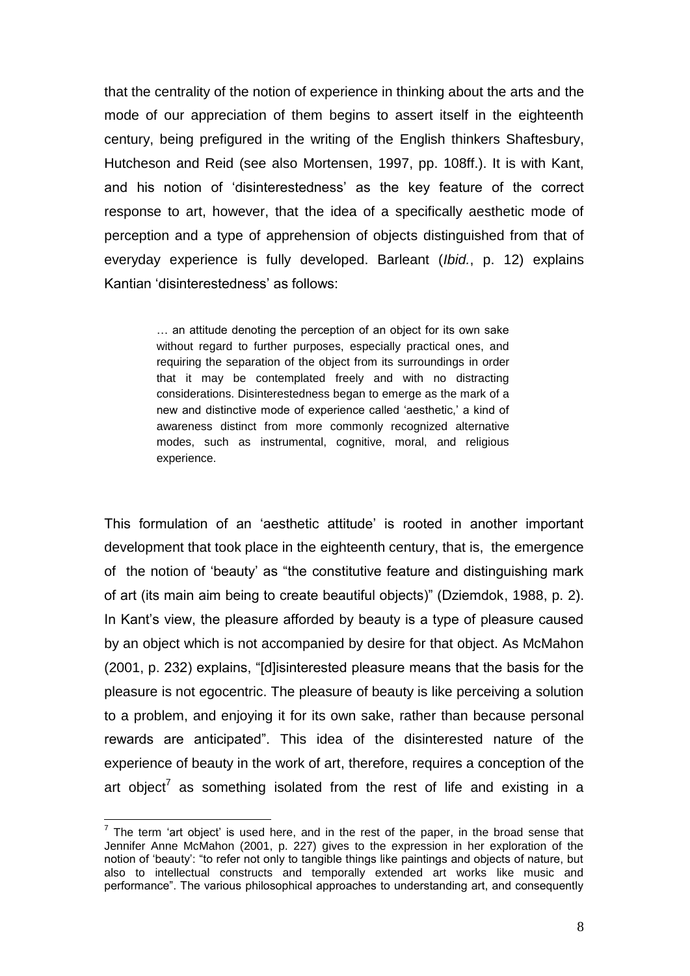that the centrality of the notion of experience in thinking about the arts and the mode of our appreciation of them begins to assert itself in the eighteenth century, being prefigured in the writing of the English thinkers Shaftesbury, Hutcheson and Reid (see also Mortensen, 1997, pp. 108ff.). It is with Kant, and his notion of 'disinterestedness' as the key feature of the correct response to art, however, that the idea of a specifically aesthetic mode of perception and a type of apprehension of objects distinguished from that of everyday experience is fully developed. Barleant (*Ibid.*, p. 12) explains Kantian 'disinterestedness' as follows:

> … an attitude denoting the perception of an object for its own sake without regard to further purposes, especially practical ones, and requiring the separation of the object from its surroundings in order that it may be contemplated freely and with no distracting considerations. Disinterestedness began to emerge as the mark of a new and distinctive mode of experience called 'aesthetic,' a kind of awareness distinct from more commonly recognized alternative modes, such as instrumental, cognitive, moral, and religious experience.

This formulation of an 'aesthetic attitude' is rooted in another important development that took place in the eighteenth century, that is, the emergence of the notion of 'beauty' as "the constitutive feature and distinguishing mark of art (its main aim being to create beautiful objects)" (Dziemdok, 1988, p. 2). In Kant's view, the pleasure afforded by beauty is a type of pleasure caused by an object which is not accompanied by desire for that object. As McMahon (2001, p. 232) explains, "[d]isinterested pleasure means that the basis for the pleasure is not egocentric. The pleasure of beauty is like perceiving a solution to a problem, and enjoying it for its own sake, rather than because personal rewards are anticipated". This idea of the disinterested nature of the experience of beauty in the work of art, therefore, requires a conception of the art object<sup>7</sup> as something isolated from the rest of life and existing in a

 $<sup>7</sup>$  The term 'art object' is used here, and in the rest of the paper, in the broad sense that</sup> Jennifer Anne McMahon (2001, p. 227) gives to the expression in her exploration of the notion of 'beauty': "to refer not only to tangible things like paintings and objects of nature, but also to intellectual constructs and temporally extended art works like music and performance". The various philosophical approaches to understanding art, and consequently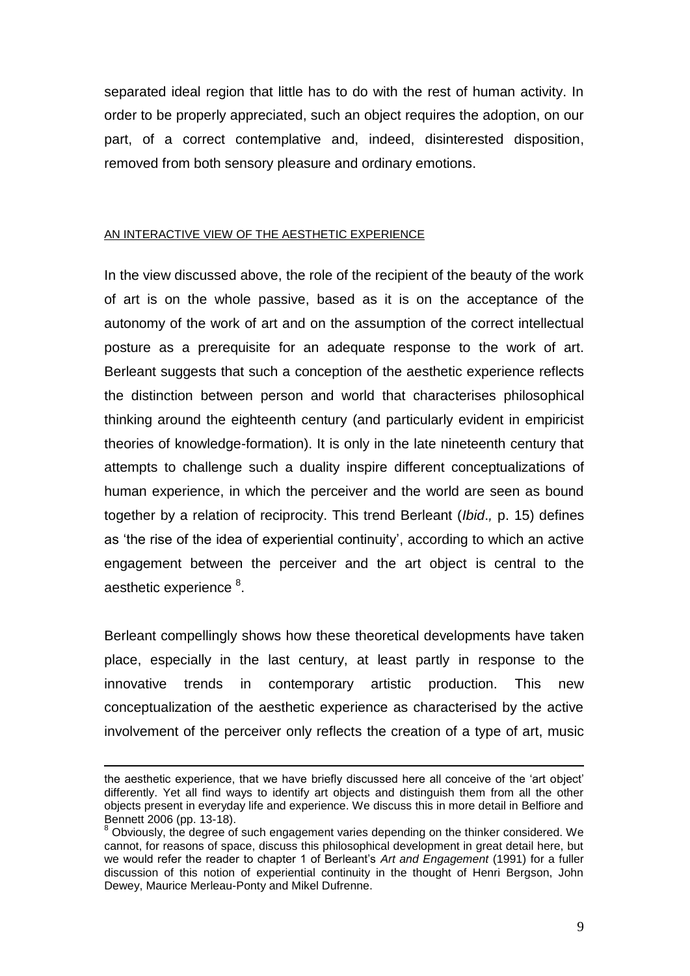separated ideal region that little has to do with the rest of human activity. In order to be properly appreciated, such an object requires the adoption, on our part, of a correct contemplative and, indeed, disinterested disposition, removed from both sensory pleasure and ordinary emotions.

#### AN INTERACTIVE VIEW OF THE AESTHETIC EXPERIENCE

In the view discussed above, the role of the recipient of the beauty of the work of art is on the whole passive, based as it is on the acceptance of the autonomy of the work of art and on the assumption of the correct intellectual posture as a prerequisite for an adequate response to the work of art. Berleant suggests that such a conception of the aesthetic experience reflects the distinction between person and world that characterises philosophical thinking around the eighteenth century (and particularly evident in empiricist theories of knowledge-formation). It is only in the late nineteenth century that attempts to challenge such a duality inspire different conceptualizations of human experience, in which the perceiver and the world are seen as bound together by a relation of reciprocity. This trend Berleant (*Ibid*.*,* p. 15) defines as 'the rise of the idea of experiential continuity', according to which an active engagement between the perceiver and the art object is central to the aesthetic experience <sup>8</sup>.

Berleant compellingly shows how these theoretical developments have taken place, especially in the last century, at least partly in response to the innovative trends in contemporary artistic production. This new conceptualization of the aesthetic experience as characterised by the active involvement of the perceiver only reflects the creation of a type of art, music

the aesthetic experience, that we have briefly discussed here all conceive of the 'art object' differently. Yet all find ways to identify art objects and distinguish them from all the other objects present in everyday life and experience. We discuss this in more detail in Belfiore and Bennett 2006 (pp. 13-18).

<sup>&</sup>lt;sup>8</sup> Obviously, the degree of such engagement varies depending on the thinker considered. We cannot, for reasons of space, discuss this philosophical development in great detail here, but we would refer the reader to chapter 1 of Berleant's *Art and Engagement* (1991) for a fuller discussion of this notion of experiential continuity in the thought of Henri Bergson, John Dewey, Maurice Merleau-Ponty and Mikel Dufrenne.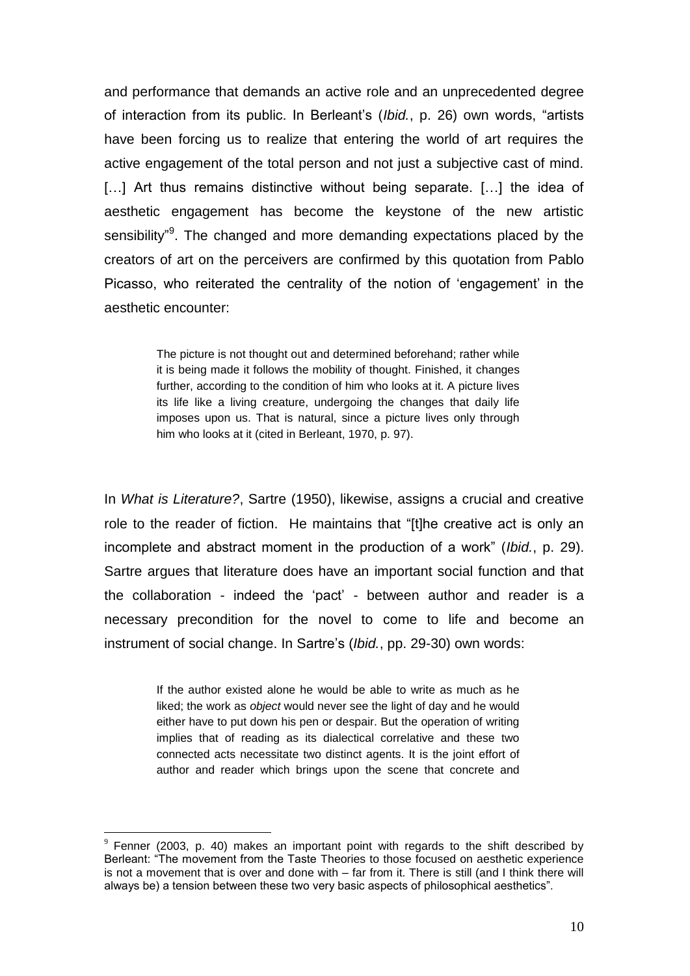and performance that demands an active role and an unprecedented degree of interaction from its public. In Berleant's (*Ibid.*, p. 26) own words, "artists have been forcing us to realize that entering the world of art requires the active engagement of the total person and not just a subjective cast of mind. [...] Art thus remains distinctive without being separate. [...] the idea of aesthetic engagement has become the keystone of the new artistic sensibility"<sup>9</sup>. The changed and more demanding expectations placed by the creators of art on the perceivers are confirmed by this quotation from Pablo Picasso, who reiterated the centrality of the notion of 'engagement' in the aesthetic encounter:

> The picture is not thought out and determined beforehand; rather while it is being made it follows the mobility of thought. Finished, it changes further, according to the condition of him who looks at it. A picture lives its life like a living creature, undergoing the changes that daily life imposes upon us. That is natural, since a picture lives only through him who looks at it (cited in Berleant, 1970, p. 97).

In *What is Literature?*, Sartre (1950), likewise, assigns a crucial and creative role to the reader of fiction. He maintains that "[t]he creative act is only an incomplete and abstract moment in the production of a work" (*Ibid.*, p. 29). Sartre argues that literature does have an important social function and that the collaboration - indeed the 'pact' - between author and reader is a necessary precondition for the novel to come to life and become an instrument of social change. In Sartre's (*Ibid.*, pp. 29-30) own words:

> If the author existed alone he would be able to write as much as he liked; the work as *object* would never see the light of day and he would either have to put down his pen or despair. But the operation of writing implies that of reading as its dialectical correlative and these two connected acts necessitate two distinct agents. It is the joint effort of author and reader which brings upon the scene that concrete and

 $9$  Fenner (2003, p. 40) makes an important point with regards to the shift described by Berleant: "The movement from the Taste Theories to those focused on aesthetic experience is not a movement that is over and done with – far from it. There is still (and I think there will always be) a tension between these two very basic aspects of philosophical aesthetics".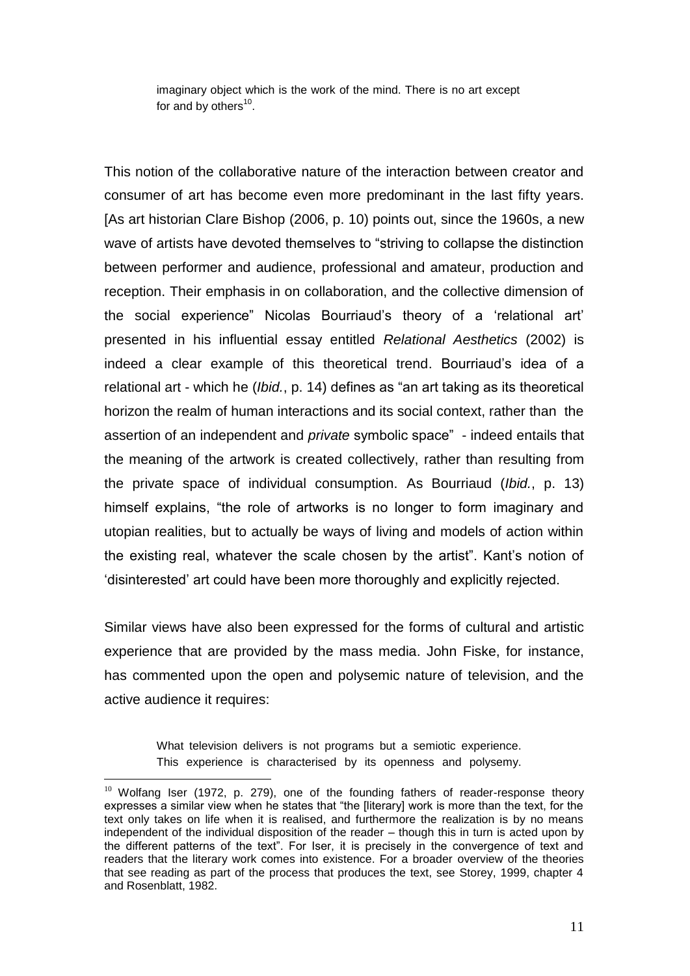imaginary object which is the work of the mind. There is no art except for and by others $^{10}$ .

This notion of the collaborative nature of the interaction between creator and consumer of art has become even more predominant in the last fifty years. [As art historian Clare Bishop (2006, p. 10) points out, since the 1960s, a new wave of artists have devoted themselves to "striving to collapse the distinction between performer and audience, professional and amateur, production and reception. Their emphasis in on collaboration, and the collective dimension of the social experience" Nicolas Bourriaud's theory of a 'relational art' presented in his influential essay entitled *Relational Aesthetics* (2002) is indeed a clear example of this theoretical trend. Bourriaud's idea of a relational art - which he (*Ibid.*, p. 14) defines as "an art taking as its theoretical horizon the realm of human interactions and its social context, rather than the assertion of an independent and *private* symbolic space" - indeed entails that the meaning of the artwork is created collectively, rather than resulting from the private space of individual consumption. As Bourriaud (*Ibid.*, p. 13) himself explains, "the role of artworks is no longer to form imaginary and utopian realities, but to actually be ways of living and models of action within the existing real, whatever the scale chosen by the artist". Kant's notion of 'disinterested' art could have been more thoroughly and explicitly rejected.

Similar views have also been expressed for the forms of cultural and artistic experience that are provided by the mass media. John Fiske, for instance, has commented upon the open and polysemic nature of television, and the active audience it requires:

> What television delivers is not programs but a semiotic experience. This experience is characterised by its openness and polysemy.

 $10$  Wolfang Iser (1972, p. 279), one of the founding fathers of reader-response theory expresses a similar view when he states that "the [literary] work is more than the text, for the text only takes on life when it is realised, and furthermore the realization is by no means independent of the individual disposition of the reader – though this in turn is acted upon by the different patterns of the text". For Iser, it is precisely in the convergence of text and readers that the literary work comes into existence. For a broader overview of the theories that see reading as part of the process that produces the text, see Storey, 1999, chapter 4 and Rosenblatt, 1982.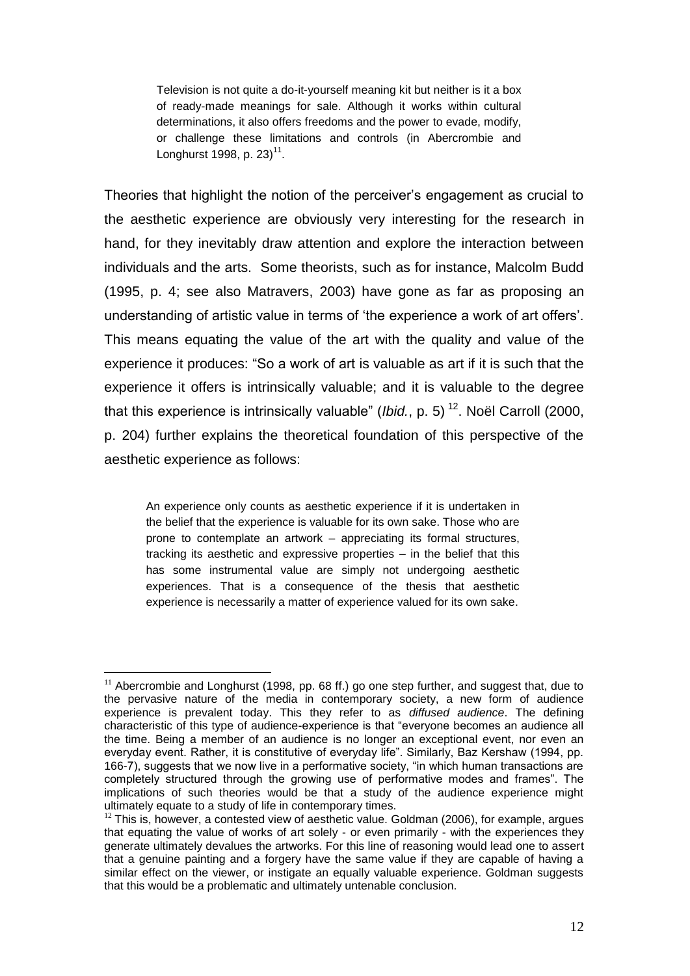Television is not quite a do-it-yourself meaning kit but neither is it a box of ready-made meanings for sale. Although it works within cultural determinations, it also offers freedoms and the power to evade, modify, or challenge these limitations and controls (in Abercrombie and Longhurst 1998, p. 23) $^{11}$ .

Theories that highlight the notion of the perceiver's engagement as crucial to the aesthetic experience are obviously very interesting for the research in hand, for they inevitably draw attention and explore the interaction between individuals and the arts. Some theorists, such as for instance, Malcolm Budd (1995, p. 4; see also Matravers, 2003) have gone as far as proposing an understanding of artistic value in terms of 'the experience a work of art offers'. This means equating the value of the art with the quality and value of the experience it produces: "So a work of art is valuable as art if it is such that the experience it offers is intrinsically valuable; and it is valuable to the degree that this experience is intrinsically valuable" (*Ibid.*, p. 5)<sup>12</sup>. Noël Carroll (2000, p. 204) further explains the theoretical foundation of this perspective of the aesthetic experience as follows:

An experience only counts as aesthetic experience if it is undertaken in the belief that the experience is valuable for its own sake. Those who are prone to contemplate an artwork – appreciating its formal structures, tracking its aesthetic and expressive properties – in the belief that this has some instrumental value are simply not undergoing aesthetic experiences. That is a consequence of the thesis that aesthetic experience is necessarily a matter of experience valued for its own sake.

 $11$  Abercrombie and Longhurst (1998, pp. 68 ff.) go one step further, and suggest that, due to the pervasive nature of the media in contemporary society, a new form of audience experience is prevalent today. This they refer to as *diffused audience*. The defining characteristic of this type of audience-experience is that "everyone becomes an audience all the time. Being a member of an audience is no longer an exceptional event, nor even an everyday event. Rather, it is constitutive of everyday life". Similarly, Baz Kershaw (1994, pp. 166-7), suggests that we now live in a performative society, "in which human transactions are completely structured through the growing use of performative modes and frames". The implications of such theories would be that a study of the audience experience might ultimately equate to a study of life in contemporary times.

 $12$  This is, however, a contested view of aesthetic value. Goldman (2006), for example, argues that equating the value of works of art solely - or even primarily - with the experiences they generate ultimately devalues the artworks. For this line of reasoning would lead one to assert that a genuine painting and a forgery have the same value if they are capable of having a similar effect on the viewer, or instigate an equally valuable experience. Goldman suggests that this would be a problematic and ultimately untenable conclusion.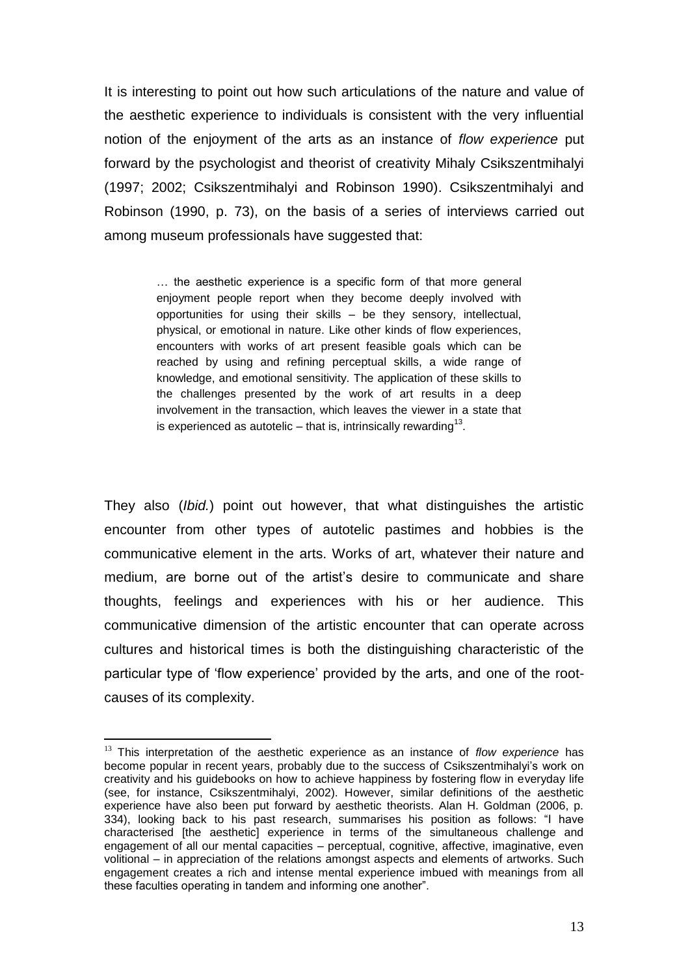It is interesting to point out how such articulations of the nature and value of the aesthetic experience to individuals is consistent with the very influential notion of the enjoyment of the arts as an instance of *flow experience* put forward by the psychologist and theorist of creativity Mihaly Csikszentmihalyi (1997; 2002; Csikszentmihalyi and Robinson 1990). Csikszentmihalyi and Robinson (1990, p. 73), on the basis of a series of interviews carried out among museum professionals have suggested that:

> … the aesthetic experience is a specific form of that more general enjoyment people report when they become deeply involved with opportunities for using their skills – be they sensory, intellectual, physical, or emotional in nature. Like other kinds of flow experiences, encounters with works of art present feasible goals which can be reached by using and refining perceptual skills, a wide range of knowledge, and emotional sensitivity. The application of these skills to the challenges presented by the work of art results in a deep involvement in the transaction, which leaves the viewer in a state that is experienced as autotelic – that is, intrinsically rewarding<sup>13</sup>.

They also (*Ibid.*) point out however, that what distinguishes the artistic encounter from other types of autotelic pastimes and hobbies is the communicative element in the arts. Works of art, whatever their nature and medium, are borne out of the artist's desire to communicate and share thoughts, feelings and experiences with his or her audience. This communicative dimension of the artistic encounter that can operate across cultures and historical times is both the distinguishing characteristic of the particular type of 'flow experience' provided by the arts, and one of the rootcauses of its complexity.

<sup>&</sup>lt;sup>13</sup> This interpretation of the aesthetic experience as an instance of *flow experience* has become popular in recent years, probably due to the success of Csikszentmihalyi's work on creativity and his guidebooks on how to achieve happiness by fostering flow in everyday life (see, for instance, Csikszentmihalyi, 2002). However, similar definitions of the aesthetic experience have also been put forward by aesthetic theorists. Alan H. Goldman (2006, p. 334), looking back to his past research, summarises his position as follows; "I have characterised [the aesthetic] experience in terms of the simultaneous challenge and engagement of all our mental capacities – perceptual, cognitive, affective, imaginative, even volitional – in appreciation of the relations amongst aspects and elements of artworks. Such engagement creates a rich and intense mental experience imbued with meanings from all these faculties operating in tandem and informing one another".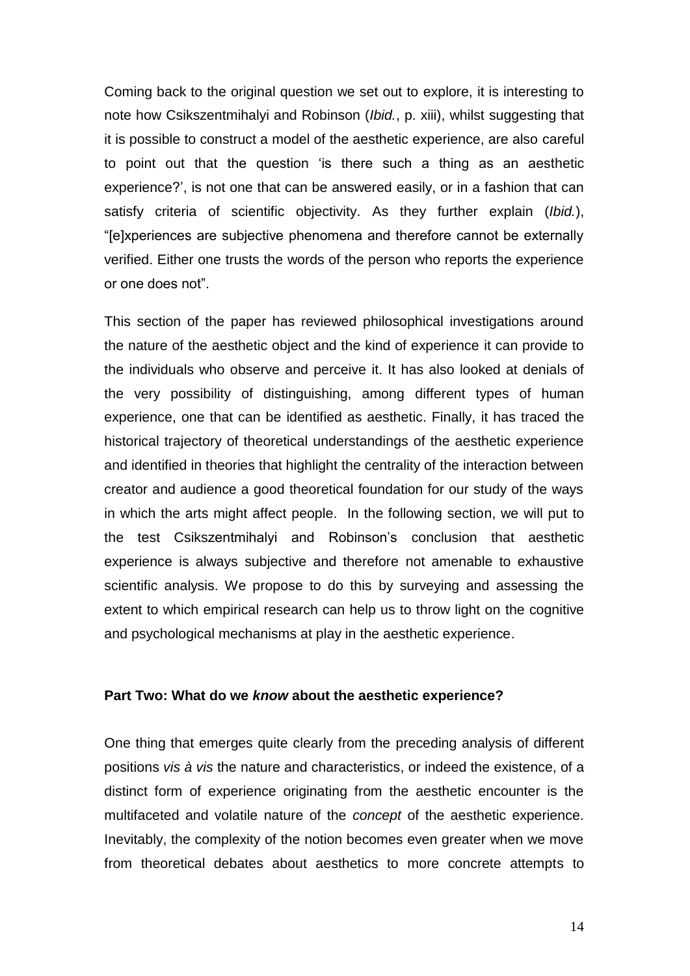Coming back to the original question we set out to explore, it is interesting to note how Csikszentmihalyi and Robinson (*Ibid.*, p. xiii), whilst suggesting that it is possible to construct a model of the aesthetic experience, are also careful to point out that the question 'is there such a thing as an aesthetic experience?', is not one that can be answered easily, or in a fashion that can satisfy criteria of scientific objectivity. As they further explain (*Ibid.*), "[e]xperiences are subjective phenomena and therefore cannot be externally verified. Either one trusts the words of the person who reports the experience or one does not".

This section of the paper has reviewed philosophical investigations around the nature of the aesthetic object and the kind of experience it can provide to the individuals who observe and perceive it. It has also looked at denials of the very possibility of distinguishing, among different types of human experience, one that can be identified as aesthetic. Finally, it has traced the historical trajectory of theoretical understandings of the aesthetic experience and identified in theories that highlight the centrality of the interaction between creator and audience a good theoretical foundation for our study of the ways in which the arts might affect people. In the following section, we will put to the test Csikszentmihalyi and Robinson's conclusion that aesthetic experience is always subjective and therefore not amenable to exhaustive scientific analysis. We propose to do this by surveying and assessing the extent to which empirical research can help us to throw light on the cognitive and psychological mechanisms at play in the aesthetic experience.

## **Part Two: What do we** *know* **about the aesthetic experience?**

One thing that emerges quite clearly from the preceding analysis of different positions *vis à vis* the nature and characteristics, or indeed the existence, of a distinct form of experience originating from the aesthetic encounter is the multifaceted and volatile nature of the *concept* of the aesthetic experience. Inevitably, the complexity of the notion becomes even greater when we move from theoretical debates about aesthetics to more concrete attempts to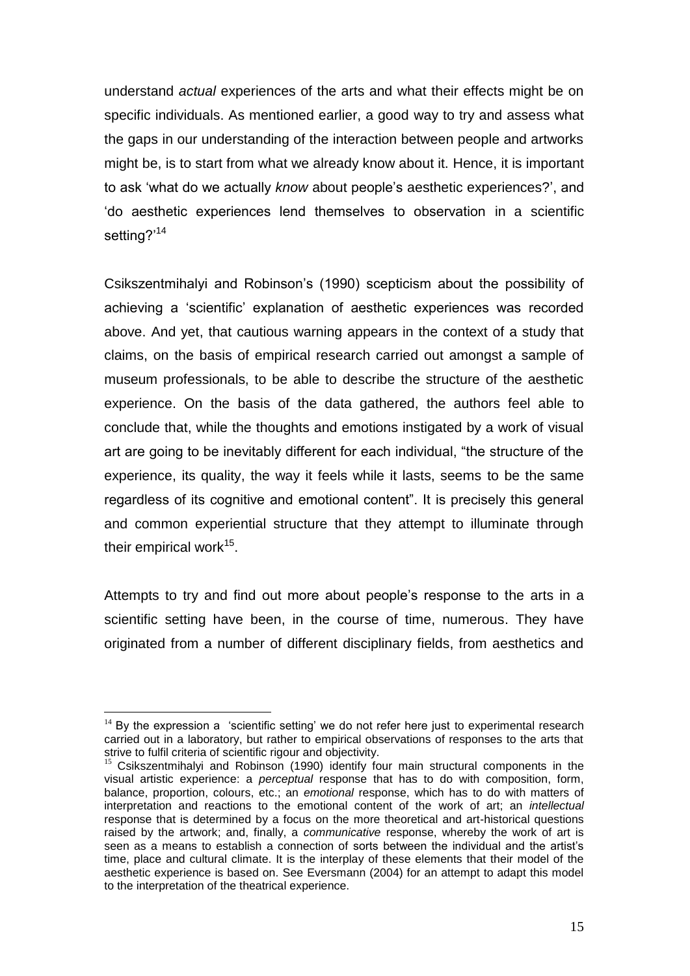understand *actual* experiences of the arts and what their effects might be on specific individuals. As mentioned earlier, a good way to try and assess what the gaps in our understanding of the interaction between people and artworks might be, is to start from what we already know about it. Hence, it is important to ask 'what do we actually *know* about people's aesthetic experiences?', and 'do aesthetic experiences lend themselves to observation in a scientific setting?'<sup>14</sup>

Csikszentmihalyi and Robinson's (1990) scepticism about the possibility of achieving a 'scientific' explanation of aesthetic experiences was recorded above. And yet, that cautious warning appears in the context of a study that claims, on the basis of empirical research carried out amongst a sample of museum professionals, to be able to describe the structure of the aesthetic experience. On the basis of the data gathered, the authors feel able to conclude that, while the thoughts and emotions instigated by a work of visual art are going to be inevitably different for each individual, "the structure of the experience, its quality, the way it feels while it lasts, seems to be the same regardless of its cognitive and emotional content". It is precisely this general and common experiential structure that they attempt to illuminate through their empirical work<sup>15</sup>.

Attempts to try and find out more about people's response to the arts in a scientific setting have been, in the course of time, numerous. They have originated from a number of different disciplinary fields, from aesthetics and

 $14$  By the expression a 'scientific setting' we do not refer here just to experimental research carried out in a laboratory, but rather to empirical observations of responses to the arts that strive to fulfil criteria of scientific rigour and objectivity.

 $15$  Csikszentmihalyi and Robinson (1990) identify four main structural components in the visual artistic experience: a *perceptual* response that has to do with composition, form, balance, proportion, colours, etc.; an *emotional* response, which has to do with matters of interpretation and reactions to the emotional content of the work of art; an *intellectual* response that is determined by a focus on the more theoretical and art-historical questions raised by the artwork; and, finally, a *communicative* response, whereby the work of art is seen as a means to establish a connection of sorts between the individual and the artist's time, place and cultural climate. It is the interplay of these elements that their model of the aesthetic experience is based on. See Eversmann (2004) for an attempt to adapt this model to the interpretation of the theatrical experience.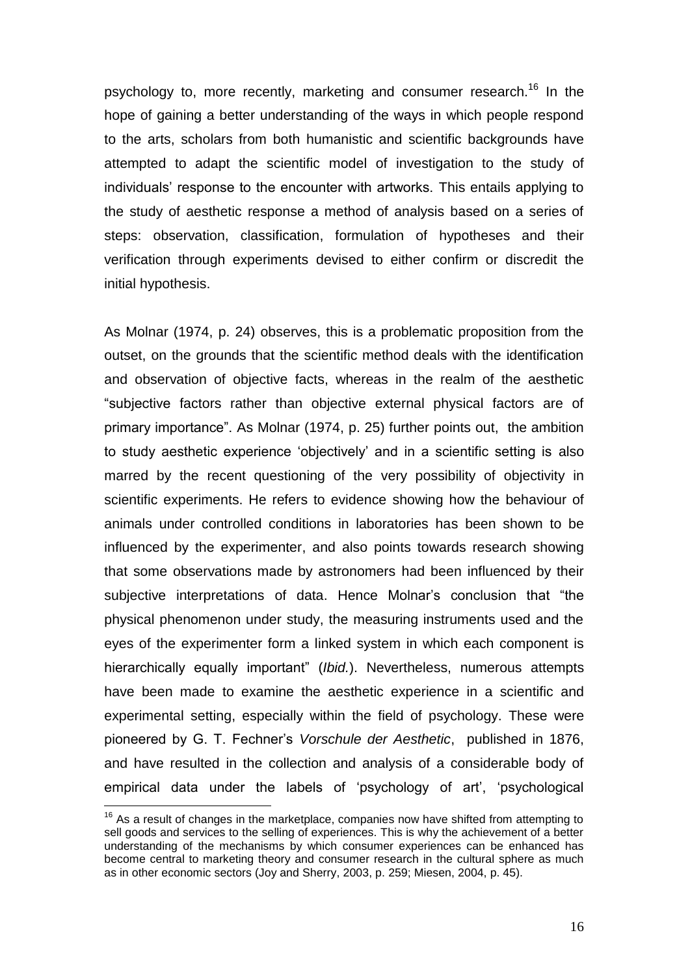psychology to, more recently, marketing and consumer research.<sup>16</sup> In the hope of gaining a better understanding of the ways in which people respond to the arts, scholars from both humanistic and scientific backgrounds have attempted to adapt the scientific model of investigation to the study of individuals' response to the encounter with artworks. This entails applying to the study of aesthetic response a method of analysis based on a series of steps: observation, classification, formulation of hypotheses and their verification through experiments devised to either confirm or discredit the initial hypothesis.

As Molnar (1974, p. 24) observes, this is a problematic proposition from the outset, on the grounds that the scientific method deals with the identification and observation of objective facts, whereas in the realm of the aesthetic "subjective factors rather than objective external physical factors are of primary importance". As Molnar (1974, p. 25) further points out, the ambition to study aesthetic experience 'objectively' and in a scientific setting is also marred by the recent questioning of the very possibility of objectivity in scientific experiments. He refers to evidence showing how the behaviour of animals under controlled conditions in laboratories has been shown to be influenced by the experimenter, and also points towards research showing that some observations made by astronomers had been influenced by their subjective interpretations of data. Hence Molnar's conclusion that "the physical phenomenon under study, the measuring instruments used and the eyes of the experimenter form a linked system in which each component is hierarchically equally important" (*Ibid.*). Nevertheless, numerous attempts have been made to examine the aesthetic experience in a scientific and experimental setting, especially within the field of psychology. These were pioneered by G. T. Fechner's *Vorschule der Aesthetic*, published in 1876, and have resulted in the collection and analysis of a considerable body of empirical data under the labels of 'psychology of art', 'psychological

 $16$  As a result of changes in the marketplace, companies now have shifted from attempting to sell goods and services to the selling of experiences. This is why the achievement of a better understanding of the mechanisms by which consumer experiences can be enhanced has become central to marketing theory and consumer research in the cultural sphere as much as in other economic sectors (Joy and Sherry, 2003, p. 259; Miesen, 2004, p. 45).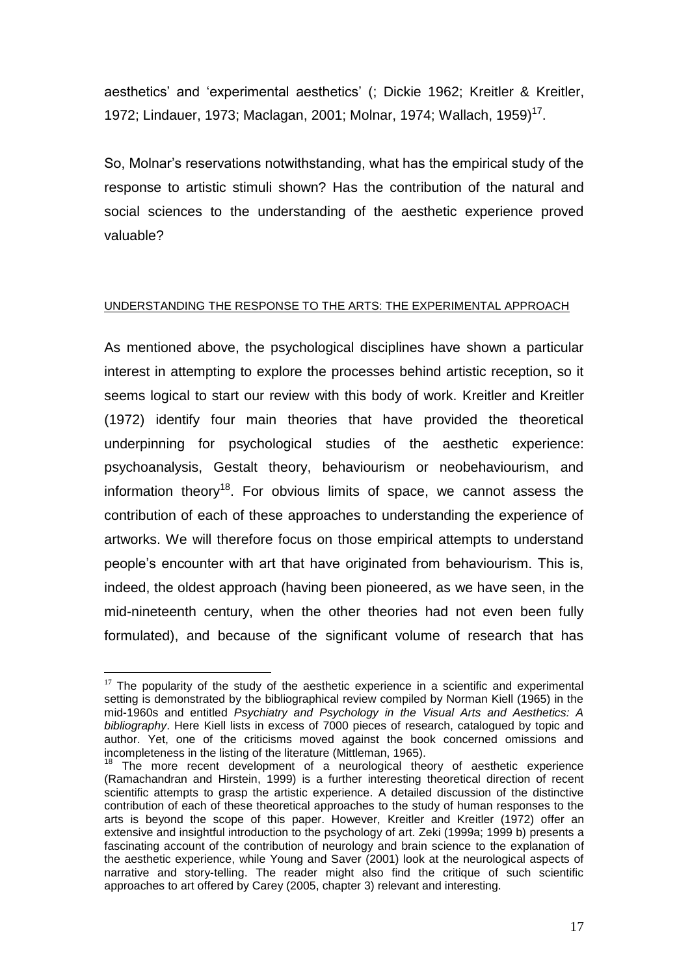aesthetics' and 'experimental aesthetics' (; Dickie 1962; Kreitler & Kreitler, 1972; Lindauer, 1973; Maclagan, 2001; Molnar, 1974; Wallach, 1959) 17 .

So, Molnar's reservations notwithstanding, what has the empirical study of the response to artistic stimuli shown? Has the contribution of the natural and social sciences to the understanding of the aesthetic experience proved valuable?

## UNDERSTANDING THE RESPONSE TO THE ARTS: THE EXPERIMENTAL APPROACH

As mentioned above, the psychological disciplines have shown a particular interest in attempting to explore the processes behind artistic reception, so it seems logical to start our review with this body of work. Kreitler and Kreitler (1972) identify four main theories that have provided the theoretical underpinning for psychological studies of the aesthetic experience: psychoanalysis, Gestalt theory, behaviourism or neobehaviourism, and information theory<sup>18</sup>. For obvious limits of space, we cannot assess the contribution of each of these approaches to understanding the experience of artworks. We will therefore focus on those empirical attempts to understand people's encounter with art that have originated from behaviourism. This is, indeed, the oldest approach (having been pioneered, as we have seen, in the mid-nineteenth century, when the other theories had not even been fully formulated), and because of the significant volume of research that has

 $17$  The popularity of the study of the aesthetic experience in a scientific and experimental setting is demonstrated by the bibliographical review compiled by Norman Kiell (1965) in the mid-1960s and entitled *Psychiatry and Psychology in the Visual Arts and Aesthetics: A bibliography*. Here Kiell lists in excess of 7000 pieces of research, catalogued by topic and author. Yet, one of the criticisms moved against the book concerned omissions and incompleteness in the listing of the literature (Mittleman, 1965).

The more recent development of a neurological theory of aesthetic experience (Ramachandran and Hirstein, 1999) is a further interesting theoretical direction of recent scientific attempts to grasp the artistic experience. A detailed discussion of the distinctive contribution of each of these theoretical approaches to the study of human responses to the arts is beyond the scope of this paper. However, Kreitler and Kreitler (1972) offer an extensive and insightful introduction to the psychology of art. Zeki (1999a; 1999 b) presents a fascinating account of the contribution of neurology and brain science to the explanation of the aesthetic experience, while Young and Saver (2001) look at the neurological aspects of narrative and story-telling. The reader might also find the critique of such scientific approaches to art offered by Carey (2005, chapter 3) relevant and interesting.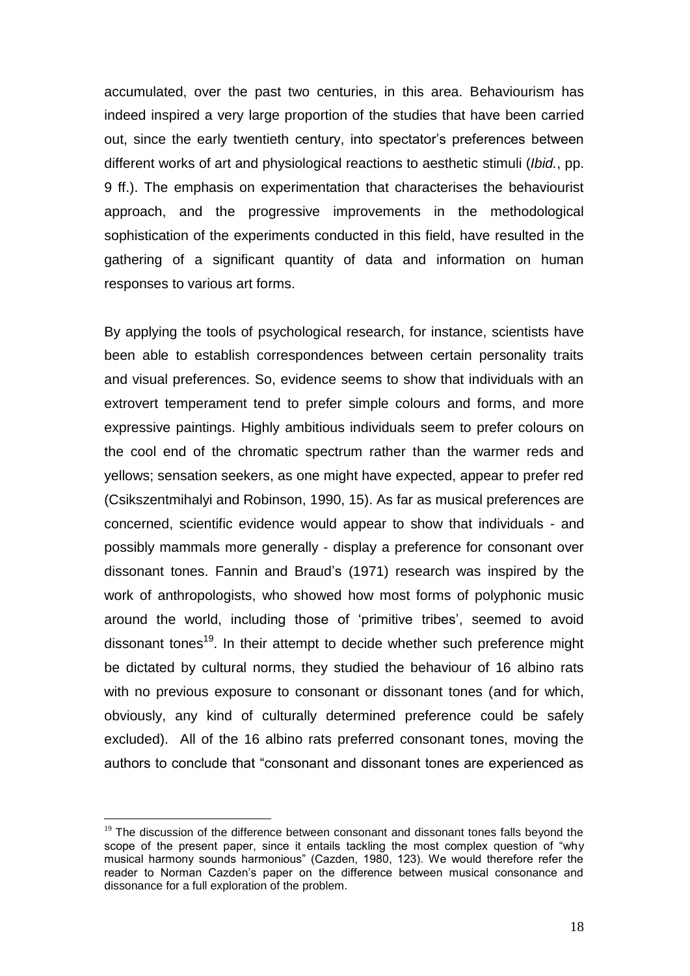accumulated, over the past two centuries, in this area. Behaviourism has indeed inspired a very large proportion of the studies that have been carried out, since the early twentieth century, into spectator's preferences between different works of art and physiological reactions to aesthetic stimuli (*Ibid.*, pp. 9 ff.). The emphasis on experimentation that characterises the behaviourist approach, and the progressive improvements in the methodological sophistication of the experiments conducted in this field, have resulted in the gathering of a significant quantity of data and information on human responses to various art forms.

By applying the tools of psychological research, for instance, scientists have been able to establish correspondences between certain personality traits and visual preferences. So, evidence seems to show that individuals with an extrovert temperament tend to prefer simple colours and forms, and more expressive paintings. Highly ambitious individuals seem to prefer colours on the cool end of the chromatic spectrum rather than the warmer reds and yellows; sensation seekers, as one might have expected, appear to prefer red (Csikszentmihalyi and Robinson, 1990, 15). As far as musical preferences are concerned, scientific evidence would appear to show that individuals - and possibly mammals more generally - display a preference for consonant over dissonant tones. Fannin and Braud's (1971) research was inspired by the work of anthropologists, who showed how most forms of polyphonic music around the world, including those of 'primitive tribes', seemed to avoid dissonant tones<sup>19</sup>. In their attempt to decide whether such preference might be dictated by cultural norms, they studied the behaviour of 16 albino rats with no previous exposure to consonant or dissonant tones (and for which, obviously, any kind of culturally determined preference could be safely excluded). All of the 16 albino rats preferred consonant tones, moving the authors to conclude that "consonant and dissonant tones are experienced as

 $19$  The discussion of the difference between consonant and dissonant tones falls beyond the scope of the present paper, since it entails tackling the most complex question of "why musical harmony sounds harmonious" (Cazden, 1980, 123). We would therefore refer the reader to Norman Cazden's paper on the difference between musical consonance and dissonance for a full exploration of the problem.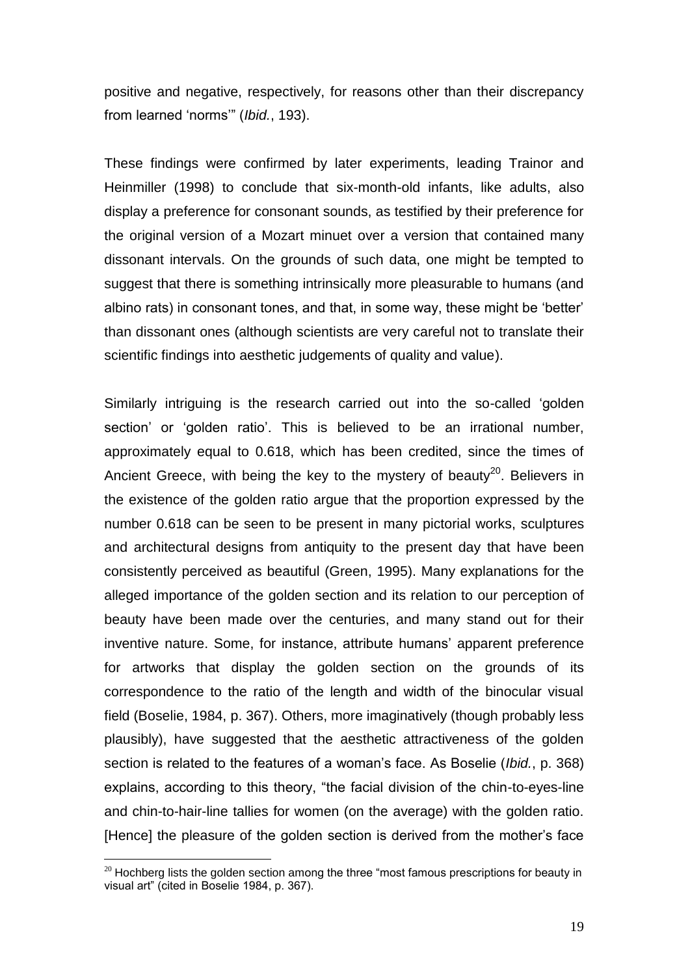positive and negative, respectively, for reasons other than their discrepancy from learned 'norms'" (*Ibid.*, 193).

These findings were confirmed by later experiments, leading Trainor and Heinmiller (1998) to conclude that six-month-old infants, like adults, also display a preference for consonant sounds, as testified by their preference for the original version of a Mozart minuet over a version that contained many dissonant intervals. On the grounds of such data, one might be tempted to suggest that there is something intrinsically more pleasurable to humans (and albino rats) in consonant tones, and that, in some way, these might be 'better' than dissonant ones (although scientists are very careful not to translate their scientific findings into aesthetic judgements of quality and value).

Similarly intriguing is the research carried out into the so-called 'golden section' or 'golden ratio'. This is believed to be an irrational number, approximately equal to 0.618, which has been credited, since the times of Ancient Greece, with being the key to the mystery of beauty<sup>20</sup>. Believers in the existence of the golden ratio argue that the proportion expressed by the number 0.618 can be seen to be present in many pictorial works, sculptures and architectural designs from antiquity to the present day that have been consistently perceived as beautiful (Green, 1995). Many explanations for the alleged importance of the golden section and its relation to our perception of beauty have been made over the centuries, and many stand out for their inventive nature. Some, for instance, attribute humans' apparent preference for artworks that display the golden section on the grounds of its correspondence to the ratio of the length and width of the binocular visual field (Boselie, 1984, p. 367). Others, more imaginatively (though probably less plausibly), have suggested that the aesthetic attractiveness of the golden section is related to the features of a woman's face. As Boselie (*Ibid.*, p. 368) explains, according to this theory, "the facial division of the chin-to-eyes-line and chin-to-hair-line tallies for women (on the average) with the golden ratio. [Hence] the pleasure of the golden section is derived from the mother's face

 $20$  Hochberg lists the golden section among the three "most famous prescriptions for beauty in visual art" (cited in Boselie 1984, p. 367).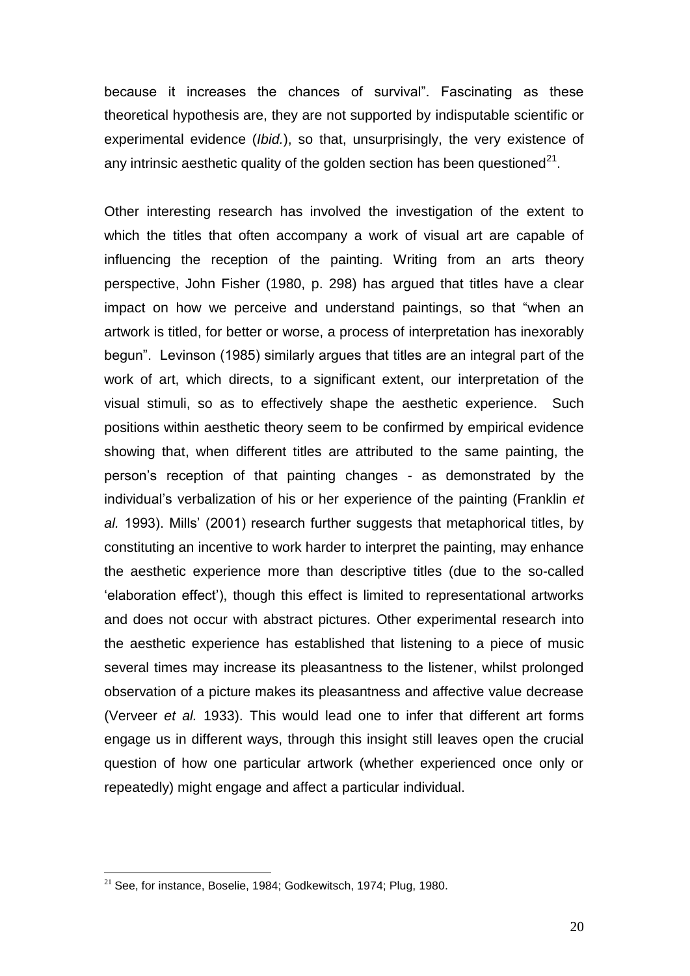because it increases the chances of survival". Fascinating as these theoretical hypothesis are, they are not supported by indisputable scientific or experimental evidence (*Ibid.*), so that, unsurprisingly, the very existence of any intrinsic aesthetic quality of the golden section has been questioned $^{21}$ .

Other interesting research has involved the investigation of the extent to which the titles that often accompany a work of visual art are capable of influencing the reception of the painting. Writing from an arts theory perspective, John Fisher (1980, p. 298) has argued that titles have a clear impact on how we perceive and understand paintings, so that "when an artwork is titled, for better or worse, a process of interpretation has inexorably begun". Levinson (1985) similarly argues that titles are an integral part of the work of art, which directs, to a significant extent, our interpretation of the visual stimuli, so as to effectively shape the aesthetic experience. Such positions within aesthetic theory seem to be confirmed by empirical evidence showing that, when different titles are attributed to the same painting, the person's reception of that painting changes - as demonstrated by the individual's verbalization of his or her experience of the painting (Franklin *et al.* 1993). Mills' (2001) research further suggests that metaphorical titles, by constituting an incentive to work harder to interpret the painting, may enhance the aesthetic experience more than descriptive titles (due to the so-called 'elaboration effect'), though this effect is limited to representational artworks and does not occur with abstract pictures. Other experimental research into the aesthetic experience has established that listening to a piece of music several times may increase its pleasantness to the listener, whilst prolonged observation of a picture makes its pleasantness and affective value decrease (Verveer *et al.* 1933). This would lead one to infer that different art forms engage us in different ways, through this insight still leaves open the crucial question of how one particular artwork (whether experienced once only or repeatedly) might engage and affect a particular individual.

 $21$  See, for instance, Boselie, 1984; Godkewitsch, 1974; Plug, 1980.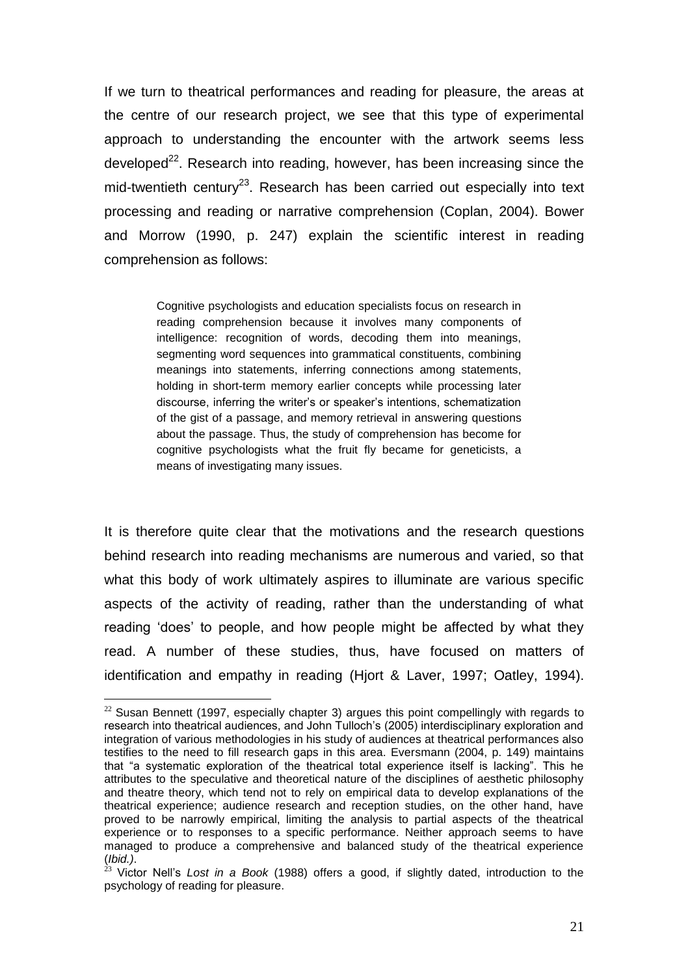If we turn to theatrical performances and reading for pleasure, the areas at the centre of our research project, we see that this type of experimental approach to understanding the encounter with the artwork seems less developed<sup>22</sup>. Research into reading, however, has been increasing since the mid-twentieth century<sup>23</sup>. Research has been carried out especially into text processing and reading or narrative comprehension (Coplan, 2004). Bower and Morrow (1990, p. 247) explain the scientific interest in reading comprehension as follows:

> Cognitive psychologists and education specialists focus on research in reading comprehension because it involves many components of intelligence: recognition of words, decoding them into meanings, segmenting word sequences into grammatical constituents, combining meanings into statements, inferring connections among statements, holding in short-term memory earlier concepts while processing later discourse, inferring the writer's or speaker's intentions, schematization of the gist of a passage, and memory retrieval in answering questions about the passage. Thus, the study of comprehension has become for cognitive psychologists what the fruit fly became for geneticists, a means of investigating many issues.

It is therefore quite clear that the motivations and the research questions behind research into reading mechanisms are numerous and varied, so that what this body of work ultimately aspires to illuminate are various specific aspects of the activity of reading, rather than the understanding of what reading 'does' to people, and how people might be affected by what they read. A number of these studies, thus, have focused on matters of identification and empathy in reading (Hjort & Laver, 1997; Oatley, 1994).

 $22$  Susan Bennett (1997, especially chapter 3) argues this point compellingly with regards to research into theatrical audiences, and John Tulloch's (2005) interdisciplinary exploration and integration of various methodologies in his study of audiences at theatrical performances also testifies to the need to fill research gaps in this area. Eversmann (2004, p. 149) maintains that "a systematic exploration of the theatrical total experience itself is lacking". This he attributes to the speculative and theoretical nature of the disciplines of aesthetic philosophy and theatre theory, which tend not to rely on empirical data to develop explanations of the theatrical experience; audience research and reception studies, on the other hand, have proved to be narrowly empirical, limiting the analysis to partial aspects of the theatrical experience or to responses to a specific performance. Neither approach seems to have managed to produce a comprehensive and balanced study of the theatrical experience (*Ibid.)*.

<sup>&</sup>lt;sup>3</sup> Victor Nell's *Lost in a Book* (1988) offers a good, if slightly dated, introduction to the psychology of reading for pleasure.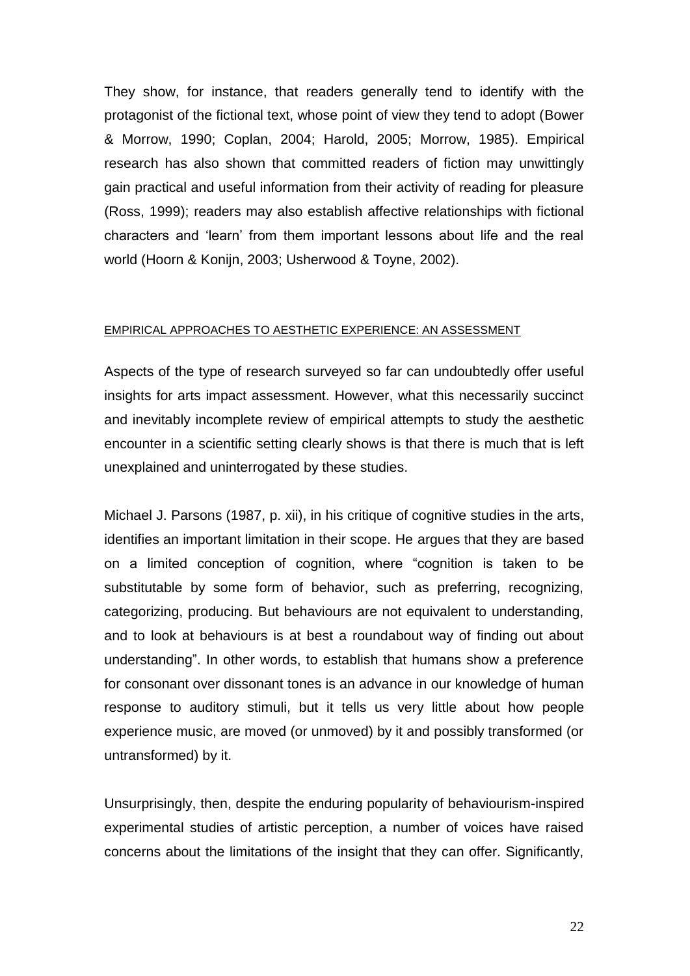They show, for instance, that readers generally tend to identify with the protagonist of the fictional text, whose point of view they tend to adopt (Bower & Morrow, 1990; Coplan, 2004; Harold, 2005; Morrow, 1985). Empirical research has also shown that committed readers of fiction may unwittingly gain practical and useful information from their activity of reading for pleasure (Ross, 1999); readers may also establish affective relationships with fictional characters and 'learn' from them important lessons about life and the real world (Hoorn & Konijn, 2003; Usherwood & Toyne, 2002).

## EMPIRICAL APPROACHES TO AESTHETIC EXPERIENCE: AN ASSESSMENT

Aspects of the type of research surveyed so far can undoubtedly offer useful insights for arts impact assessment. However, what this necessarily succinct and inevitably incomplete review of empirical attempts to study the aesthetic encounter in a scientific setting clearly shows is that there is much that is left unexplained and uninterrogated by these studies.

Michael J. Parsons (1987, p. xii), in his critique of cognitive studies in the arts, identifies an important limitation in their scope. He argues that they are based on a limited conception of cognition, where "cognition is taken to be substitutable by some form of behavior, such as preferring, recognizing, categorizing, producing. But behaviours are not equivalent to understanding, and to look at behaviours is at best a roundabout way of finding out about understanding". In other words, to establish that humans show a preference for consonant over dissonant tones is an advance in our knowledge of human response to auditory stimuli, but it tells us very little about how people experience music, are moved (or unmoved) by it and possibly transformed (or untransformed) by it.

Unsurprisingly, then, despite the enduring popularity of behaviourism-inspired experimental studies of artistic perception, a number of voices have raised concerns about the limitations of the insight that they can offer. Significantly,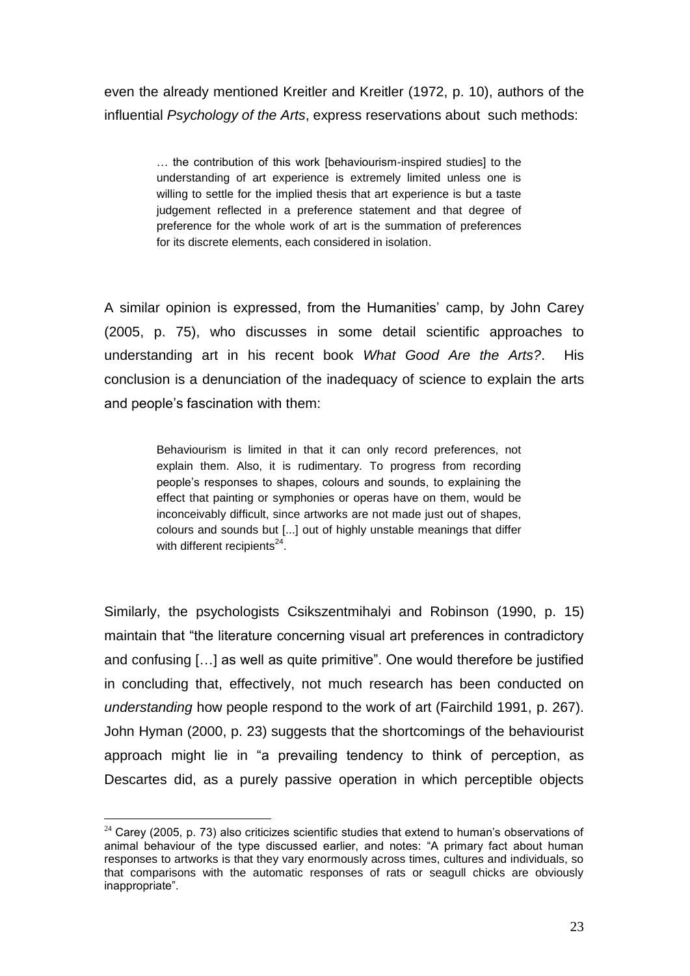even the already mentioned Kreitler and Kreitler (1972, p. 10), authors of the influential *Psychology of the Arts*, express reservations about such methods:

> … the contribution of this work [behaviourism-inspired studies] to the understanding of art experience is extremely limited unless one is willing to settle for the implied thesis that art experience is but a taste judgement reflected in a preference statement and that degree of preference for the whole work of art is the summation of preferences for its discrete elements, each considered in isolation.

A similar opinion is expressed, from the Humanities' camp, by John Carey (2005, p. 75), who discusses in some detail scientific approaches to understanding art in his recent book *What Good Are the Arts?*. His conclusion is a denunciation of the inadequacy of science to explain the arts and people's fascination with them:

> Behaviourism is limited in that it can only record preferences, not explain them. Also, it is rudimentary. To progress from recording people's responses to shapes, colours and sounds, to explaining the effect that painting or symphonies or operas have on them, would be inconceivably difficult, since artworks are not made just out of shapes, colours and sounds but [...] out of highly unstable meanings that differ with different recipients $^{24}$ .

Similarly, the psychologists Csikszentmihalyi and Robinson (1990, p. 15) maintain that "the literature concerning visual art preferences in contradictory and confusing […] as well as quite primitive". One would therefore be justified in concluding that, effectively, not much research has been conducted on *understanding* how people respond to the work of art (Fairchild 1991, p. 267). John Hyman (2000, p. 23) suggests that the shortcomings of the behaviourist approach might lie in "a prevailing tendency to think of perception, as Descartes did, as a purely passive operation in which perceptible objects

 $24$  Carev (2005, p. 73) also criticizes scientific studies that extend to human's observations of animal behaviour of the type discussed earlier, and notes: "A primary fact about human responses to artworks is that they vary enormously across times, cultures and individuals, so that comparisons with the automatic responses of rats or seagull chicks are obviously inappropriate".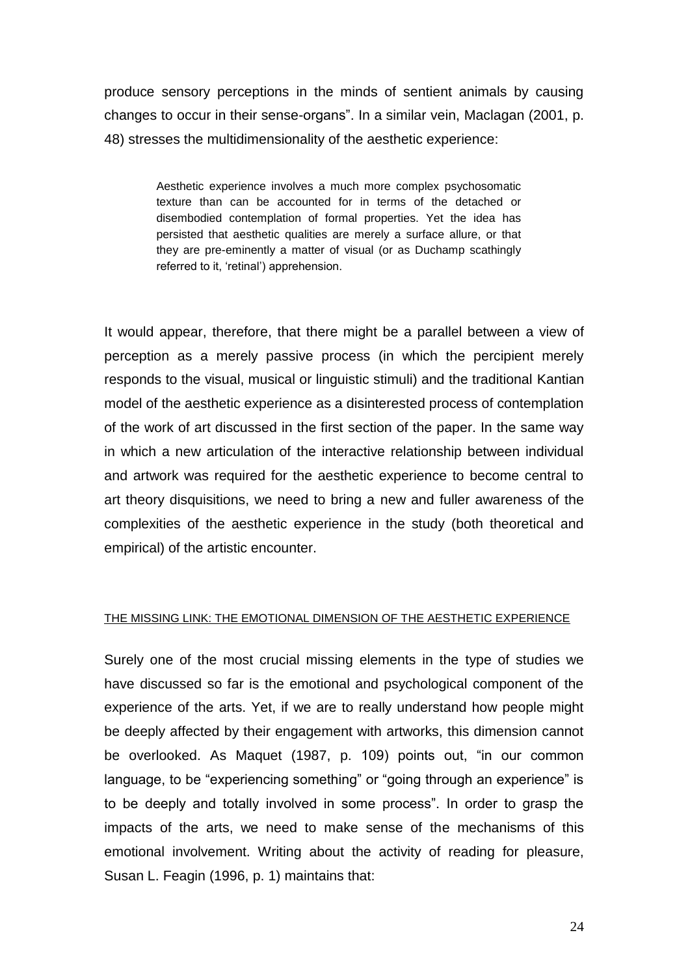produce sensory perceptions in the minds of sentient animals by causing changes to occur in their sense-organs". In a similar vein, Maclagan (2001, p. 48) stresses the multidimensionality of the aesthetic experience:

> Aesthetic experience involves a much more complex psychosomatic texture than can be accounted for in terms of the detached or disembodied contemplation of formal properties. Yet the idea has persisted that aesthetic qualities are merely a surface allure, or that they are pre-eminently a matter of visual (or as Duchamp scathingly referred to it, 'retinal') apprehension.

It would appear, therefore, that there might be a parallel between a view of perception as a merely passive process (in which the percipient merely responds to the visual, musical or linguistic stimuli) and the traditional Kantian model of the aesthetic experience as a disinterested process of contemplation of the work of art discussed in the first section of the paper. In the same way in which a new articulation of the interactive relationship between individual and artwork was required for the aesthetic experience to become central to art theory disquisitions, we need to bring a new and fuller awareness of the complexities of the aesthetic experience in the study (both theoretical and empirical) of the artistic encounter.

#### THE MISSING LINK: THE EMOTIONAL DIMENSION OF THE AESTHETIC EXPERIENCE

Surely one of the most crucial missing elements in the type of studies we have discussed so far is the emotional and psychological component of the experience of the arts. Yet, if we are to really understand how people might be deeply affected by their engagement with artworks, this dimension cannot be overlooked. As Maquet (1987, p. 109) points out, "in our common language, to be "experiencing something" or "going through an experience" is to be deeply and totally involved in some process". In order to grasp the impacts of the arts, we need to make sense of the mechanisms of this emotional involvement. Writing about the activity of reading for pleasure, Susan L. Feagin (1996, p. 1) maintains that: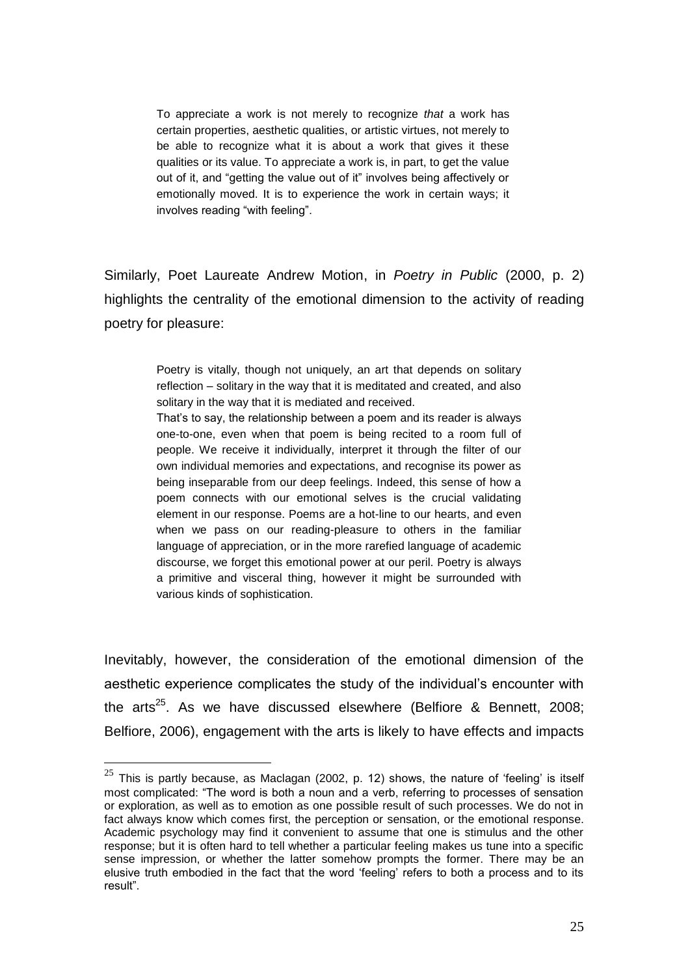To appreciate a work is not merely to recognize *that* a work has certain properties, aesthetic qualities, or artistic virtues, not merely to be able to recognize what it is about a work that gives it these qualities or its value. To appreciate a work is, in part, to get the value out of it, and "getting the value out of it" involves being affectively or emotionally moved. It is to experience the work in certain ways; it involves reading "with feeling".

Similarly, Poet Laureate Andrew Motion, in *Poetry in Public* (2000, p. 2) highlights the centrality of the emotional dimension to the activity of reading poetry for pleasure:

> Poetry is vitally, though not uniquely, an art that depends on solitary reflection – solitary in the way that it is meditated and created, and also solitary in the way that it is mediated and received.

> That's to say, the relationship between a poem and its reader is always one-to-one, even when that poem is being recited to a room full of people. We receive it individually, interpret it through the filter of our own individual memories and expectations, and recognise its power as being inseparable from our deep feelings. Indeed, this sense of how a poem connects with our emotional selves is the crucial validating element in our response. Poems are a hot-line to our hearts, and even when we pass on our reading-pleasure to others in the familiar language of appreciation, or in the more rarefied language of academic discourse, we forget this emotional power at our peril. Poetry is always a primitive and visceral thing, however it might be surrounded with various kinds of sophistication.

Inevitably, however, the consideration of the emotional dimension of the aesthetic experience complicates the study of the individual's encounter with the arts<sup>25</sup>. As we have discussed elsewhere (Belfiore & Bennett, 2008; Belfiore, 2006), engagement with the arts is likely to have effects and impacts

 $25$  This is partly because, as Maclagan (2002, p. 12) shows, the nature of 'feeling' is itself most complicated: "The word is both a noun and a verb, referring to processes of sensation or exploration, as well as to emotion as one possible result of such processes. We do not in fact always know which comes first, the perception or sensation, or the emotional response. Academic psychology may find it convenient to assume that one is stimulus and the other response; but it is often hard to tell whether a particular feeling makes us tune into a specific sense impression, or whether the latter somehow prompts the former. There may be an elusive truth embodied in the fact that the word 'feeling' refers to both a process and to its result".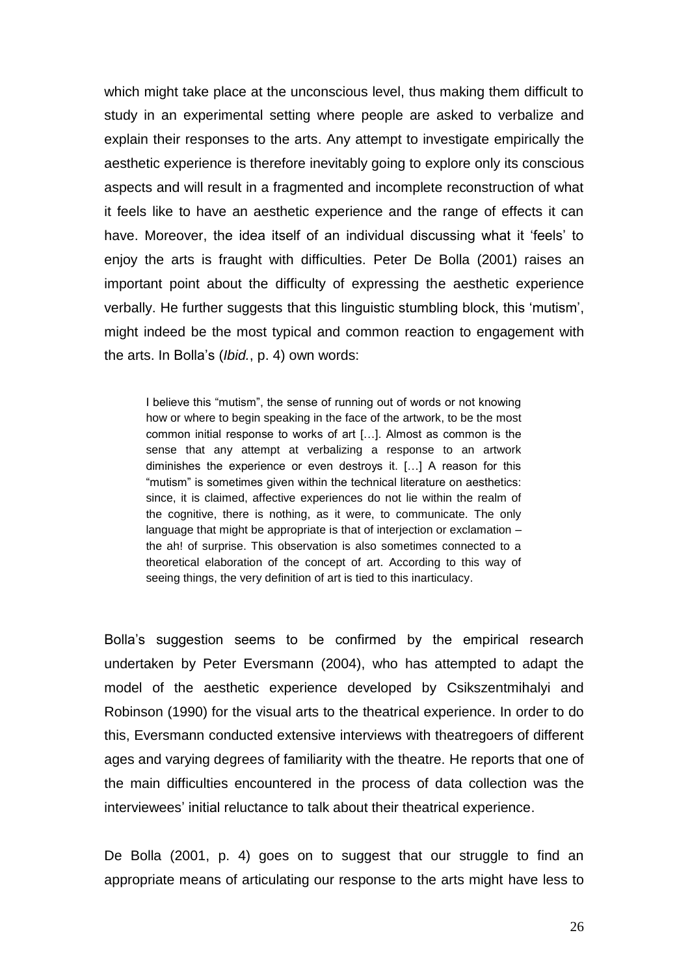which might take place at the unconscious level, thus making them difficult to study in an experimental setting where people are asked to verbalize and explain their responses to the arts. Any attempt to investigate empirically the aesthetic experience is therefore inevitably going to explore only its conscious aspects and will result in a fragmented and incomplete reconstruction of what it feels like to have an aesthetic experience and the range of effects it can have. Moreover, the idea itself of an individual discussing what it 'feels' to enjoy the arts is fraught with difficulties. Peter De Bolla (2001) raises an important point about the difficulty of expressing the aesthetic experience verbally. He further suggests that this linguistic stumbling block, this 'mutism', might indeed be the most typical and common reaction to engagement with the arts. In Bolla's (*Ibid.*, p. 4) own words:

I believe this "mutism", the sense of running out of words or not knowing how or where to begin speaking in the face of the artwork, to be the most common initial response to works of art […]. Almost as common is the sense that any attempt at verbalizing a response to an artwork diminishes the experience or even destroys it. […] A reason for this "mutism" is sometimes given within the technical literature on aesthetics: since, it is claimed, affective experiences do not lie within the realm of the cognitive, there is nothing, as it were, to communicate. The only language that might be appropriate is that of interjection or exclamation – the ah! of surprise. This observation is also sometimes connected to a theoretical elaboration of the concept of art. According to this way of seeing things, the very definition of art is tied to this inarticulacy.

Bolla's suggestion seems to be confirmed by the empirical research undertaken by Peter Eversmann (2004), who has attempted to adapt the model of the aesthetic experience developed by Csikszentmihalyi and Robinson (1990) for the visual arts to the theatrical experience. In order to do this, Eversmann conducted extensive interviews with theatregoers of different ages and varying degrees of familiarity with the theatre. He reports that one of the main difficulties encountered in the process of data collection was the interviewees' initial reluctance to talk about their theatrical experience.

De Bolla (2001, p. 4) goes on to suggest that our struggle to find an appropriate means of articulating our response to the arts might have less to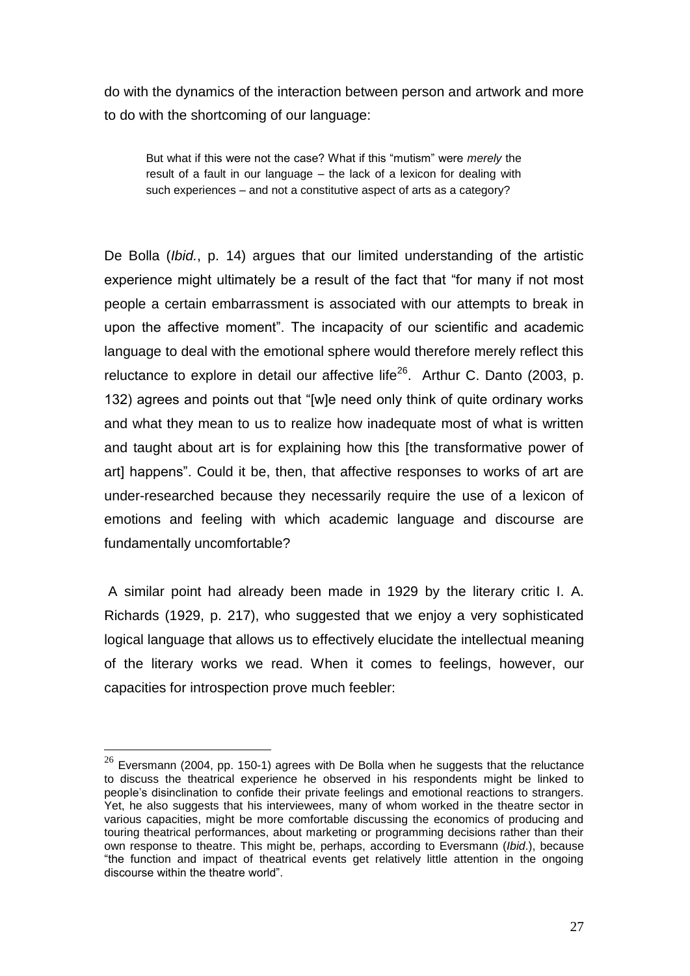do with the dynamics of the interaction between person and artwork and more to do with the shortcoming of our language:

But what if this were not the case? What if this "mutism" were *merely* the result of a fault in our language – the lack of a lexicon for dealing with such experiences – and not a constitutive aspect of arts as a category?

De Bolla (*Ibid.*, p. 14) argues that our limited understanding of the artistic experience might ultimately be a result of the fact that "for many if not most people a certain embarrassment is associated with our attempts to break in upon the affective moment". The incapacity of our scientific and academic language to deal with the emotional sphere would therefore merely reflect this reluctance to explore in detail our affective life<sup>26</sup>. Arthur C. Danto (2003, p. 132) agrees and points out that "[w]e need only think of quite ordinary works and what they mean to us to realize how inadequate most of what is written and taught about art is for explaining how this [the transformative power of art] happens". Could it be, then, that affective responses to works of art are under-researched because they necessarily require the use of a lexicon of emotions and feeling with which academic language and discourse are fundamentally uncomfortable?

A similar point had already been made in 1929 by the literary critic I. A. Richards (1929, p. 217), who suggested that we enjoy a very sophisticated logical language that allows us to effectively elucidate the intellectual meaning of the literary works we read. When it comes to feelings, however, our capacities for introspection prove much feebler:

 $26$  Eversmann (2004, pp. 150-1) agrees with De Bolla when he suggests that the reluctance to discuss the theatrical experience he observed in his respondents might be linked to people's disinclination to confide their private feelings and emotional reactions to strangers. Yet, he also suggests that his interviewees, many of whom worked in the theatre sector in various capacities, might be more comfortable discussing the economics of producing and touring theatrical performances, about marketing or programming decisions rather than their own response to theatre. This might be, perhaps, according to Eversmann (*Ibid*.), because "the function and impact of theatrical events get relatively little attention in the ongoing discourse within the theatre world".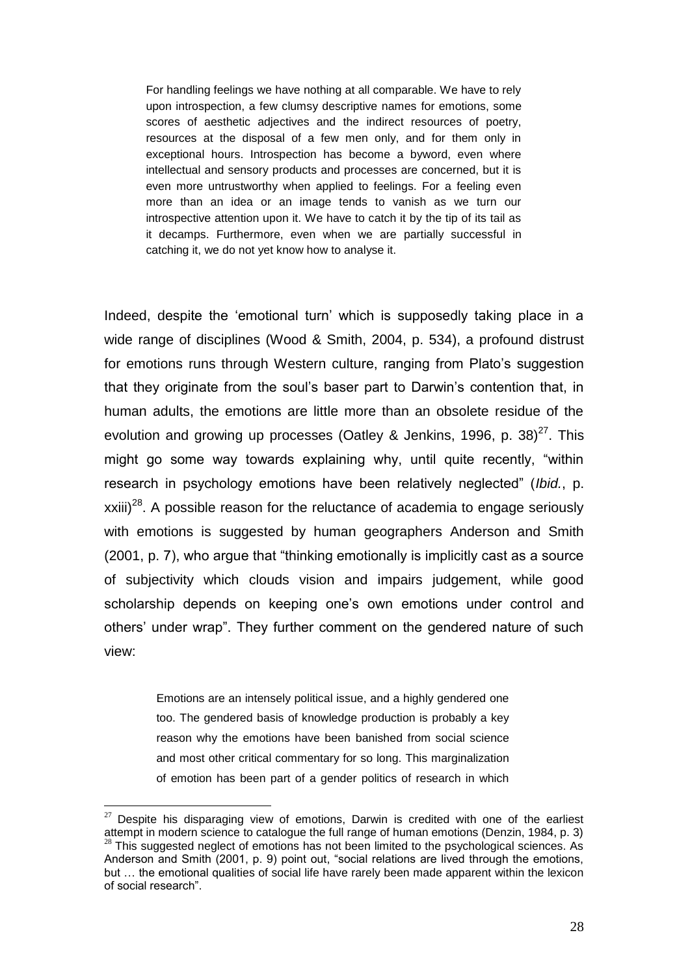For handling feelings we have nothing at all comparable. We have to rely upon introspection, a few clumsy descriptive names for emotions, some scores of aesthetic adjectives and the indirect resources of poetry, resources at the disposal of a few men only, and for them only in exceptional hours. Introspection has become a byword, even where intellectual and sensory products and processes are concerned, but it is even more untrustworthy when applied to feelings. For a feeling even more than an idea or an image tends to vanish as we turn our introspective attention upon it. We have to catch it by the tip of its tail as it decamps. Furthermore, even when we are partially successful in catching it, we do not yet know how to analyse it.

Indeed, despite the 'emotional turn' which is supposedly taking place in a wide range of disciplines (Wood & Smith, 2004, p. 534), a profound distrust for emotions runs through Western culture, ranging from Plato's suggestion that they originate from the soul's baser part to Darwin's contention that, in human adults, the emotions are little more than an obsolete residue of the evolution and growing up processes (Oatley & Jenkins, 1996, p. 38)<sup>27</sup>. This might go some way towards explaining why, until quite recently, "within research in psychology emotions have been relatively neglected" (*Ibid.*, p.  $xxiii)$ <sup>28</sup>. A possible reason for the reluctance of academia to engage seriously with emotions is suggested by human geographers Anderson and Smith (2001, p. 7), who argue that "thinking emotionally is implicitly cast as a source of subjectivity which clouds vision and impairs judgement, while good scholarship depends on keeping one's own emotions under control and others' under wrap". They further comment on the gendered nature of such view:

> Emotions are an intensely political issue, and a highly gendered one too. The gendered basis of knowledge production is probably a key reason why the emotions have been banished from social science and most other critical commentary for so long. This marginalization of emotion has been part of a gender politics of research in which

 $27$  Despite his disparaging view of emotions, Darwin is credited with one of the earliest attempt in modern science to catalogue the full range of human emotions (Denzin, 1984, p. 3)  $^{28}$  This suggested neglect of emotions has not been limited to the psychological sciences. As Anderson and Smith (2001, p. 9) point out, "social relations are lived through the emotions, but … the emotional qualities of social life have rarely been made apparent within the lexicon of social research".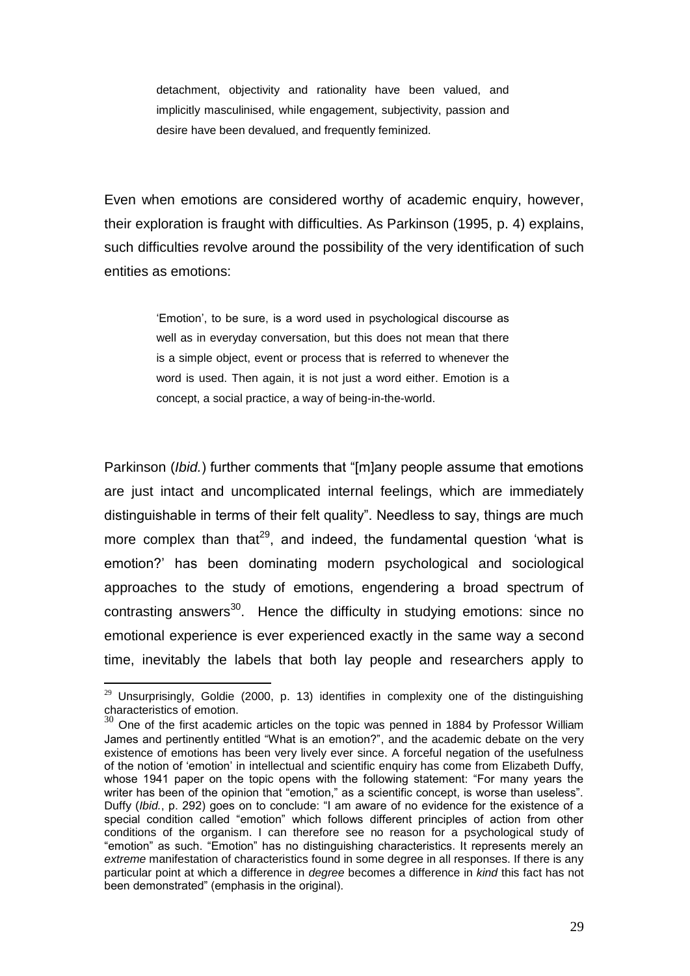detachment, objectivity and rationality have been valued, and implicitly masculinised, while engagement, subjectivity, passion and desire have been devalued, and frequently feminized.

Even when emotions are considered worthy of academic enquiry, however, their exploration is fraught with difficulties. As Parkinson (1995, p. 4) explains, such difficulties revolve around the possibility of the very identification of such entities as emotions:

> 'Emotion', to be sure, is a word used in psychological discourse as well as in everyday conversation, but this does not mean that there is a simple object, event or process that is referred to whenever the word is used. Then again, it is not just a word either. Emotion is a concept, a social practice, a way of being-in-the-world.

Parkinson (*Ibid.*) further comments that "[m]any people assume that emotions are just intact and uncomplicated internal feelings, which are immediately distinguishable in terms of their felt quality". Needless to say, things are much more complex than that<sup>29</sup>, and indeed, the fundamental question 'what is emotion?' has been dominating modern psychological and sociological approaches to the study of emotions, engendering a broad spectrum of contrasting answers<sup>30</sup>. Hence the difficulty in studying emotions: since no emotional experience is ever experienced exactly in the same way a second time, inevitably the labels that both lay people and researchers apply to

 $29$  Unsurprisingly, Goldie (2000, p. 13) identifies in complexity one of the distinguishing characteristics of emotion.

 $30$  One of the first academic articles on the topic was penned in 1884 by Professor William James and pertinently entitled "What is an emotion?", and the academic debate on the very existence of emotions has been very lively ever since. A forceful negation of the usefulness of the notion of 'emotion' in intellectual and scientific enquiry has come from Elizabeth Duffy, whose 1941 paper on the topic opens with the following statement: "For many years the writer has been of the opinion that "emotion," as a scientific concept, is worse than useless". Duffy (*Ibid.*, p. 292) goes on to conclude: "I am aware of no evidence for the existence of a special condition called "emotion" which follows different principles of action from other conditions of the organism. I can therefore see no reason for a psychological study of "emotion" as such. "Emotion" has no distinguishing characteristics. It represents merely an *extreme* manifestation of characteristics found in some degree in all responses. If there is any particular point at which a difference in *degree* becomes a difference in *kind* this fact has not been demonstrated" (emphasis in the original).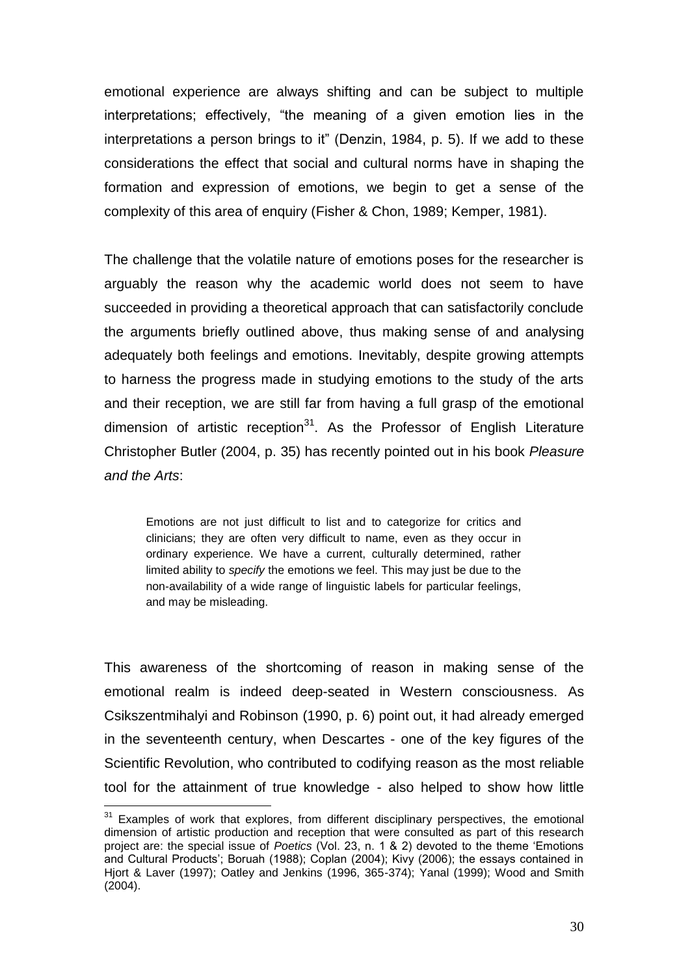emotional experience are always shifting and can be subject to multiple interpretations; effectively, "the meaning of a given emotion lies in the interpretations a person brings to it" (Denzin, 1984, p. 5). If we add to these considerations the effect that social and cultural norms have in shaping the formation and expression of emotions, we begin to get a sense of the complexity of this area of enquiry (Fisher & Chon, 1989; Kemper, 1981).

The challenge that the volatile nature of emotions poses for the researcher is arguably the reason why the academic world does not seem to have succeeded in providing a theoretical approach that can satisfactorily conclude the arguments briefly outlined above, thus making sense of and analysing adequately both feelings and emotions. Inevitably, despite growing attempts to harness the progress made in studying emotions to the study of the arts and their reception, we are still far from having a full grasp of the emotional dimension of artistic reception<sup>31</sup>. As the Professor of English Literature Christopher Butler (2004, p. 35) has recently pointed out in his book *Pleasure and the Arts*:

Emotions are not just difficult to list and to categorize for critics and clinicians; they are often very difficult to name, even as they occur in ordinary experience. We have a current, culturally determined, rather limited ability to *specify* the emotions we feel. This may just be due to the non-availability of a wide range of linguistic labels for particular feelings, and may be misleading.

This awareness of the shortcoming of reason in making sense of the emotional realm is indeed deep-seated in Western consciousness. As Csikszentmihalyi and Robinson (1990, p. 6) point out, it had already emerged in the seventeenth century, when Descartes - one of the key figures of the Scientific Revolution, who contributed to codifying reason as the most reliable tool for the attainment of true knowledge - also helped to show how little

 $31$  Examples of work that explores, from different disciplinary perspectives, the emotional dimension of artistic production and reception that were consulted as part of this research project are: the special issue of *Poetics* (Vol. 23, n. 1 & 2) devoted to the theme 'Emotions and Cultural Products'; Boruah (1988); Coplan (2004); Kivy (2006); the essays contained in Hjort & Laver (1997); Oatley and Jenkins (1996, 365-374); Yanal (1999); Wood and Smith (2004).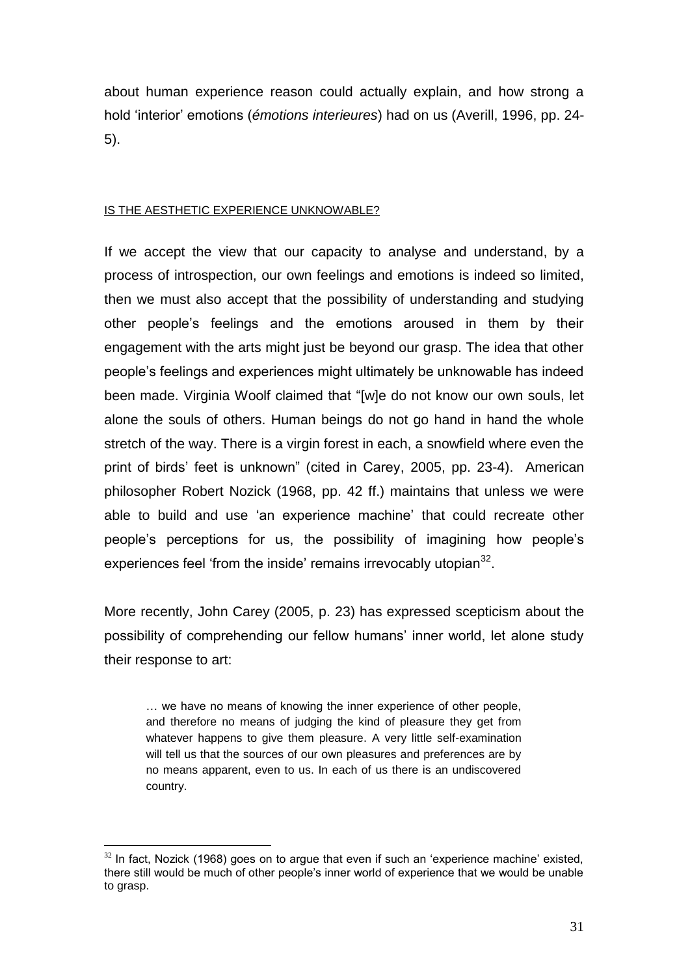about human experience reason could actually explain, and how strong a hold 'interior' emotions (*émotions interieures*) had on us (Averill, 1996, pp. 24- 5).

## IS THE AESTHETIC EXPERIENCE UNKNOWABLE?

If we accept the view that our capacity to analyse and understand, by a process of introspection, our own feelings and emotions is indeed so limited, then we must also accept that the possibility of understanding and studying other people's feelings and the emotions aroused in them by their engagement with the arts might just be beyond our grasp. The idea that other people's feelings and experiences might ultimately be unknowable has indeed been made. Virginia Woolf claimed that "[w]e do not know our own souls, let alone the souls of others. Human beings do not go hand in hand the whole stretch of the way. There is a virgin forest in each, a snowfield where even the print of birds' feet is unknown" (cited in Carey, 2005, pp. 23-4). American philosopher Robert Nozick (1968, pp. 42 ff.) maintains that unless we were able to build and use 'an experience machine' that could recreate other people's perceptions for us, the possibility of imagining how people's experiences feel 'from the inside' remains irrevocably utopian $32$ .

More recently, John Carey (2005, p. 23) has expressed scepticism about the possibility of comprehending our fellow humans' inner world, let alone study their response to art:

… we have no means of knowing the inner experience of other people, and therefore no means of judging the kind of pleasure they get from whatever happens to give them pleasure. A very little self-examination will tell us that the sources of our own pleasures and preferences are by no means apparent, even to us. In each of us there is an undiscovered country.

<sup>&</sup>lt;u>.</u>  $32$  In fact, Nozick (1968) goes on to argue that even if such an 'experience machine' existed, there still would be much of other people's inner world of experience that we would be unable to grasp.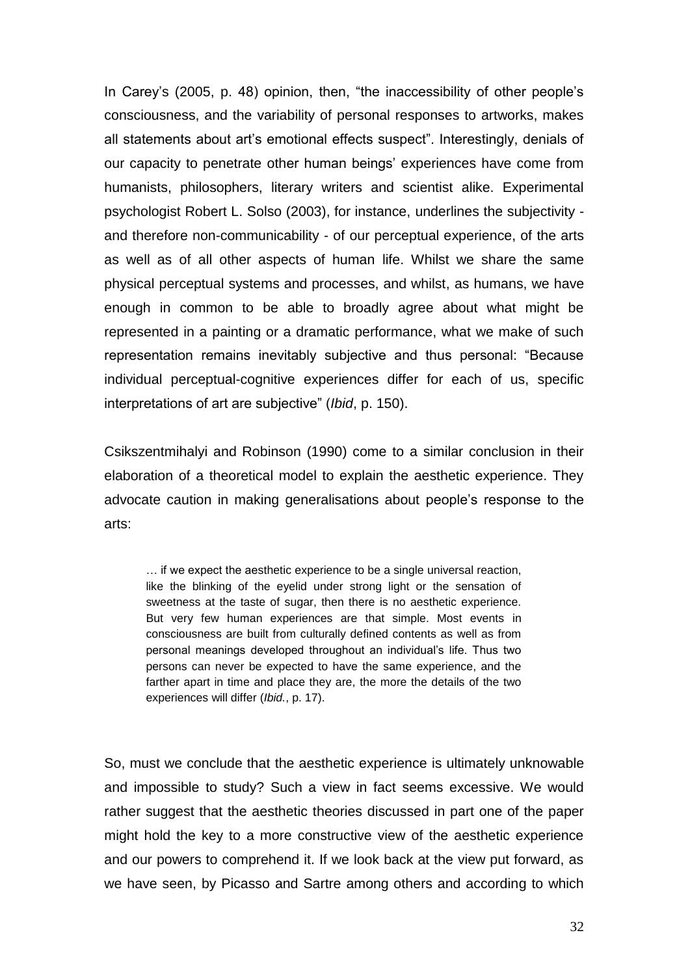In Carey's (2005, p. 48) opinion, then, "the inaccessibility of other people's consciousness, and the variability of personal responses to artworks, makes all statements about art's emotional effects suspect". Interestingly, denials of our capacity to penetrate other human beings' experiences have come from humanists, philosophers, literary writers and scientist alike. Experimental psychologist Robert L. Solso (2003), for instance, underlines the subjectivity and therefore non-communicability - of our perceptual experience, of the arts as well as of all other aspects of human life. Whilst we share the same physical perceptual systems and processes, and whilst, as humans, we have enough in common to be able to broadly agree about what might be represented in a painting or a dramatic performance, what we make of such representation remains inevitably subjective and thus personal: "Because individual perceptual-cognitive experiences differ for each of us, specific interpretations of art are subjective" (*Ibid*, p. 150).

Csikszentmihalyi and Robinson (1990) come to a similar conclusion in their elaboration of a theoretical model to explain the aesthetic experience. They advocate caution in making generalisations about people's response to the arts:

… if we expect the aesthetic experience to be a single universal reaction, like the blinking of the eyelid under strong light or the sensation of sweetness at the taste of sugar, then there is no aesthetic experience. But very few human experiences are that simple. Most events in consciousness are built from culturally defined contents as well as from personal meanings developed throughout an individual's life. Thus two persons can never be expected to have the same experience, and the farther apart in time and place they are, the more the details of the two experiences will differ (*Ibid.*, p. 17).

So, must we conclude that the aesthetic experience is ultimately unknowable and impossible to study? Such a view in fact seems excessive. We would rather suggest that the aesthetic theories discussed in part one of the paper might hold the key to a more constructive view of the aesthetic experience and our powers to comprehend it. If we look back at the view put forward, as we have seen, by Picasso and Sartre among others and according to which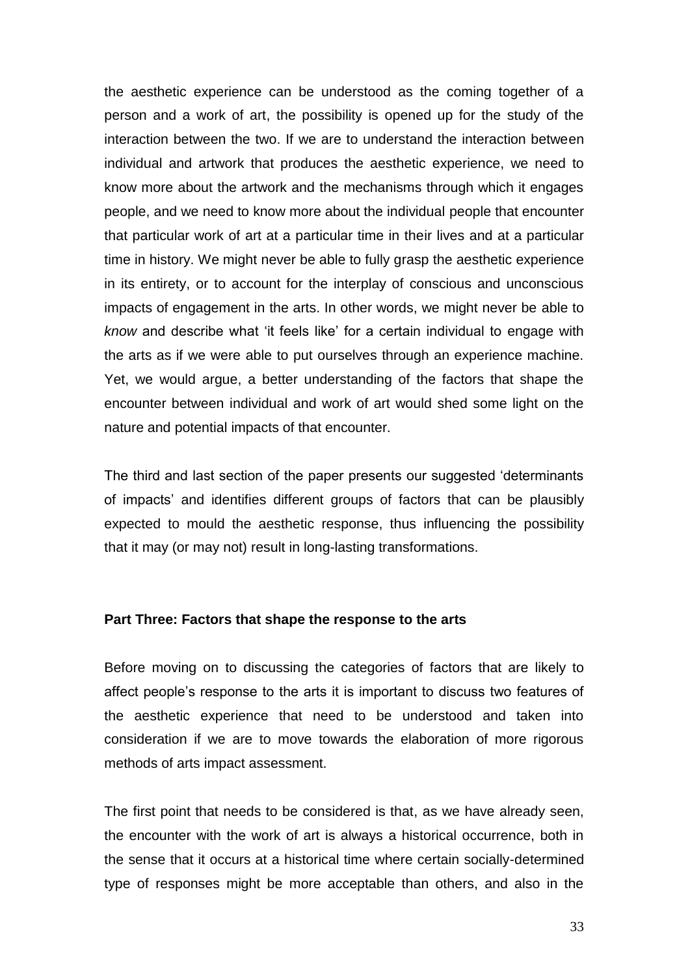the aesthetic experience can be understood as the coming together of a person and a work of art, the possibility is opened up for the study of the interaction between the two. If we are to understand the interaction between individual and artwork that produces the aesthetic experience, we need to know more about the artwork and the mechanisms through which it engages people, and we need to know more about the individual people that encounter that particular work of art at a particular time in their lives and at a particular time in history. We might never be able to fully grasp the aesthetic experience in its entirety, or to account for the interplay of conscious and unconscious impacts of engagement in the arts. In other words, we might never be able to *know* and describe what 'it feels like' for a certain individual to engage with the arts as if we were able to put ourselves through an experience machine. Yet, we would argue, a better understanding of the factors that shape the encounter between individual and work of art would shed some light on the nature and potential impacts of that encounter.

The third and last section of the paper presents our suggested 'determinants of impacts' and identifies different groups of factors that can be plausibly expected to mould the aesthetic response, thus influencing the possibility that it may (or may not) result in long-lasting transformations.

# **Part Three: Factors that shape the response to the arts**

Before moving on to discussing the categories of factors that are likely to affect people's response to the arts it is important to discuss two features of the aesthetic experience that need to be understood and taken into consideration if we are to move towards the elaboration of more rigorous methods of arts impact assessment.

The first point that needs to be considered is that, as we have already seen, the encounter with the work of art is always a historical occurrence, both in the sense that it occurs at a historical time where certain socially-determined type of responses might be more acceptable than others, and also in the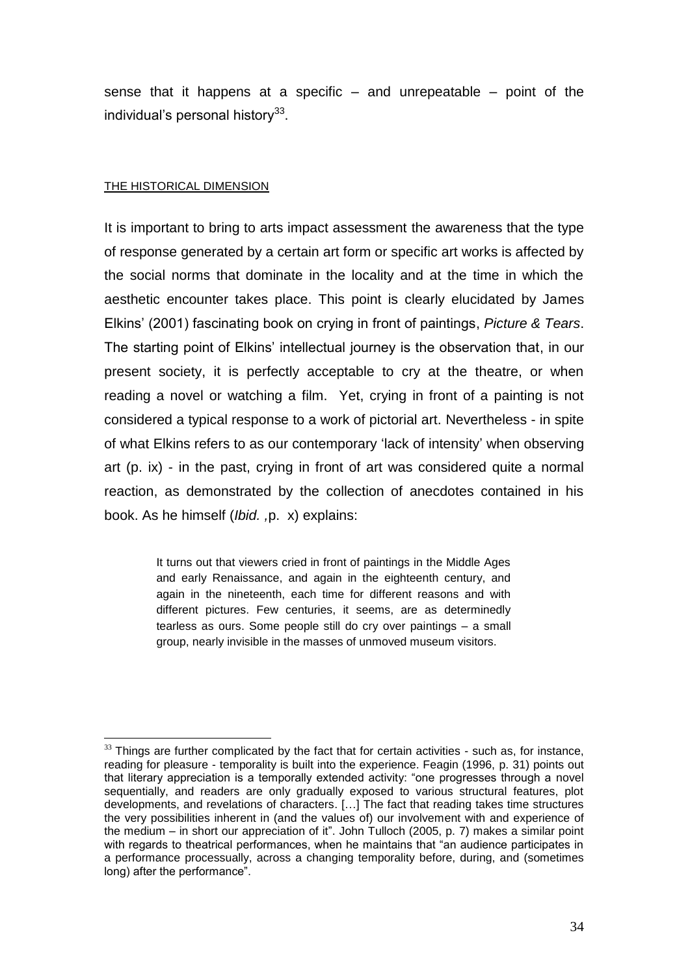sense that it happens at a specific  $-$  and unrepeatable  $-$  point of the individual's personal history<sup>33</sup>.

# THE HISTORICAL DIMENSION

1

It is important to bring to arts impact assessment the awareness that the type of response generated by a certain art form or specific art works is affected by the social norms that dominate in the locality and at the time in which the aesthetic encounter takes place. This point is clearly elucidated by James Elkins' (2001) fascinating book on crying in front of paintings, *Picture & Tears*. The starting point of Elkins' intellectual journey is the observation that, in our present society, it is perfectly acceptable to cry at the theatre, or when reading a novel or watching a film. Yet, crying in front of a painting is not considered a typical response to a work of pictorial art. Nevertheless - in spite of what Elkins refers to as our contemporary 'lack of intensity' when observing art (p. ix) - in the past, crying in front of art was considered quite a normal reaction, as demonstrated by the collection of anecdotes contained in his book. As he himself (*Ibid. ,*p. x) explains:

> It turns out that viewers cried in front of paintings in the Middle Ages and early Renaissance, and again in the eighteenth century, and again in the nineteenth, each time for different reasons and with different pictures. Few centuries, it seems, are as determinedly tearless as ours. Some people still do cry over paintings – a small group, nearly invisible in the masses of unmoved museum visitors.

 $33$  Things are further complicated by the fact that for certain activities - such as, for instance, reading for pleasure - temporality is built into the experience. Feagin (1996, p. 31) points out that literary appreciation is a temporally extended activity: "one progresses through a novel sequentially, and readers are only gradually exposed to various structural features, plot developments, and revelations of characters. […] The fact that reading takes time structures the very possibilities inherent in (and the values of) our involvement with and experience of the medium – in short our appreciation of it". John Tulloch (2005, p. 7) makes a similar point with regards to theatrical performances, when he maintains that "an audience participates in a performance processually, across a changing temporality before, during, and (sometimes long) after the performance".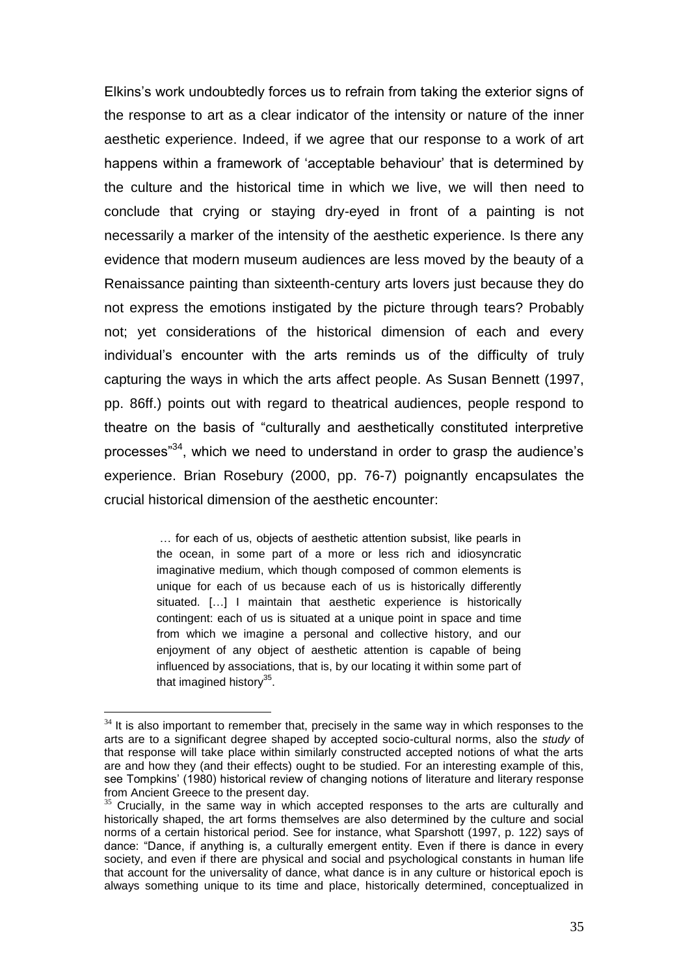Elkins's work undoubtedly forces us to refrain from taking the exterior signs of the response to art as a clear indicator of the intensity or nature of the inner aesthetic experience. Indeed, if we agree that our response to a work of art happens within a framework of 'acceptable behaviour' that is determined by the culture and the historical time in which we live, we will then need to conclude that crying or staying dry-eyed in front of a painting is not necessarily a marker of the intensity of the aesthetic experience. Is there any evidence that modern museum audiences are less moved by the beauty of a Renaissance painting than sixteenth-century arts lovers just because they do not express the emotions instigated by the picture through tears? Probably not; yet considerations of the historical dimension of each and every individual's encounter with the arts reminds us of the difficulty of truly capturing the ways in which the arts affect people. As Susan Bennett (1997, pp. 86ff.) points out with regard to theatrical audiences, people respond to theatre on the basis of "culturally and aesthetically constituted interpretive processes<sup>34</sup>, which we need to understand in order to grasp the audience's experience. Brian Rosebury (2000, pp. 76-7) poignantly encapsulates the crucial historical dimension of the aesthetic encounter:

> … for each of us, objects of aesthetic attention subsist, like pearls in the ocean, in some part of a more or less rich and idiosyncratic imaginative medium, which though composed of common elements is unique for each of us because each of us is historically differently situated. [...] I maintain that aesthetic experience is historically contingent: each of us is situated at a unique point in space and time from which we imagine a personal and collective history, and our enjoyment of any object of aesthetic attention is capable of being influenced by associations, that is, by our locating it within some part of that imagined history<sup>35</sup>.

 $34$  It is also important to remember that, precisely in the same way in which responses to the arts are to a significant degree shaped by accepted socio-cultural norms, also the *study* of that response will take place within similarly constructed accepted notions of what the arts are and how they (and their effects) ought to be studied. For an interesting example of this, see Tompkins' (1980) historical review of changing notions of literature and literary response from Ancient Greece to the present day.

 $35$  Crucially, in the same way in which accepted responses to the arts are culturally and historically shaped, the art forms themselves are also determined by the culture and social norms of a certain historical period. See for instance, what Sparshott (1997, p. 122) says of dance: "Dance, if anything is, a culturally emergent entity. Even if there is dance in every society, and even if there are physical and social and psychological constants in human life that account for the universality of dance, what dance is in any culture or historical epoch is always something unique to its time and place, historically determined, conceptualized in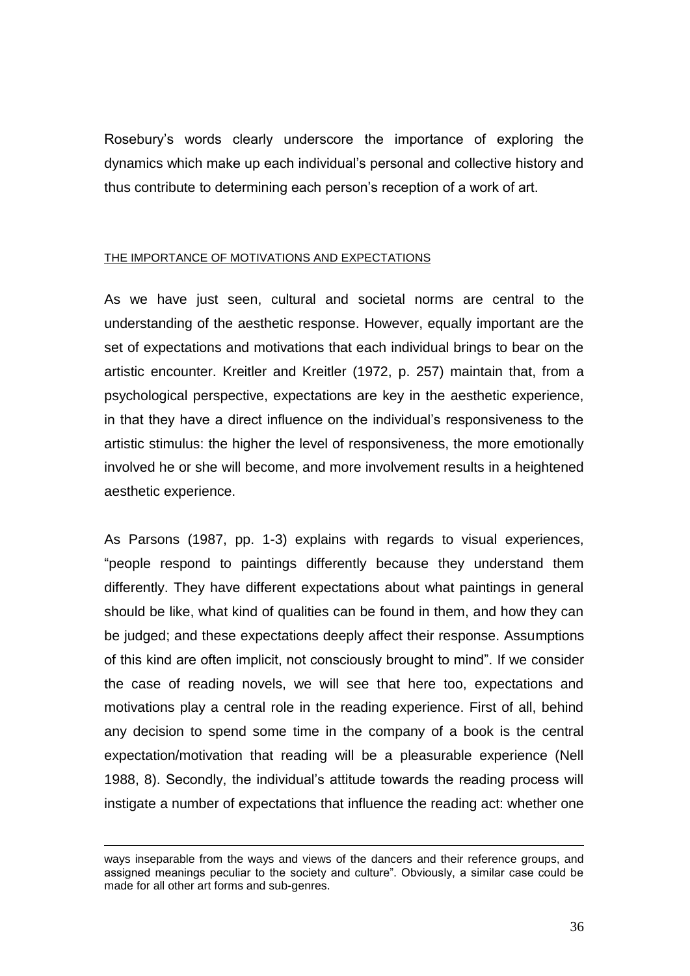Rosebury's words clearly underscore the importance of exploring the dynamics which make up each individual's personal and collective history and thus contribute to determining each person's reception of a work of art.

### THE IMPORTANCE OF MOTIVATIONS AND EXPECTATIONS

As we have just seen, cultural and societal norms are central to the understanding of the aesthetic response. However, equally important are the set of expectations and motivations that each individual brings to bear on the artistic encounter. Kreitler and Kreitler (1972, p. 257) maintain that, from a psychological perspective, expectations are key in the aesthetic experience, in that they have a direct influence on the individual's responsiveness to the artistic stimulus: the higher the level of responsiveness, the more emotionally involved he or she will become, and more involvement results in a heightened aesthetic experience.

As Parsons (1987, pp. 1-3) explains with regards to visual experiences, "people respond to paintings differently because they understand them differently. They have different expectations about what paintings in general should be like, what kind of qualities can be found in them, and how they can be judged; and these expectations deeply affect their response. Assumptions of this kind are often implicit, not consciously brought to mind". If we consider the case of reading novels, we will see that here too, expectations and motivations play a central role in the reading experience. First of all, behind any decision to spend some time in the company of a book is the central expectation/motivation that reading will be a pleasurable experience (Nell 1988, 8). Secondly, the individual's attitude towards the reading process will instigate a number of expectations that influence the reading act: whether one

<u>.</u>

ways inseparable from the ways and views of the dancers and their reference groups, and assigned meanings peculiar to the society and culture". Obviously, a similar case could be made for all other art forms and sub-genres.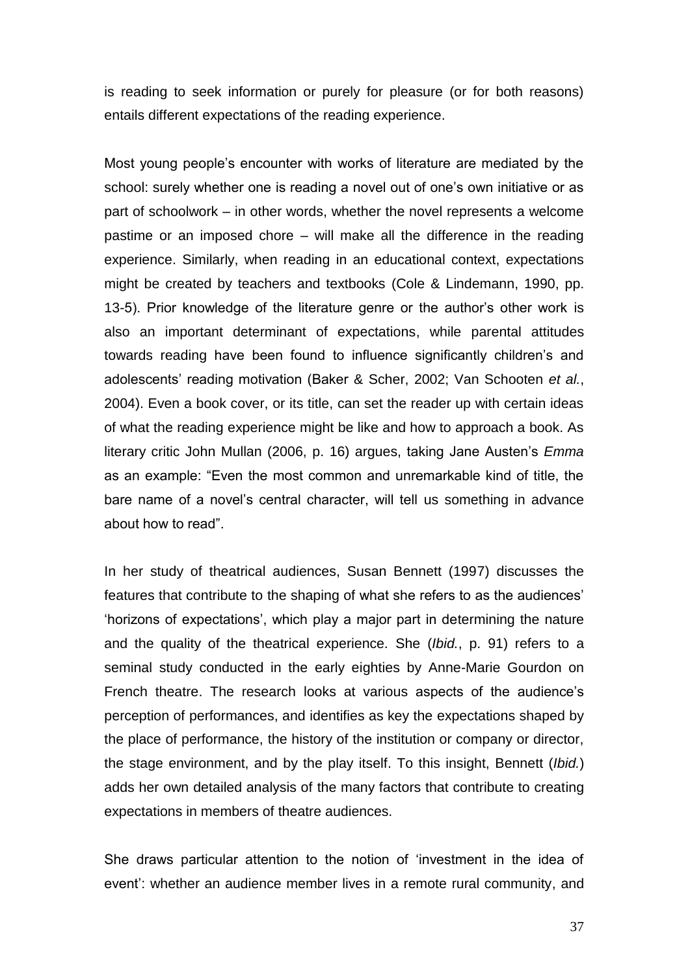is reading to seek information or purely for pleasure (or for both reasons) entails different expectations of the reading experience.

Most young people's encounter with works of literature are mediated by the school: surely whether one is reading a novel out of one's own initiative or as part of schoolwork – in other words, whether the novel represents a welcome pastime or an imposed chore – will make all the difference in the reading experience. Similarly, when reading in an educational context, expectations might be created by teachers and textbooks (Cole & Lindemann, 1990, pp. 13-5). Prior knowledge of the literature genre or the author's other work is also an important determinant of expectations, while parental attitudes towards reading have been found to influence significantly children's and adolescents' reading motivation (Baker & Scher, 2002; Van Schooten *et al.*, 2004). Even a book cover, or its title, can set the reader up with certain ideas of what the reading experience might be like and how to approach a book. As literary critic John Mullan (2006, p. 16) argues, taking Jane Austen's *Emma* as an example: "Even the most common and unremarkable kind of title, the bare name of a novel's central character, will tell us something in advance about how to read".

In her study of theatrical audiences, Susan Bennett (1997) discusses the features that contribute to the shaping of what she refers to as the audiences' 'horizons of expectations', which play a major part in determining the nature and the quality of the theatrical experience. She (*Ibid.*, p. 91) refers to a seminal study conducted in the early eighties by Anne-Marie Gourdon on French theatre. The research looks at various aspects of the audience's perception of performances, and identifies as key the expectations shaped by the place of performance, the history of the institution or company or director, the stage environment, and by the play itself. To this insight, Bennett (*Ibid.*) adds her own detailed analysis of the many factors that contribute to creating expectations in members of theatre audiences.

She draws particular attention to the notion of 'investment in the idea of event': whether an audience member lives in a remote rural community, and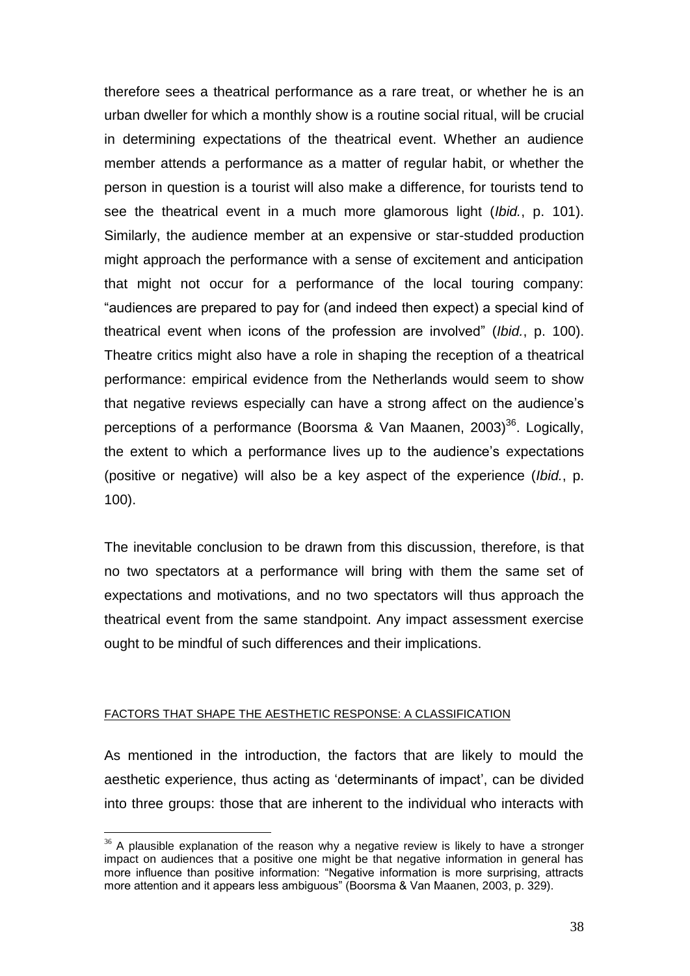therefore sees a theatrical performance as a rare treat, or whether he is an urban dweller for which a monthly show is a routine social ritual, will be crucial in determining expectations of the theatrical event. Whether an audience member attends a performance as a matter of regular habit, or whether the person in question is a tourist will also make a difference, for tourists tend to see the theatrical event in a much more glamorous light (*Ibid.*, p. 101). Similarly, the audience member at an expensive or star-studded production might approach the performance with a sense of excitement and anticipation that might not occur for a performance of the local touring company: "audiences are prepared to pay for (and indeed then expect) a special kind of theatrical event when icons of the profession are involved" (*Ibid.*, p. 100). Theatre critics might also have a role in shaping the reception of a theatrical performance: empirical evidence from the Netherlands would seem to show that negative reviews especially can have a strong affect on the audience's perceptions of a performance (Boorsma & Van Maanen, 2003)<sup>36</sup>. Logically, the extent to which a performance lives up to the audience's expectations (positive or negative) will also be a key aspect of the experience (*Ibid.*, p. 100).

The inevitable conclusion to be drawn from this discussion, therefore, is that no two spectators at a performance will bring with them the same set of expectations and motivations, and no two spectators will thus approach the theatrical event from the same standpoint. Any impact assessment exercise ought to be mindful of such differences and their implications.

## FACTORS THAT SHAPE THE AESTHETIC RESPONSE: A CLASSIFICATION

1

As mentioned in the introduction, the factors that are likely to mould the aesthetic experience, thus acting as 'determinants of impact', can be divided into three groups: those that are inherent to the individual who interacts with

 $36$  A plausible explanation of the reason why a negative review is likely to have a stronger impact on audiences that a positive one might be that negative information in general has more influence than positive information: "Negative information is more surprising, attracts more attention and it appears less ambiguous" (Boorsma & Van Maanen, 2003, p. 329).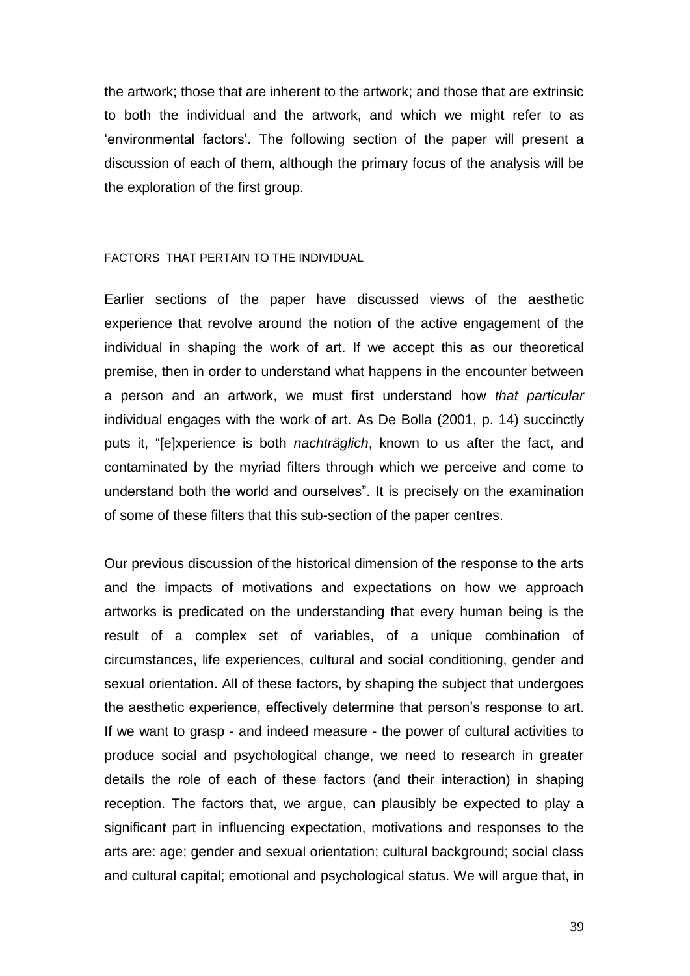the artwork; those that are inherent to the artwork; and those that are extrinsic to both the individual and the artwork, and which we might refer to as 'environmental factors'. The following section of the paper will present a discussion of each of them, although the primary focus of the analysis will be the exploration of the first group.

#### FACTORS THAT PERTAIN TO THE INDIVIDUAL

Earlier sections of the paper have discussed views of the aesthetic experience that revolve around the notion of the active engagement of the individual in shaping the work of art. If we accept this as our theoretical premise, then in order to understand what happens in the encounter between a person and an artwork, we must first understand how *that particular* individual engages with the work of art. As De Bolla (2001, p. 14) succinctly puts it, "[e]xperience is both *nachträglich*, known to us after the fact, and contaminated by the myriad filters through which we perceive and come to understand both the world and ourselves". It is precisely on the examination of some of these filters that this sub-section of the paper centres.

Our previous discussion of the historical dimension of the response to the arts and the impacts of motivations and expectations on how we approach artworks is predicated on the understanding that every human being is the result of a complex set of variables, of a unique combination of circumstances, life experiences, cultural and social conditioning, gender and sexual orientation. All of these factors, by shaping the subject that undergoes the aesthetic experience, effectively determine that person's response to art. If we want to grasp - and indeed measure - the power of cultural activities to produce social and psychological change, we need to research in greater details the role of each of these factors (and their interaction) in shaping reception. The factors that, we argue, can plausibly be expected to play a significant part in influencing expectation, motivations and responses to the arts are: age; gender and sexual orientation; cultural background; social class and cultural capital; emotional and psychological status. We will argue that, in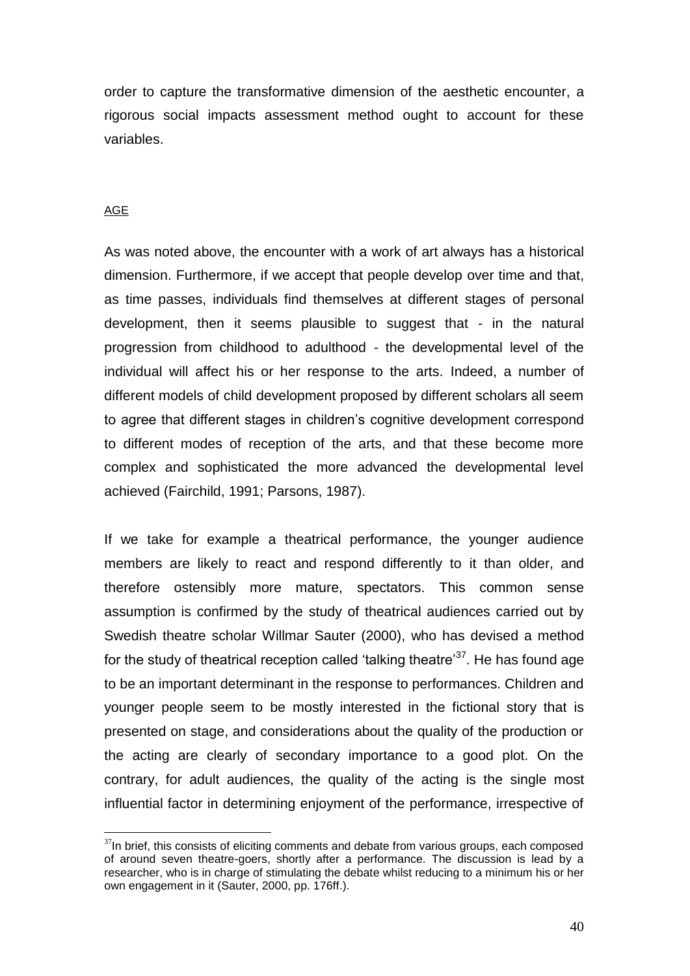order to capture the transformative dimension of the aesthetic encounter, a rigorous social impacts assessment method ought to account for these variables.

## AGE

1

As was noted above, the encounter with a work of art always has a historical dimension. Furthermore, if we accept that people develop over time and that, as time passes, individuals find themselves at different stages of personal development, then it seems plausible to suggest that - in the natural progression from childhood to adulthood - the developmental level of the individual will affect his or her response to the arts. Indeed, a number of different models of child development proposed by different scholars all seem to agree that different stages in children's cognitive development correspond to different modes of reception of the arts, and that these become more complex and sophisticated the more advanced the developmental level achieved (Fairchild, 1991; Parsons, 1987).

If we take for example a theatrical performance, the younger audience members are likely to react and respond differently to it than older, and therefore ostensibly more mature, spectators. This common sense assumption is confirmed by the study of theatrical audiences carried out by Swedish theatre scholar Willmar Sauter (2000), who has devised a method for the study of theatrical reception called 'talking theatre'<sup>37</sup>. He has found age to be an important determinant in the response to performances. Children and younger people seem to be mostly interested in the fictional story that is presented on stage, and considerations about the quality of the production or the acting are clearly of secondary importance to a good plot. On the contrary, for adult audiences, the quality of the acting is the single most influential factor in determining enjoyment of the performance, irrespective of

 $37$ In brief, this consists of eliciting comments and debate from various groups, each composed of around seven theatre-goers, shortly after a performance. The discussion is lead by a researcher, who is in charge of stimulating the debate whilst reducing to a minimum his or her own engagement in it (Sauter, 2000, pp. 176ff.).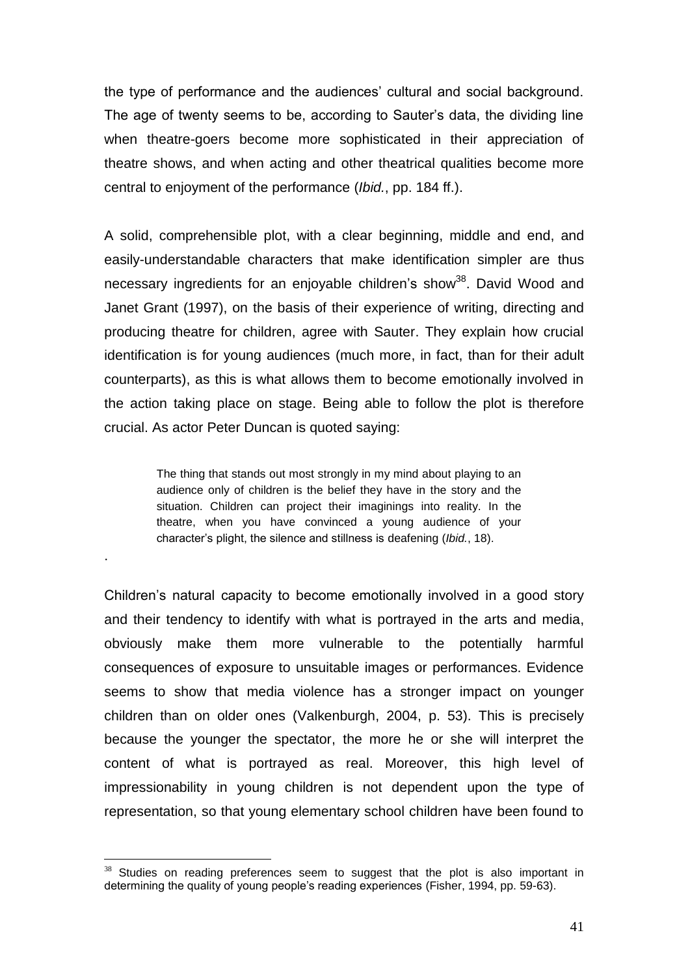the type of performance and the audiences' cultural and social background. The age of twenty seems to be, according to Sauter's data, the dividing line when theatre-goers become more sophisticated in their appreciation of theatre shows, and when acting and other theatrical qualities become more central to enjoyment of the performance (*Ibid.*, pp. 184 ff.).

A solid, comprehensible plot, with a clear beginning, middle and end, and easily-understandable characters that make identification simpler are thus necessary ingredients for an enjoyable children's show<sup>38</sup>. David Wood and Janet Grant (1997), on the basis of their experience of writing, directing and producing theatre for children, agree with Sauter. They explain how crucial identification is for young audiences (much more, in fact, than for their adult counterparts), as this is what allows them to become emotionally involved in the action taking place on stage. Being able to follow the plot is therefore crucial. As actor Peter Duncan is quoted saying:

> The thing that stands out most strongly in my mind about playing to an audience only of children is the belief they have in the story and the situation. Children can project their imaginings into reality. In the theatre, when you have convinced a young audience of your character's plight, the silence and stillness is deafening (*Ibid.*, 18).

.

<u>.</u>

Children's natural capacity to become emotionally involved in a good story and their tendency to identify with what is portrayed in the arts and media, obviously make them more vulnerable to the potentially harmful consequences of exposure to unsuitable images or performances. Evidence seems to show that media violence has a stronger impact on younger children than on older ones (Valkenburgh, 2004, p. 53). This is precisely because the younger the spectator, the more he or she will interpret the content of what is portrayed as real. Moreover, this high level of impressionability in young children is not dependent upon the type of representation, so that young elementary school children have been found to

<sup>&</sup>lt;sup>38</sup> Studies on reading preferences seem to suggest that the plot is also important in determining the quality of young people's reading experiences (Fisher, 1994, pp. 59-63).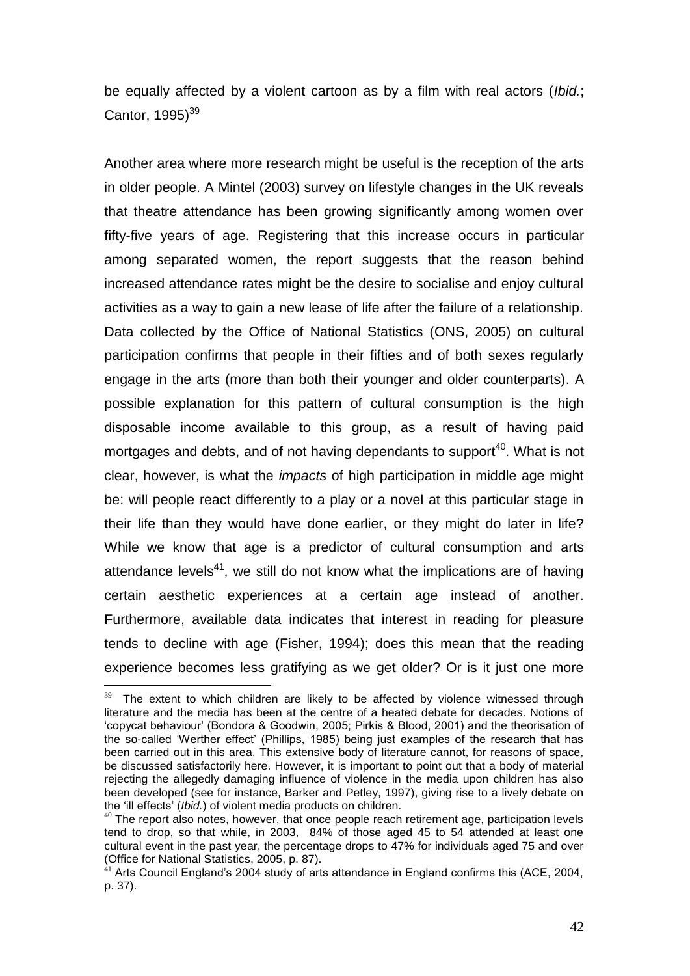be equally affected by a violent cartoon as by a film with real actors (*Ibid.*; Cantor, 1995)<sup>39</sup>

Another area where more research might be useful is the reception of the arts in older people. A Mintel (2003) survey on lifestyle changes in the UK reveals that theatre attendance has been growing significantly among women over fifty-five years of age. Registering that this increase occurs in particular among separated women, the report suggests that the reason behind increased attendance rates might be the desire to socialise and enjoy cultural activities as a way to gain a new lease of life after the failure of a relationship. Data collected by the Office of National Statistics (ONS, 2005) on cultural participation confirms that people in their fifties and of both sexes regularly engage in the arts (more than both their younger and older counterparts). A possible explanation for this pattern of cultural consumption is the high disposable income available to this group, as a result of having paid mortgages and debts, and of not having dependants to support<sup>40</sup>. What is not clear, however, is what the *impacts* of high participation in middle age might be: will people react differently to a play or a novel at this particular stage in their life than they would have done earlier, or they might do later in life? While we know that age is a predictor of cultural consumption and arts attendance levels<sup>41</sup>, we still do not know what the implications are of having certain aesthetic experiences at a certain age instead of another. Furthermore, available data indicates that interest in reading for pleasure tends to decline with age (Fisher, 1994); does this mean that the reading experience becomes less gratifying as we get older? Or is it just one more 1

 $39$  The extent to which children are likely to be affected by violence witnessed through literature and the media has been at the centre of a heated debate for decades. Notions of 'copycat behaviour' (Bondora & Goodwin, 2005; Pirkis & Blood, 2001) and the theorisation of the so-called 'Werther effect' (Phillips, 1985) being just examples of the research that has been carried out in this area. This extensive body of literature cannot, for reasons of space, be discussed satisfactorily here. However, it is important to point out that a body of material rejecting the allegedly damaging influence of violence in the media upon children has also been developed (see for instance, Barker and Petley, 1997), giving rise to a lively debate on the 'ill effects' (*Ibid.*) of violent media products on children.

 $40$  The report also notes, however, that once people reach retirement age, participation levels tend to drop, so that while, in 2003, 84% of those aged 45 to 54 attended at least one cultural event in the past year, the percentage drops to 47% for individuals aged 75 and over (Office for National Statistics, 2005, p. 87).

 $4$  Arts Council England's 2004 study of arts attendance in England confirms this (ACE, 2004, p. 37).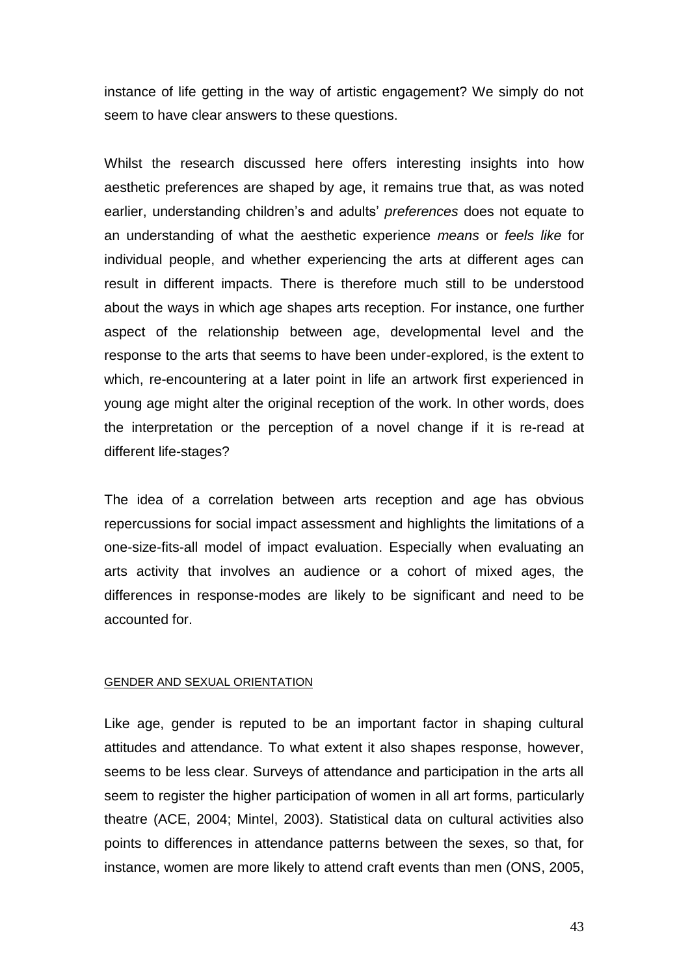instance of life getting in the way of artistic engagement? We simply do not seem to have clear answers to these questions.

Whilst the research discussed here offers interesting insights into how aesthetic preferences are shaped by age, it remains true that, as was noted earlier, understanding children's and adults' *preferences* does not equate to an understanding of what the aesthetic experience *means* or *feels like* for individual people, and whether experiencing the arts at different ages can result in different impacts. There is therefore much still to be understood about the ways in which age shapes arts reception. For instance, one further aspect of the relationship between age, developmental level and the response to the arts that seems to have been under-explored, is the extent to which, re-encountering at a later point in life an artwork first experienced in young age might alter the original reception of the work. In other words, does the interpretation or the perception of a novel change if it is re-read at different life-stages?

The idea of a correlation between arts reception and age has obvious repercussions for social impact assessment and highlights the limitations of a one-size-fits-all model of impact evaluation. Especially when evaluating an arts activity that involves an audience or a cohort of mixed ages, the differences in response-modes are likely to be significant and need to be accounted for.

## GENDER AND SEXUAL ORIENTATION

Like age, gender is reputed to be an important factor in shaping cultural attitudes and attendance. To what extent it also shapes response, however, seems to be less clear. Surveys of attendance and participation in the arts all seem to register the higher participation of women in all art forms, particularly theatre (ACE, 2004; Mintel, 2003). Statistical data on cultural activities also points to differences in attendance patterns between the sexes, so that, for instance, women are more likely to attend craft events than men (ONS, 2005,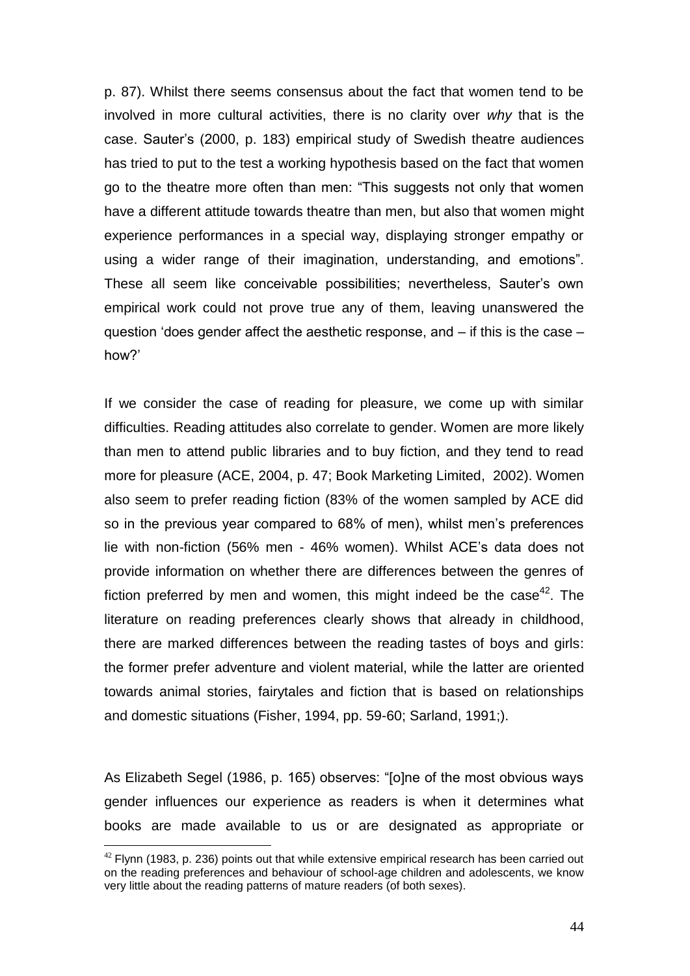p. 87). Whilst there seems consensus about the fact that women tend to be involved in more cultural activities, there is no clarity over *why* that is the case. Sauter's (2000, p. 183) empirical study of Swedish theatre audiences has tried to put to the test a working hypothesis based on the fact that women go to the theatre more often than men: "This suggests not only that women have a different attitude towards theatre than men, but also that women might experience performances in a special way, displaying stronger empathy or using a wider range of their imagination, understanding, and emotions". These all seem like conceivable possibilities; nevertheless, Sauter's own empirical work could not prove true any of them, leaving unanswered the question 'does gender affect the aesthetic response, and – if this is the case – how?'

If we consider the case of reading for pleasure, we come up with similar difficulties. Reading attitudes also correlate to gender. Women are more likely than men to attend public libraries and to buy fiction, and they tend to read more for pleasure (ACE, 2004, p. 47; Book Marketing Limited, 2002). Women also seem to prefer reading fiction (83% of the women sampled by ACE did so in the previous year compared to 68% of men), whilst men's preferences lie with non-fiction (56% men - 46% women). Whilst ACE's data does not provide information on whether there are differences between the genres of fiction preferred by men and women, this might indeed be the case<sup>42</sup>. The literature on reading preferences clearly shows that already in childhood, there are marked differences between the reading tastes of boys and girls: the former prefer adventure and violent material, while the latter are oriented towards animal stories, fairytales and fiction that is based on relationships and domestic situations (Fisher, 1994, pp. 59-60; Sarland, 1991;).

As Elizabeth Segel (1986, p. 165) observes: "[o]ne of the most obvious ways gender influences our experience as readers is when it determines what books are made available to us or are designated as appropriate or

<u>.</u>

 $42$  Flynn (1983, p. 236) points out that while extensive empirical research has been carried out on the reading preferences and behaviour of school-age children and adolescents, we know very little about the reading patterns of mature readers (of both sexes).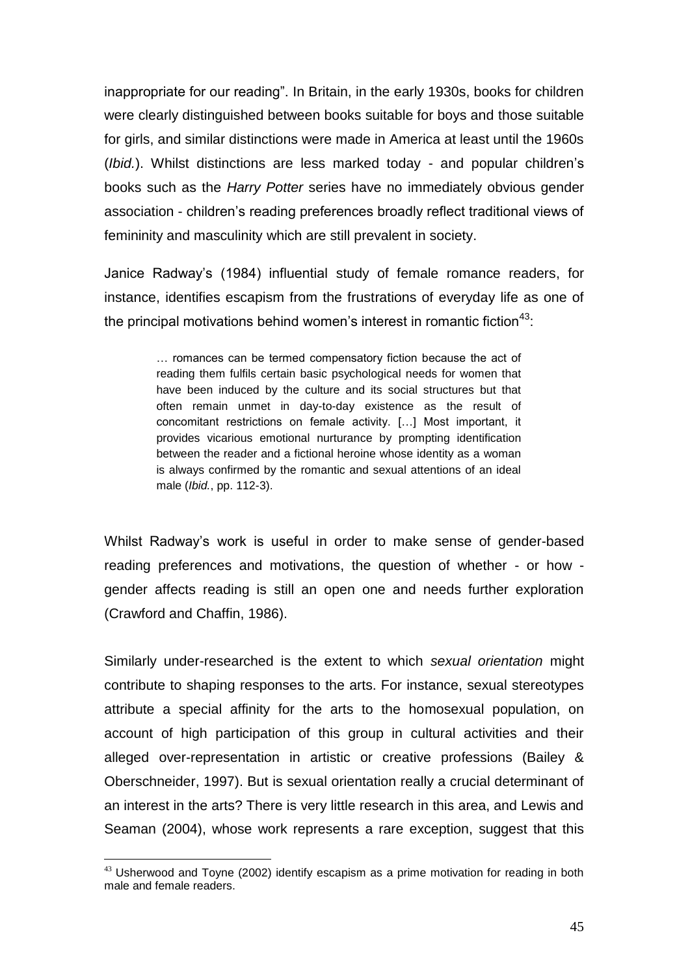inappropriate for our reading". In Britain, in the early 1930s, books for children were clearly distinguished between books suitable for boys and those suitable for girls, and similar distinctions were made in America at least until the 1960s (*Ibid.*). Whilst distinctions are less marked today - and popular children's books such as the *Harry Potter* series have no immediately obvious gender association - children's reading preferences broadly reflect traditional views of femininity and masculinity which are still prevalent in society.

Janice Radway's (1984) influential study of female romance readers, for instance, identifies escapism from the frustrations of everyday life as one of the principal motivations behind women's interest in romantic fiction $43$ :

> … romances can be termed compensatory fiction because the act of reading them fulfils certain basic psychological needs for women that have been induced by the culture and its social structures but that often remain unmet in day-to-day existence as the result of concomitant restrictions on female activity. […] Most important, it provides vicarious emotional nurturance by prompting identification between the reader and a fictional heroine whose identity as a woman is always confirmed by the romantic and sexual attentions of an ideal male (*Ibid.*, pp. 112-3).

Whilst Radway's work is useful in order to make sense of gender-based reading preferences and motivations, the question of whether - or how gender affects reading is still an open one and needs further exploration (Crawford and Chaffin, 1986).

Similarly under-researched is the extent to which *sexual orientation* might contribute to shaping responses to the arts. For instance, sexual stereotypes attribute a special affinity for the arts to the homosexual population, on account of high participation of this group in cultural activities and their alleged over-representation in artistic or creative professions (Bailey & Oberschneider, 1997). But is sexual orientation really a crucial determinant of an interest in the arts? There is very little research in this area, and Lewis and Seaman (2004), whose work represents a rare exception, suggest that this

<u>.</u>

<sup>&</sup>lt;sup>43</sup> Usherwood and Toyne (2002) identify escapism as a prime motivation for reading in both male and female readers.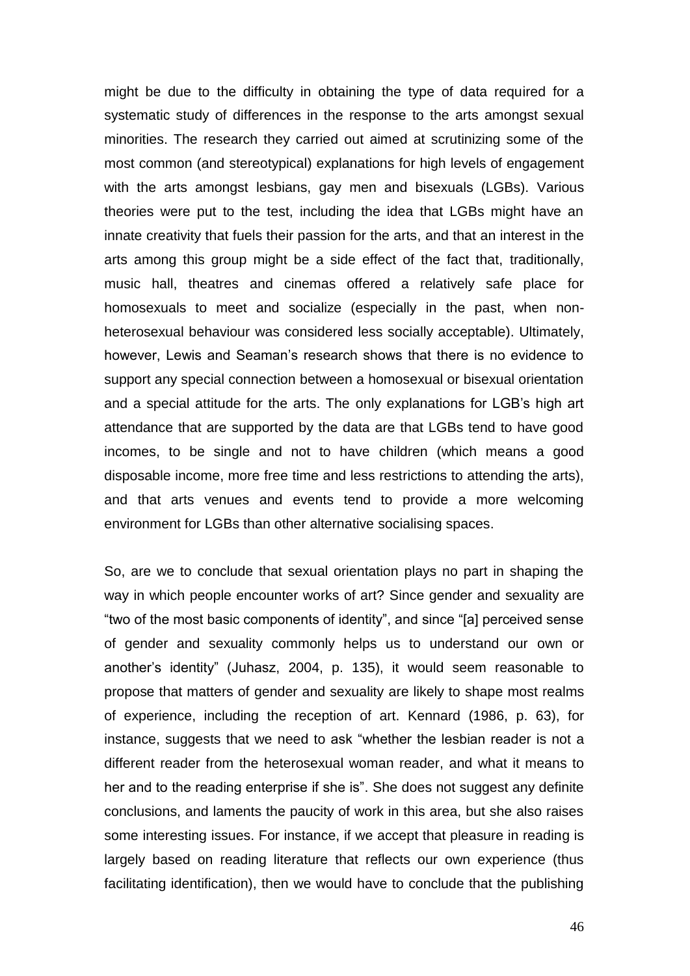might be due to the difficulty in obtaining the type of data required for a systematic study of differences in the response to the arts amongst sexual minorities. The research they carried out aimed at scrutinizing some of the most common (and stereotypical) explanations for high levels of engagement with the arts amongst lesbians, gay men and bisexuals (LGBs). Various theories were put to the test, including the idea that LGBs might have an innate creativity that fuels their passion for the arts, and that an interest in the arts among this group might be a side effect of the fact that, traditionally, music hall, theatres and cinemas offered a relatively safe place for homosexuals to meet and socialize (especially in the past, when nonheterosexual behaviour was considered less socially acceptable). Ultimately, however, Lewis and Seaman's research shows that there is no evidence to support any special connection between a homosexual or bisexual orientation and a special attitude for the arts. The only explanations for LGB's high art attendance that are supported by the data are that LGBs tend to have good incomes, to be single and not to have children (which means a good disposable income, more free time and less restrictions to attending the arts), and that arts venues and events tend to provide a more welcoming environment for LGBs than other alternative socialising spaces.

So, are we to conclude that sexual orientation plays no part in shaping the way in which people encounter works of art? Since gender and sexuality are "two of the most basic components of identity", and since "[a] perceived sense of gender and sexuality commonly helps us to understand our own or another's identity" (Juhasz, 2004, p. 135), it would seem reasonable to propose that matters of gender and sexuality are likely to shape most realms of experience, including the reception of art. Kennard (1986, p. 63), for instance, suggests that we need to ask "whether the lesbian reader is not a different reader from the heterosexual woman reader, and what it means to her and to the reading enterprise if she is". She does not suggest any definite conclusions, and laments the paucity of work in this area, but she also raises some interesting issues. For instance, if we accept that pleasure in reading is largely based on reading literature that reflects our own experience (thus facilitating identification), then we would have to conclude that the publishing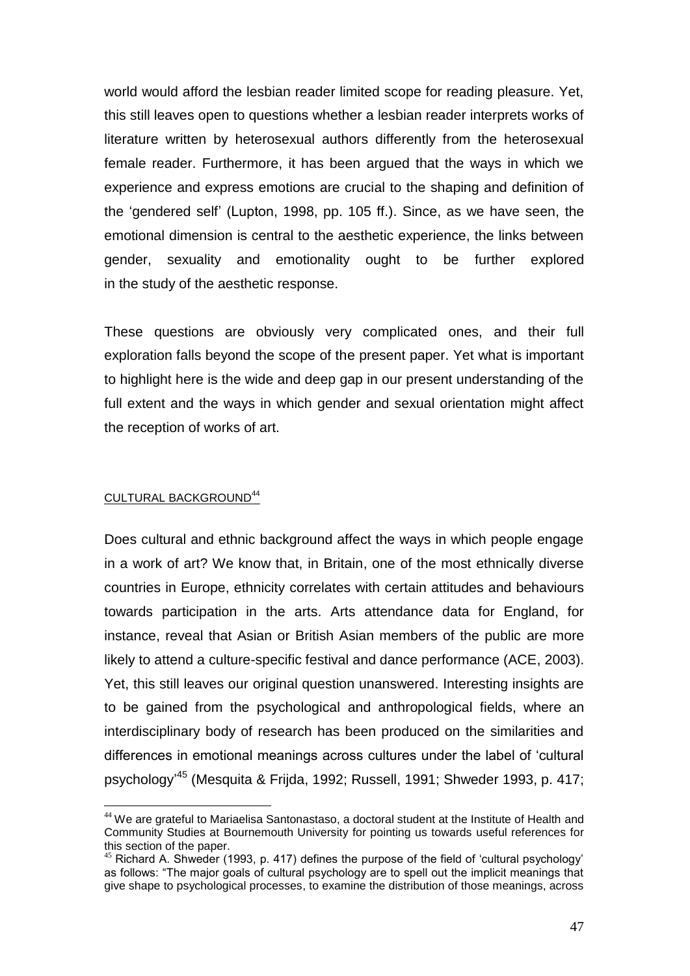world would afford the lesbian reader limited scope for reading pleasure. Yet, this still leaves open to questions whether a lesbian reader interprets works of literature written by heterosexual authors differently from the heterosexual female reader. Furthermore, it has been argued that the ways in which we experience and express emotions are crucial to the shaping and definition of the 'gendered self' (Lupton, 1998, pp. 105 ff.). Since, as we have seen, the emotional dimension is central to the aesthetic experience, the links between gender, sexuality and emotionality ought to be further explored in the study of the aesthetic response.

These questions are obviously very complicated ones, and their full exploration falls beyond the scope of the present paper. Yet what is important to highlight here is the wide and deep gap in our present understanding of the full extent and the ways in which gender and sexual orientation might affect the reception of works of art.

## CULTURAL BACKGROUND<sup>44</sup>

<u>.</u>

Does cultural and ethnic background affect the ways in which people engage in a work of art? We know that, in Britain, one of the most ethnically diverse countries in Europe, ethnicity correlates with certain attitudes and behaviours towards participation in the arts. Arts attendance data for England, for instance, reveal that Asian or British Asian members of the public are more likely to attend a culture-specific festival and dance performance (ACE, 2003). Yet, this still leaves our original question unanswered. Interesting insights are to be gained from the psychological and anthropological fields, where an interdisciplinary body of research has been produced on the similarities and differences in emotional meanings across cultures under the label of 'cultural psychology' <sup>45</sup> (Mesquita & Frijda, 1992; Russell, 1991; Shweder 1993, p. 417;

<sup>&</sup>lt;sup>44</sup> We are grateful to Mariaelisa Santonastaso, a doctoral student at the Institute of Health and Community Studies at Bournemouth University for pointing us towards useful references for this section of the paper.

<sup>&</sup>lt;sup>45</sup> Richard A. Shweder (1993, p. 417) defines the purpose of the field of 'cultural psychology' as follows: "The major goals of cultural psychology are to spell out the implicit meanings that give shape to psychological processes, to examine the distribution of those meanings, across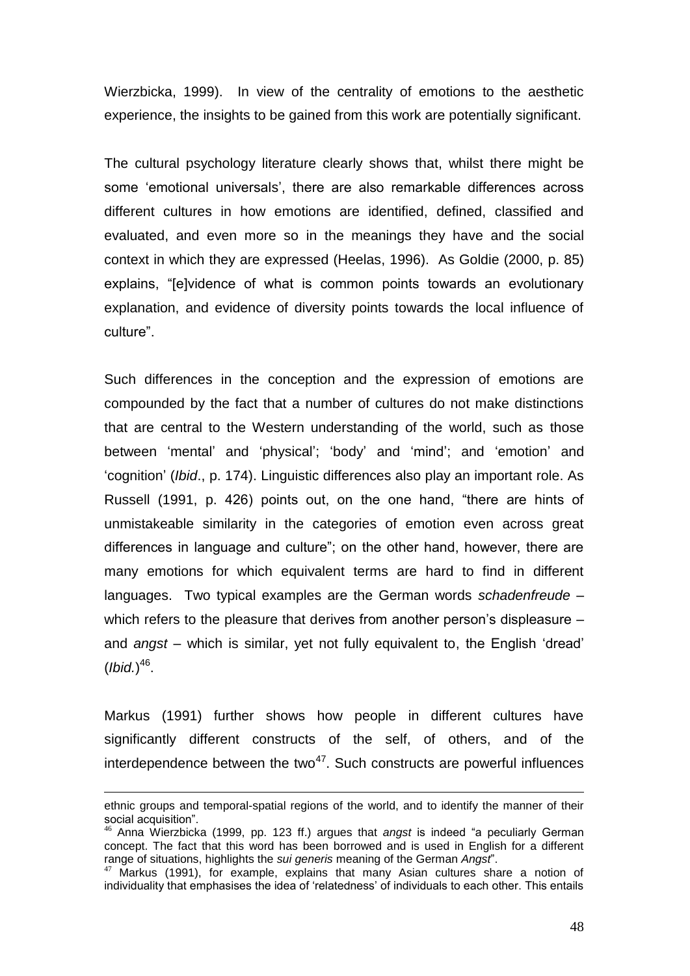Wierzbicka, 1999). In view of the centrality of emotions to the aesthetic experience, the insights to be gained from this work are potentially significant.

The cultural psychology literature clearly shows that, whilst there might be some 'emotional universals', there are also remarkable differences across different cultures in how emotions are identified, defined, classified and evaluated, and even more so in the meanings they have and the social context in which they are expressed (Heelas, 1996). As Goldie (2000, p. 85) explains, "[e]vidence of what is common points towards an evolutionary explanation, and evidence of diversity points towards the local influence of culture".

Such differences in the conception and the expression of emotions are compounded by the fact that a number of cultures do not make distinctions that are central to the Western understanding of the world, such as those between 'mental' and 'physical'; 'body' and 'mind'; and 'emotion' and 'cognition' (*Ibid*., p. 174). Linguistic differences also play an important role. As Russell (1991, p. 426) points out, on the one hand, "there are hints of unmistakeable similarity in the categories of emotion even across great differences in language and culture"; on the other hand, however, there are many emotions for which equivalent terms are hard to find in different languages. Two typical examples are the German words *schadenfreude* – which refers to the pleasure that derives from another person's displeasure – and *angst* – which is similar, yet not fully equivalent to, the English 'dread'  $(Ibid.)^{46}$ .

Markus (1991) further shows how people in different cultures have significantly different constructs of the self, of others, and of the interdependence between the two $47$ . Such constructs are powerful influences

ethnic groups and temporal-spatial regions of the world, and to identify the manner of their social acquisition".

<sup>46</sup> Anna Wierzbicka (1999, pp. 123 ff.) argues that *angst* is indeed "a peculiarly German concept. The fact that this word has been borrowed and is used in English for a different range of situations, highlights the *sui generis* meaning of the German *Angst*".

 $47$  Markus (1991), for example, explains that many Asian cultures share a notion of individuality that emphasises the idea of 'relatedness' of individuals to each other. This entails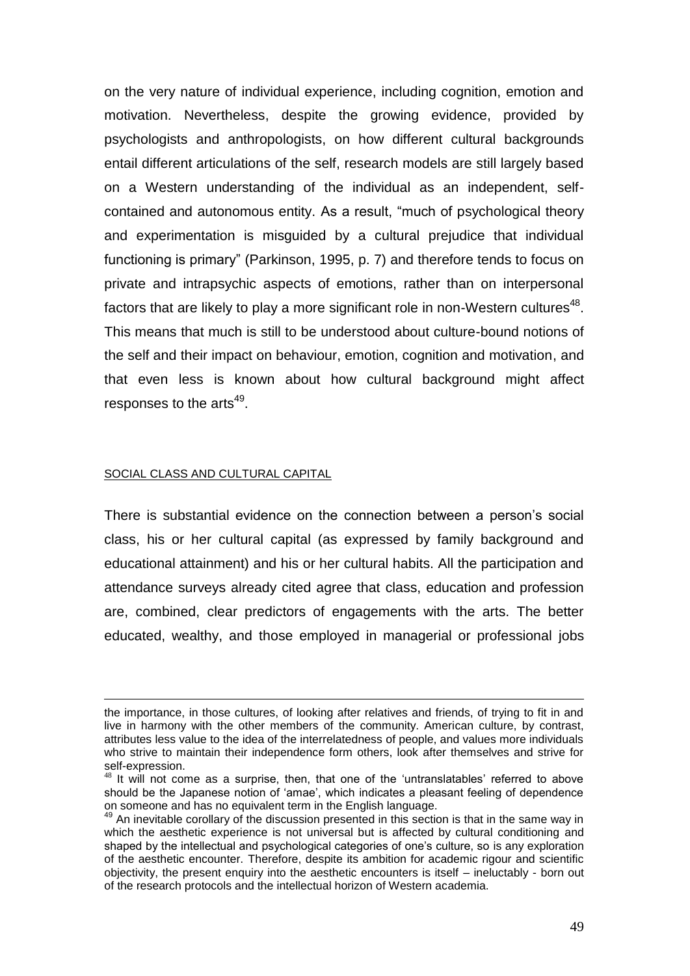on the very nature of individual experience, including cognition, emotion and motivation. Nevertheless, despite the growing evidence, provided by psychologists and anthropologists, on how different cultural backgrounds entail different articulations of the self, research models are still largely based on a Western understanding of the individual as an independent, selfcontained and autonomous entity. As a result, "much of psychological theory and experimentation is misguided by a cultural prejudice that individual functioning is primary" (Parkinson, 1995, p. 7) and therefore tends to focus on private and intrapsychic aspects of emotions, rather than on interpersonal factors that are likely to play a more significant role in non-Western cultures<sup>48</sup>. This means that much is still to be understood about culture-bound notions of the self and their impact on behaviour, emotion, cognition and motivation, and that even less is known about how cultural background might affect responses to the arts<sup>49</sup>.

#### SOCIAL CLASS AND CULTURAL CAPITAL

1

There is substantial evidence on the connection between a person's social class, his or her cultural capital (as expressed by family background and educational attainment) and his or her cultural habits. All the participation and attendance surveys already cited agree that class, education and profession are, combined, clear predictors of engagements with the arts. The better educated, wealthy, and those employed in managerial or professional jobs

the importance, in those cultures, of looking after relatives and friends, of trying to fit in and live in harmony with the other members of the community. American culture, by contrast, attributes less value to the idea of the interrelatedness of people, and values more individuals who strive to maintain their independence form others, look after themselves and strive for self-expression.

 $48$  It will not come as a surprise, then, that one of the 'untranslatables' referred to above should be the Japanese notion of 'amae', which indicates a pleasant feeling of dependence on someone and has no equivalent term in the English language.

 $49$  An inevitable corollary of the discussion presented in this section is that in the same way in which the aesthetic experience is not universal but is affected by cultural conditioning and shaped by the intellectual and psychological categories of one's culture, so is any exploration of the aesthetic encounter. Therefore, despite its ambition for academic rigour and scientific objectivity, the present enquiry into the aesthetic encounters is itself – ineluctably - born out of the research protocols and the intellectual horizon of Western academia.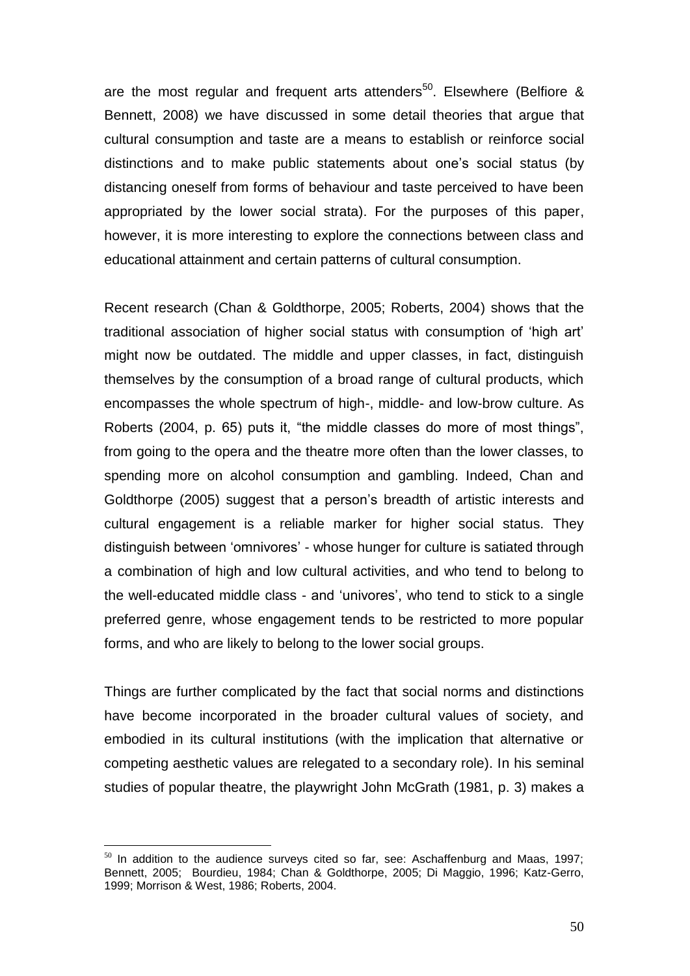are the most regular and frequent arts attenders<sup>50</sup>. Elsewhere (Belfiore & Bennett, 2008) we have discussed in some detail theories that argue that cultural consumption and taste are a means to establish or reinforce social distinctions and to make public statements about one's social status (by distancing oneself from forms of behaviour and taste perceived to have been appropriated by the lower social strata). For the purposes of this paper, however, it is more interesting to explore the connections between class and educational attainment and certain patterns of cultural consumption.

Recent research (Chan & Goldthorpe, 2005; Roberts, 2004) shows that the traditional association of higher social status with consumption of 'high art' might now be outdated. The middle and upper classes, in fact, distinguish themselves by the consumption of a broad range of cultural products, which encompasses the whole spectrum of high-, middle- and low-brow culture. As Roberts (2004, p. 65) puts it, "the middle classes do more of most things", from going to the opera and the theatre more often than the lower classes, to spending more on alcohol consumption and gambling. Indeed, Chan and Goldthorpe (2005) suggest that a person's breadth of artistic interests and cultural engagement is a reliable marker for higher social status. They distinguish between 'omnivores' - whose hunger for culture is satiated through a combination of high and low cultural activities, and who tend to belong to the well-educated middle class - and 'univores', who tend to stick to a single preferred genre, whose engagement tends to be restricted to more popular forms, and who are likely to belong to the lower social groups.

Things are further complicated by the fact that social norms and distinctions have become incorporated in the broader cultural values of society, and embodied in its cultural institutions (with the implication that alternative or competing aesthetic values are relegated to a secondary role). In his seminal studies of popular theatre, the playwright John McGrath (1981, p. 3) makes a

<u>.</u>

 $50$  In addition to the audience surveys cited so far, see: Aschaffenburg and Maas, 1997; Bennett, 2005; Bourdieu, 1984; Chan & Goldthorpe, 2005; Di Maggio, 1996; Katz-Gerro, 1999; Morrison & West, 1986; Roberts, 2004.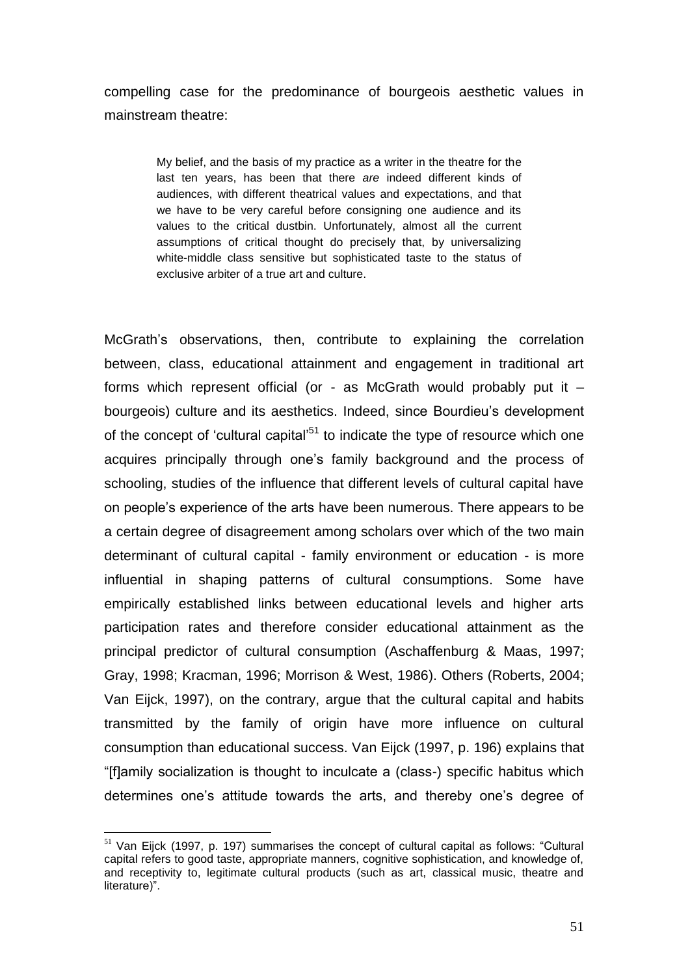compelling case for the predominance of bourgeois aesthetic values in mainstream theatre:

> My belief, and the basis of my practice as a writer in the theatre for the last ten years, has been that there *are* indeed different kinds of audiences, with different theatrical values and expectations, and that we have to be very careful before consigning one audience and its values to the critical dustbin. Unfortunately, almost all the current assumptions of critical thought do precisely that, by universalizing white-middle class sensitive but sophisticated taste to the status of exclusive arbiter of a true art and culture.

McGrath's observations, then, contribute to explaining the correlation between, class, educational attainment and engagement in traditional art forms which represent official (or - as McGrath would probably put it  $$ bourgeois) culture and its aesthetics. Indeed, since Bourdieu's development of the concept of 'cultural capital'<sup>51</sup> to indicate the type of resource which one acquires principally through one's family background and the process of schooling, studies of the influence that different levels of cultural capital have on people's experience of the arts have been numerous. There appears to be a certain degree of disagreement among scholars over which of the two main determinant of cultural capital - family environment or education - is more influential in shaping patterns of cultural consumptions. Some have empirically established links between educational levels and higher arts participation rates and therefore consider educational attainment as the principal predictor of cultural consumption (Aschaffenburg & Maas, 1997; Gray, 1998; Kracman, 1996; Morrison & West, 1986). Others (Roberts, 2004; Van Eijck, 1997), on the contrary, argue that the cultural capital and habits transmitted by the family of origin have more influence on cultural consumption than educational success. Van Eijck (1997, p. 196) explains that "[f]amily socialization is thought to inculcate a (class-) specific habitus which determines one's attitude towards the arts, and thereby one's degree of

 $51$  Van Eijck (1997, p. 197) summarises the concept of cultural capital as follows: "Cultural capital refers to good taste, appropriate manners, cognitive sophistication, and knowledge of, and receptivity to, legitimate cultural products (such as art, classical music, theatre and literature)".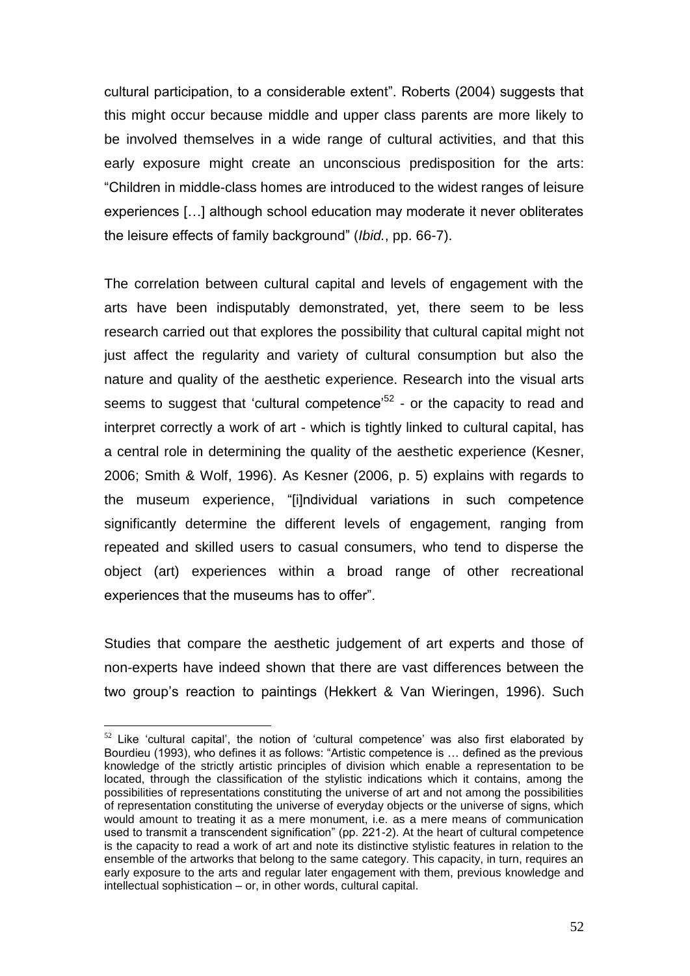cultural participation, to a considerable extent". Roberts (2004) suggests that this might occur because middle and upper class parents are more likely to be involved themselves in a wide range of cultural activities, and that this early exposure might create an unconscious predisposition for the arts: "Children in middle-class homes are introduced to the widest ranges of leisure experiences […] although school education may moderate it never obliterates the leisure effects of family background" (*Ibid.*, pp. 66-7).

The correlation between cultural capital and levels of engagement with the arts have been indisputably demonstrated, yet, there seem to be less research carried out that explores the possibility that cultural capital might not just affect the regularity and variety of cultural consumption but also the nature and quality of the aesthetic experience. Research into the visual arts seems to suggest that 'cultural competence' $52$  - or the capacity to read and interpret correctly a work of art - which is tightly linked to cultural capital, has a central role in determining the quality of the aesthetic experience (Kesner, 2006; Smith & Wolf, 1996). As Kesner (2006, p. 5) explains with regards to the museum experience, "[i]ndividual variations in such competence significantly determine the different levels of engagement, ranging from repeated and skilled users to casual consumers, who tend to disperse the object (art) experiences within a broad range of other recreational experiences that the museums has to offer".

Studies that compare the aesthetic judgement of art experts and those of non-experts have indeed shown that there are vast differences between the two group's reaction to paintings (Hekkert & Van Wieringen, 1996). Such

 $52$  Like 'cultural capital', the notion of 'cultural competence' was also first elaborated by Bourdieu (1993), who defines it as follows: "Artistic competence is … defined as the previous knowledge of the strictly artistic principles of division which enable a representation to be located, through the classification of the stylistic indications which it contains, among the possibilities of representations constituting the universe of art and not among the possibilities of representation constituting the universe of everyday objects or the universe of signs, which would amount to treating it as a mere monument, i.e. as a mere means of communication used to transmit a transcendent signification" (pp. 221-2). At the heart of cultural competence is the capacity to read a work of art and note its distinctive stylistic features in relation to the ensemble of the artworks that belong to the same category. This capacity, in turn, requires an early exposure to the arts and regular later engagement with them, previous knowledge and intellectual sophistication – or, in other words, cultural capital.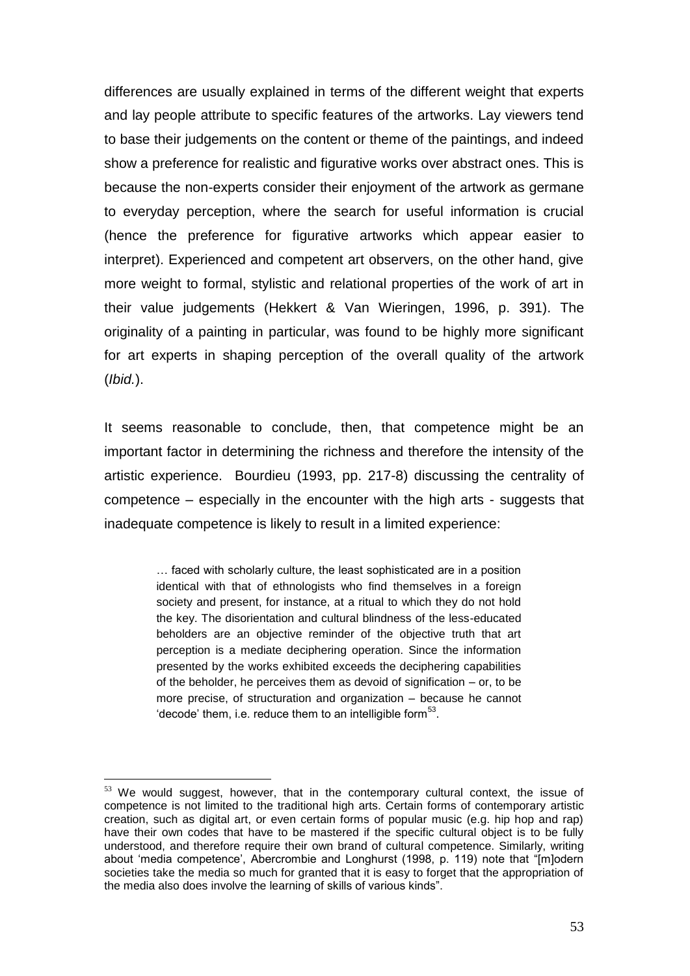differences are usually explained in terms of the different weight that experts and lay people attribute to specific features of the artworks. Lay viewers tend to base their judgements on the content or theme of the paintings, and indeed show a preference for realistic and figurative works over abstract ones. This is because the non-experts consider their enjoyment of the artwork as germane to everyday perception, where the search for useful information is crucial (hence the preference for figurative artworks which appear easier to interpret). Experienced and competent art observers, on the other hand, give more weight to formal, stylistic and relational properties of the work of art in their value judgements (Hekkert & Van Wieringen, 1996, p. 391). The originality of a painting in particular, was found to be highly more significant for art experts in shaping perception of the overall quality of the artwork (*Ibid.*).

It seems reasonable to conclude, then, that competence might be an important factor in determining the richness and therefore the intensity of the artistic experience. Bourdieu (1993, pp. 217-8) discussing the centrality of competence – especially in the encounter with the high arts - suggests that inadequate competence is likely to result in a limited experience:

> … faced with scholarly culture, the least sophisticated are in a position identical with that of ethnologists who find themselves in a foreign society and present, for instance, at a ritual to which they do not hold the key. The disorientation and cultural blindness of the less-educated beholders are an objective reminder of the objective truth that art perception is a mediate deciphering operation. Since the information presented by the works exhibited exceeds the deciphering capabilities of the beholder, he perceives them as devoid of signification – or, to be more precise, of structuration and organization – because he cannot 'decode' them, i.e. reduce them to an intelligible form $^{53}$ .

<sup>53</sup> We would suggest, however, that in the contemporary cultural context, the issue of competence is not limited to the traditional high arts. Certain forms of contemporary artistic creation, such as digital art, or even certain forms of popular music (e.g. hip hop and rap) have their own codes that have to be mastered if the specific cultural object is to be fully understood, and therefore require their own brand of cultural competence. Similarly, writing about 'media competence', Abercrombie and Longhurst (1998, p. 119) note that "[m]odern societies take the media so much for granted that it is easy to forget that the appropriation of the media also does involve the learning of skills of various kinds".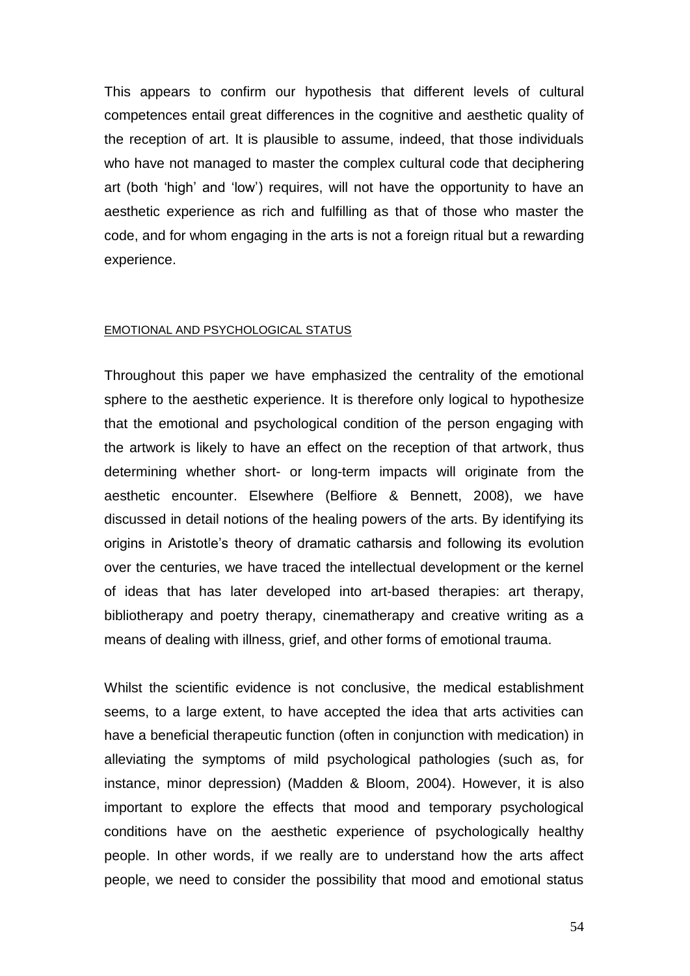This appears to confirm our hypothesis that different levels of cultural competences entail great differences in the cognitive and aesthetic quality of the reception of art. It is plausible to assume, indeed, that those individuals who have not managed to master the complex cultural code that deciphering art (both 'high' and 'low') requires, will not have the opportunity to have an aesthetic experience as rich and fulfilling as that of those who master the code, and for whom engaging in the arts is not a foreign ritual but a rewarding experience.

### EMOTIONAL AND PSYCHOLOGICAL STATUS

Throughout this paper we have emphasized the centrality of the emotional sphere to the aesthetic experience. It is therefore only logical to hypothesize that the emotional and psychological condition of the person engaging with the artwork is likely to have an effect on the reception of that artwork, thus determining whether short- or long-term impacts will originate from the aesthetic encounter. Elsewhere (Belfiore & Bennett, 2008), we have discussed in detail notions of the healing powers of the arts. By identifying its origins in Aristotle's theory of dramatic catharsis and following its evolution over the centuries, we have traced the intellectual development or the kernel of ideas that has later developed into art-based therapies: art therapy, bibliotherapy and poetry therapy, cinematherapy and creative writing as a means of dealing with illness, grief, and other forms of emotional trauma.

Whilst the scientific evidence is not conclusive, the medical establishment seems, to a large extent, to have accepted the idea that arts activities can have a beneficial therapeutic function (often in conjunction with medication) in alleviating the symptoms of mild psychological pathologies (such as, for instance, minor depression) (Madden & Bloom, 2004). However, it is also important to explore the effects that mood and temporary psychological conditions have on the aesthetic experience of psychologically healthy people. In other words, if we really are to understand how the arts affect people, we need to consider the possibility that mood and emotional status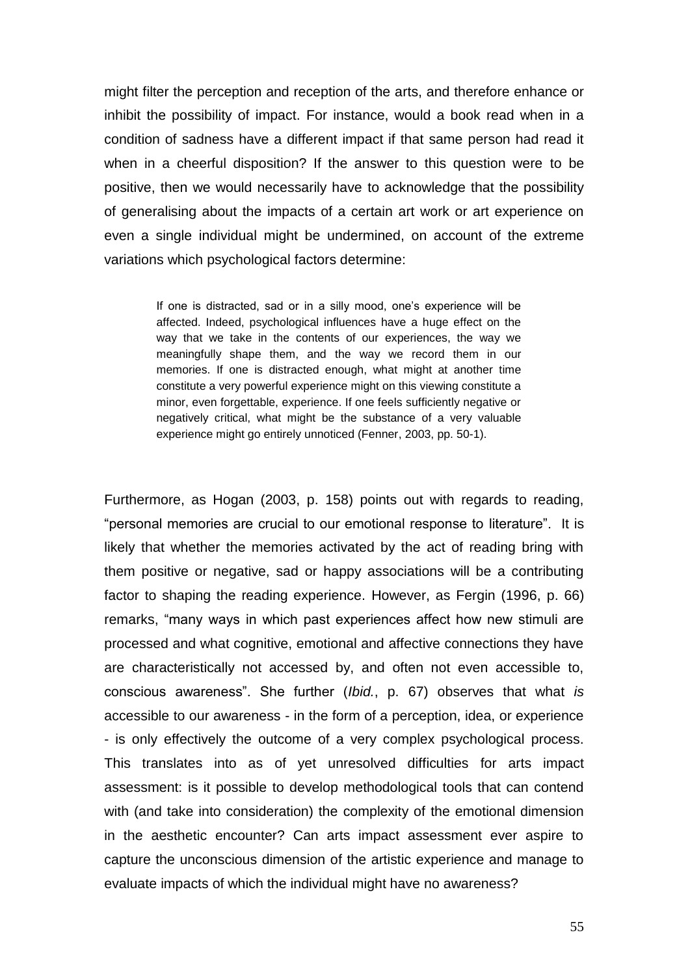might filter the perception and reception of the arts, and therefore enhance or inhibit the possibility of impact. For instance, would a book read when in a condition of sadness have a different impact if that same person had read it when in a cheerful disposition? If the answer to this question were to be positive, then we would necessarily have to acknowledge that the possibility of generalising about the impacts of a certain art work or art experience on even a single individual might be undermined, on account of the extreme variations which psychological factors determine:

> If one is distracted, sad or in a silly mood, one's experience will be affected. Indeed, psychological influences have a huge effect on the way that we take in the contents of our experiences, the way we meaningfully shape them, and the way we record them in our memories. If one is distracted enough, what might at another time constitute a very powerful experience might on this viewing constitute a minor, even forgettable, experience. If one feels sufficiently negative or negatively critical, what might be the substance of a very valuable experience might go entirely unnoticed (Fenner, 2003, pp. 50-1).

Furthermore, as Hogan (2003, p. 158) points out with regards to reading, "personal memories are crucial to our emotional response to literature". It is likely that whether the memories activated by the act of reading bring with them positive or negative, sad or happy associations will be a contributing factor to shaping the reading experience. However, as Fergin (1996, p. 66) remarks, "many ways in which past experiences affect how new stimuli are processed and what cognitive, emotional and affective connections they have are characteristically not accessed by, and often not even accessible to, conscious awareness". She further (*Ibid.*, p. 67) observes that what *is* accessible to our awareness - in the form of a perception, idea, or experience - is only effectively the outcome of a very complex psychological process. This translates into as of yet unresolved difficulties for arts impact assessment: is it possible to develop methodological tools that can contend with (and take into consideration) the complexity of the emotional dimension in the aesthetic encounter? Can arts impact assessment ever aspire to capture the unconscious dimension of the artistic experience and manage to evaluate impacts of which the individual might have no awareness?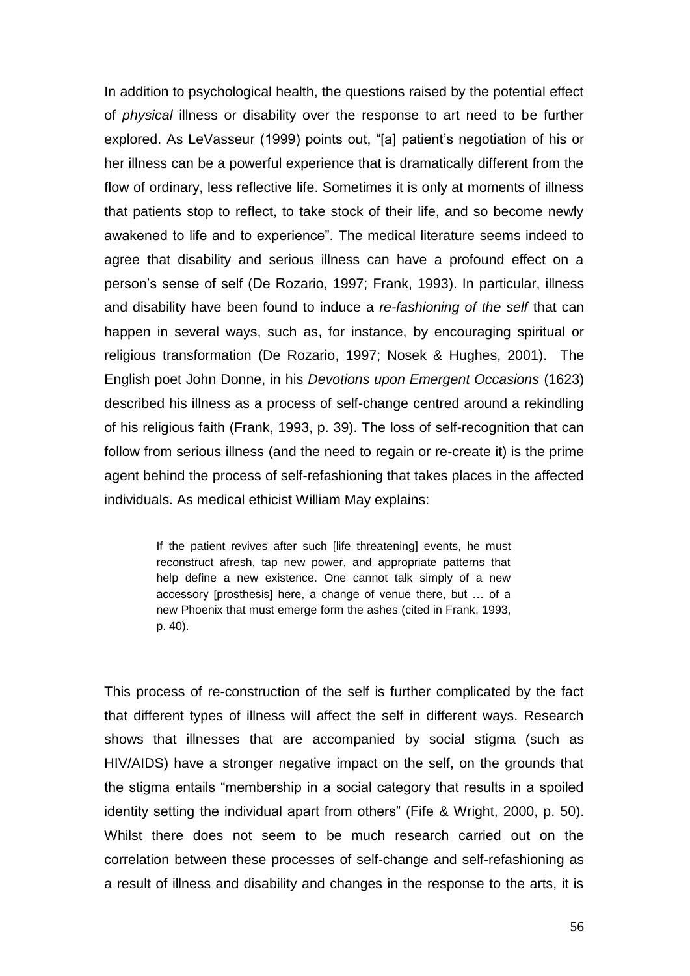In addition to psychological health, the questions raised by the potential effect of *physical* illness or disability over the response to art need to be further explored. As LeVasseur (1999) points out, "[a] patient's negotiation of his or her illness can be a powerful experience that is dramatically different from the flow of ordinary, less reflective life. Sometimes it is only at moments of illness that patients stop to reflect, to take stock of their life, and so become newly awakened to life and to experience". The medical literature seems indeed to agree that disability and serious illness can have a profound effect on a person's sense of self (De Rozario, 1997; Frank, 1993). In particular, illness and disability have been found to induce a *re-fashioning of the self* that can happen in several ways, such as, for instance, by encouraging spiritual or religious transformation (De Rozario, 1997; Nosek & Hughes, 2001). The English poet John Donne, in his *Devotions upon Emergent Occasions* (1623) described his illness as a process of self-change centred around a rekindling of his religious faith (Frank, 1993, p. 39). The loss of self-recognition that can follow from serious illness (and the need to regain or re-create it) is the prime agent behind the process of self-refashioning that takes places in the affected individuals. As medical ethicist William May explains:

> If the patient revives after such [life threatening] events, he must reconstruct afresh, tap new power, and appropriate patterns that help define a new existence. One cannot talk simply of a new accessory [prosthesis] here, a change of venue there, but … of a new Phoenix that must emerge form the ashes (cited in Frank, 1993, p. 40).

This process of re-construction of the self is further complicated by the fact that different types of illness will affect the self in different ways. Research shows that illnesses that are accompanied by social stigma (such as HIV/AIDS) have a stronger negative impact on the self, on the grounds that the stigma entails "membership in a social category that results in a spoiled identity setting the individual apart from others" (Fife & Wright, 2000, p. 50). Whilst there does not seem to be much research carried out on the correlation between these processes of self-change and self-refashioning as a result of illness and disability and changes in the response to the arts, it is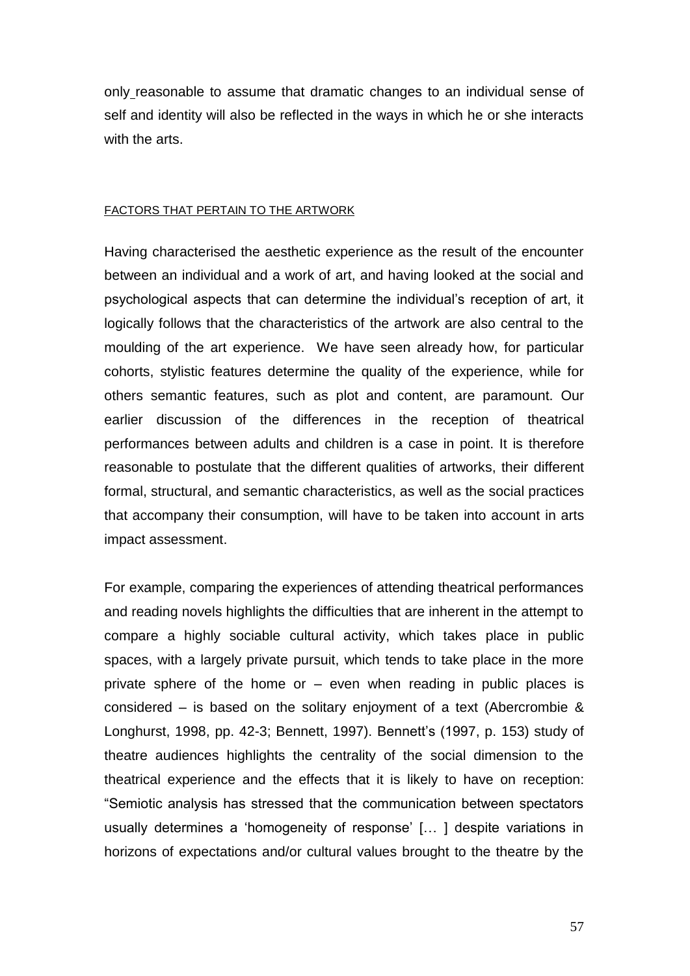only reasonable to assume that dramatic changes to an individual sense of self and identity will also be reflected in the ways in which he or she interacts with the arts.

# FACTORS THAT PERTAIN TO THE ARTWORK

Having characterised the aesthetic experience as the result of the encounter between an individual and a work of art, and having looked at the social and psychological aspects that can determine the individual's reception of art, it logically follows that the characteristics of the artwork are also central to the moulding of the art experience. We have seen already how, for particular cohorts, stylistic features determine the quality of the experience, while for others semantic features, such as plot and content, are paramount. Our earlier discussion of the differences in the reception of theatrical performances between adults and children is a case in point. It is therefore reasonable to postulate that the different qualities of artworks, their different formal, structural, and semantic characteristics, as well as the social practices that accompany their consumption, will have to be taken into account in arts impact assessment.

For example, comparing the experiences of attending theatrical performances and reading novels highlights the difficulties that are inherent in the attempt to compare a highly sociable cultural activity, which takes place in public spaces, with a largely private pursuit, which tends to take place in the more private sphere of the home or – even when reading in public places is considered – is based on the solitary enjoyment of a text (Abercrombie & Longhurst, 1998, pp. 42-3; Bennett, 1997). Bennett's (1997, p. 153) study of theatre audiences highlights the centrality of the social dimension to the theatrical experience and the effects that it is likely to have on reception: "Semiotic analysis has stressed that the communication between spectators usually determines a 'homogeneity of response' [… ] despite variations in horizons of expectations and/or cultural values brought to the theatre by the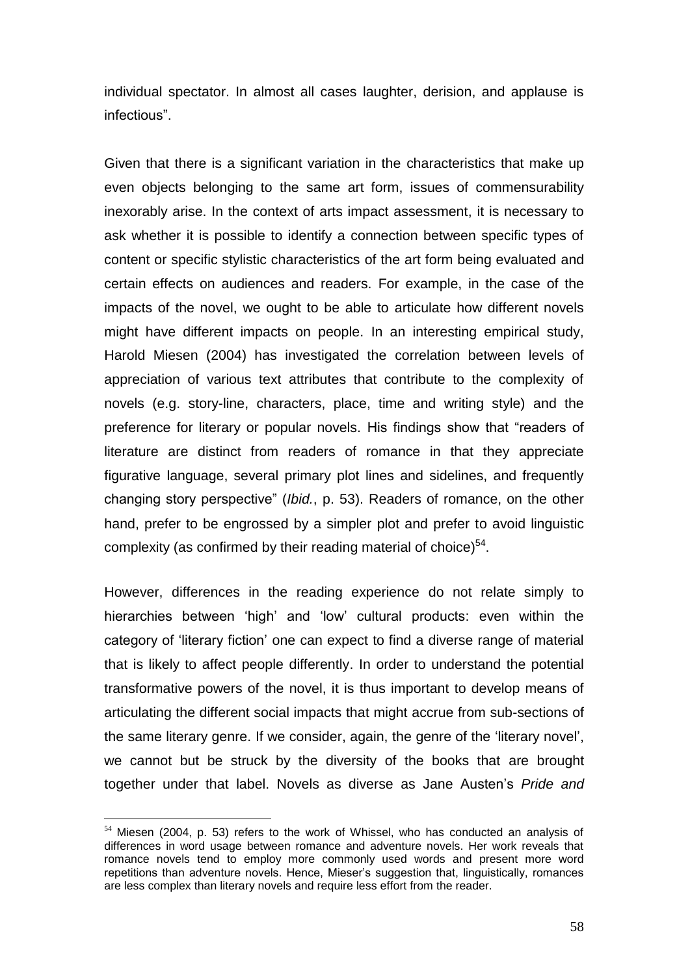individual spectator. In almost all cases laughter, derision, and applause is infectious".

Given that there is a significant variation in the characteristics that make up even objects belonging to the same art form, issues of commensurability inexorably arise. In the context of arts impact assessment, it is necessary to ask whether it is possible to identify a connection between specific types of content or specific stylistic characteristics of the art form being evaluated and certain effects on audiences and readers. For example, in the case of the impacts of the novel, we ought to be able to articulate how different novels might have different impacts on people. In an interesting empirical study, Harold Miesen (2004) has investigated the correlation between levels of appreciation of various text attributes that contribute to the complexity of novels (e.g. story-line, characters, place, time and writing style) and the preference for literary or popular novels. His findings show that "readers of literature are distinct from readers of romance in that they appreciate figurative language, several primary plot lines and sidelines, and frequently changing story perspective" (*Ibid.*, p. 53). Readers of romance, on the other hand, prefer to be engrossed by a simpler plot and prefer to avoid linguistic complexity (as confirmed by their reading material of choice) $54$ .

However, differences in the reading experience do not relate simply to hierarchies between 'high' and 'low' cultural products: even within the category of 'literary fiction' one can expect to find a diverse range of material that is likely to affect people differently. In order to understand the potential transformative powers of the novel, it is thus important to develop means of articulating the different social impacts that might accrue from sub-sections of the same literary genre. If we consider, again, the genre of the 'literary novel', we cannot but be struck by the diversity of the books that are brought together under that label. Novels as diverse as Jane Austen's *Pride and* 

<sup>54</sup> Miesen (2004, p. 53) refers to the work of Whissel, who has conducted an analysis of differences in word usage between romance and adventure novels. Her work reveals that romance novels tend to employ more commonly used words and present more word repetitions than adventure novels. Hence, Mieser's suggestion that, linguistically, romances are less complex than literary novels and require less effort from the reader.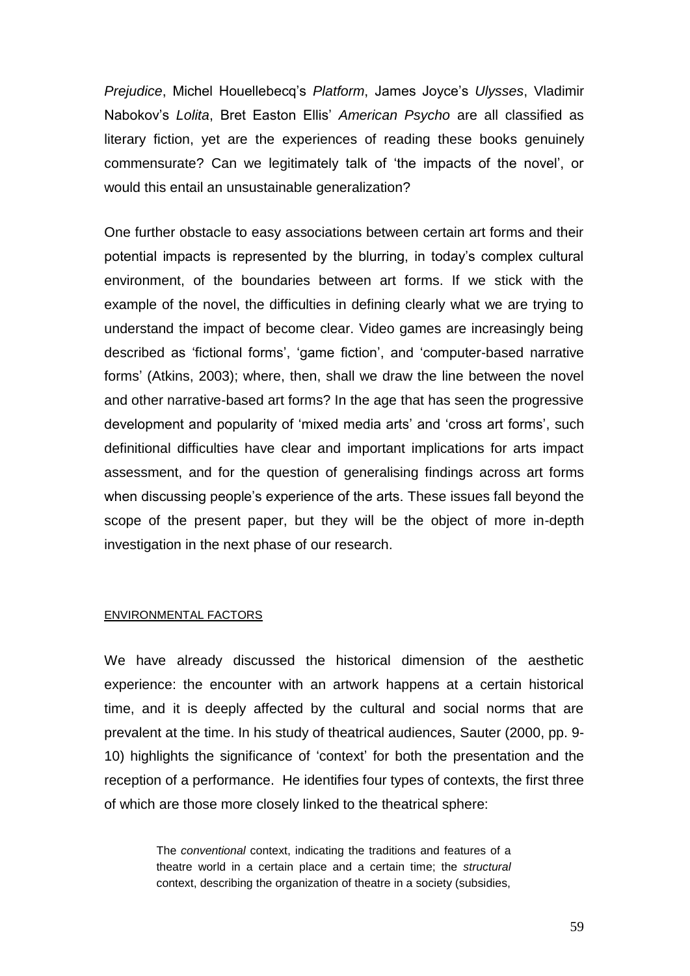*Prejudice*, Michel Houellebecq's *Platform*, James Joyce's *Ulysses*, Vladimir Nabokov's *Lolita*, Bret Easton Ellis' *American Psycho* are all classified as literary fiction, yet are the experiences of reading these books genuinely commensurate? Can we legitimately talk of 'the impacts of the novel', or would this entail an unsustainable generalization?

One further obstacle to easy associations between certain art forms and their potential impacts is represented by the blurring, in today's complex cultural environment, of the boundaries between art forms. If we stick with the example of the novel, the difficulties in defining clearly what we are trying to understand the impact of become clear. Video games are increasingly being described as 'fictional forms', 'game fiction', and 'computer-based narrative forms' (Atkins, 2003); where, then, shall we draw the line between the novel and other narrative-based art forms? In the age that has seen the progressive development and popularity of 'mixed media arts' and 'cross art forms', such definitional difficulties have clear and important implications for arts impact assessment, and for the question of generalising findings across art forms when discussing people's experience of the arts. These issues fall beyond the scope of the present paper, but they will be the object of more in-depth investigation in the next phase of our research.

## ENVIRONMENTAL FACTORS

We have already discussed the historical dimension of the aesthetic experience: the encounter with an artwork happens at a certain historical time, and it is deeply affected by the cultural and social norms that are prevalent at the time. In his study of theatrical audiences, Sauter (2000, pp. 9- 10) highlights the significance of 'context' for both the presentation and the reception of a performance. He identifies four types of contexts, the first three of which are those more closely linked to the theatrical sphere:

> The *conventional* context, indicating the traditions and features of a theatre world in a certain place and a certain time; the *structural* context, describing the organization of theatre in a society (subsidies,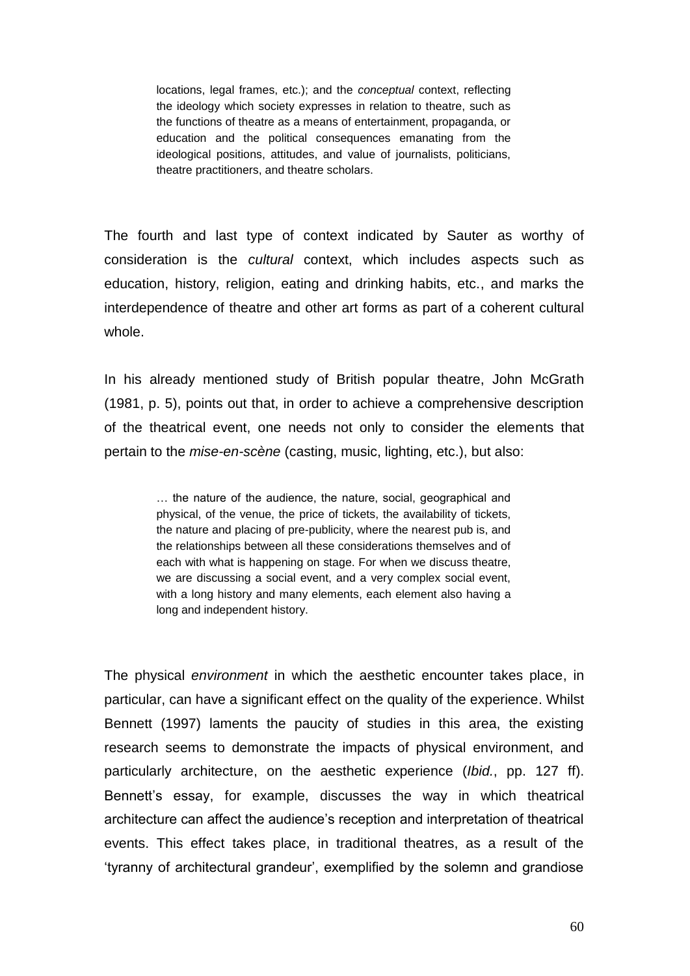locations, legal frames, etc.); and the *conceptual* context, reflecting the ideology which society expresses in relation to theatre, such as the functions of theatre as a means of entertainment, propaganda, or education and the political consequences emanating from the ideological positions, attitudes, and value of journalists, politicians, theatre practitioners, and theatre scholars.

The fourth and last type of context indicated by Sauter as worthy of consideration is the *cultural* context, which includes aspects such as education, history, religion, eating and drinking habits, etc., and marks the interdependence of theatre and other art forms as part of a coherent cultural whole.

In his already mentioned study of British popular theatre, John McGrath (1981, p. 5), points out that, in order to achieve a comprehensive description of the theatrical event, one needs not only to consider the elements that pertain to the *mise-en-scène* (casting, music, lighting, etc.), but also:

> … the nature of the audience, the nature, social, geographical and physical, of the venue, the price of tickets, the availability of tickets, the nature and placing of pre-publicity, where the nearest pub is, and the relationships between all these considerations themselves and of each with what is happening on stage. For when we discuss theatre, we are discussing a social event, and a very complex social event, with a long history and many elements, each element also having a long and independent history.

The physical *environment* in which the aesthetic encounter takes place, in particular, can have a significant effect on the quality of the experience. Whilst Bennett (1997) laments the paucity of studies in this area, the existing research seems to demonstrate the impacts of physical environment, and particularly architecture, on the aesthetic experience (*Ibid.*, pp. 127 ff). Bennett's essay, for example, discusses the way in which theatrical architecture can affect the audience's reception and interpretation of theatrical events. This effect takes place, in traditional theatres, as a result of the 'tyranny of architectural grandeur', exemplified by the solemn and grandiose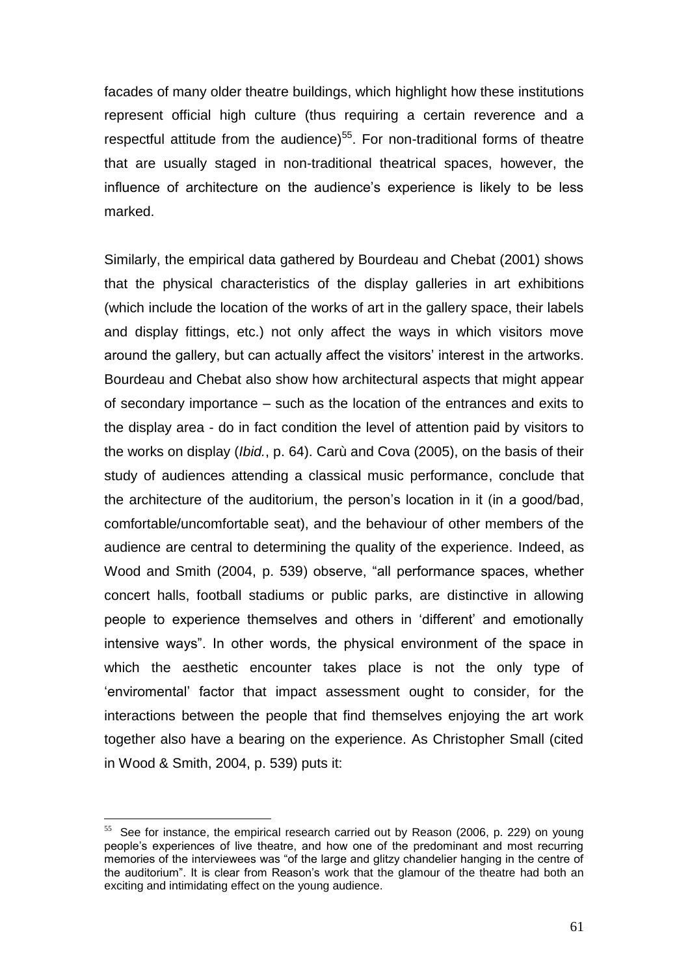facades of many older theatre buildings, which highlight how these institutions represent official high culture (thus requiring a certain reverence and a respectful attitude from the audience)<sup>55</sup>. For non-traditional forms of theatre that are usually staged in non-traditional theatrical spaces, however, the influence of architecture on the audience's experience is likely to be less marked.

Similarly, the empirical data gathered by Bourdeau and Chebat (2001) shows that the physical characteristics of the display galleries in art exhibitions (which include the location of the works of art in the gallery space, their labels and display fittings, etc.) not only affect the ways in which visitors move around the gallery, but can actually affect the visitors' interest in the artworks. Bourdeau and Chebat also show how architectural aspects that might appear of secondary importance – such as the location of the entrances and exits to the display area - do in fact condition the level of attention paid by visitors to the works on display (*Ibid.*, p. 64). Carù and Cova (2005), on the basis of their study of audiences attending a classical music performance, conclude that the architecture of the auditorium, the person's location in it (in a good/bad, comfortable/uncomfortable seat), and the behaviour of other members of the audience are central to determining the quality of the experience. Indeed, as Wood and Smith (2004, p. 539) observe, "all performance spaces, whether concert halls, football stadiums or public parks, are distinctive in allowing people to experience themselves and others in 'different' and emotionally intensive ways". In other words, the physical environment of the space in which the aesthetic encounter takes place is not the only type of 'enviromental' factor that impact assessment ought to consider, for the interactions between the people that find themselves enjoying the art work together also have a bearing on the experience. As Christopher Small (cited in Wood & Smith, 2004, p. 539) puts it:

 $55$  See for instance, the empirical research carried out by Reason (2006, p. 229) on young people's experiences of live theatre, and how one of the predominant and most recurring memories of the interviewees was "of the large and glitzy chandelier hanging in the centre of the auditorium". It is clear from Reason's work that the glamour of the theatre had both an exciting and intimidating effect on the young audience.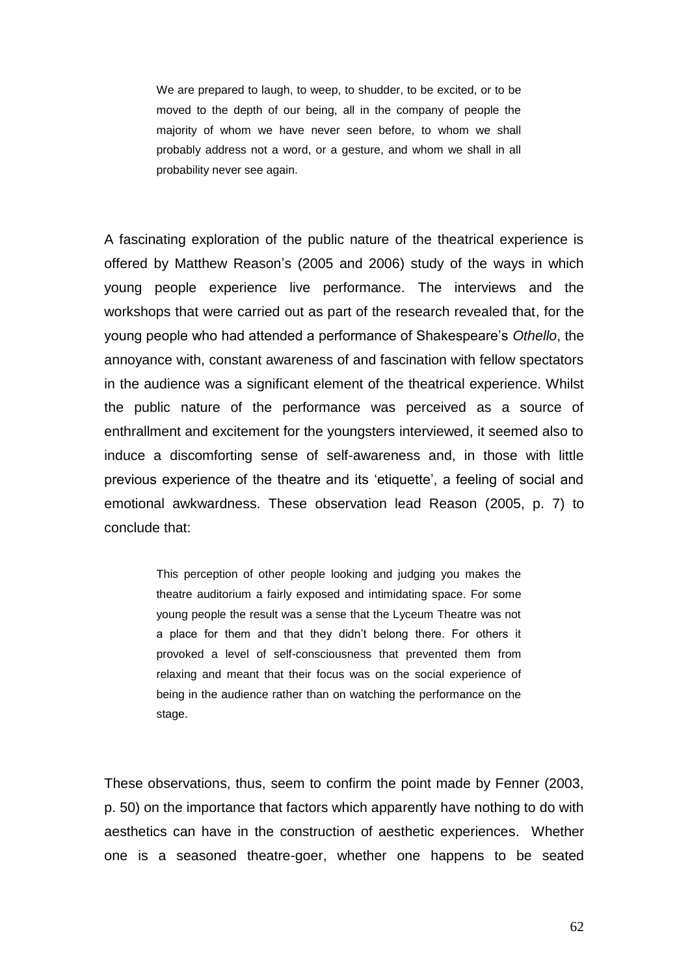We are prepared to laugh, to weep, to shudder, to be excited, or to be moved to the depth of our being, all in the company of people the majority of whom we have never seen before, to whom we shall probably address not a word, or a gesture, and whom we shall in all probability never see again.

A fascinating exploration of the public nature of the theatrical experience is offered by Matthew Reason's (2005 and 2006) study of the ways in which young people experience live performance. The interviews and the workshops that were carried out as part of the research revealed that, for the young people who had attended a performance of Shakespeare's *Othello*, the annoyance with, constant awareness of and fascination with fellow spectators in the audience was a significant element of the theatrical experience. Whilst the public nature of the performance was perceived as a source of enthrallment and excitement for the youngsters interviewed, it seemed also to induce a discomforting sense of self-awareness and, in those with little previous experience of the theatre and its 'etiquette', a feeling of social and emotional awkwardness. These observation lead Reason (2005, p. 7) to conclude that:

> This perception of other people looking and judging you makes the theatre auditorium a fairly exposed and intimidating space. For some young people the result was a sense that the Lyceum Theatre was not a place for them and that they didn't belong there. For others it provoked a level of self-consciousness that prevented them from relaxing and meant that their focus was on the social experience of being in the audience rather than on watching the performance on the stage.

These observations, thus, seem to confirm the point made by Fenner (2003, p. 50) on the importance that factors which apparently have nothing to do with aesthetics can have in the construction of aesthetic experiences. Whether one is a seasoned theatre-goer, whether one happens to be seated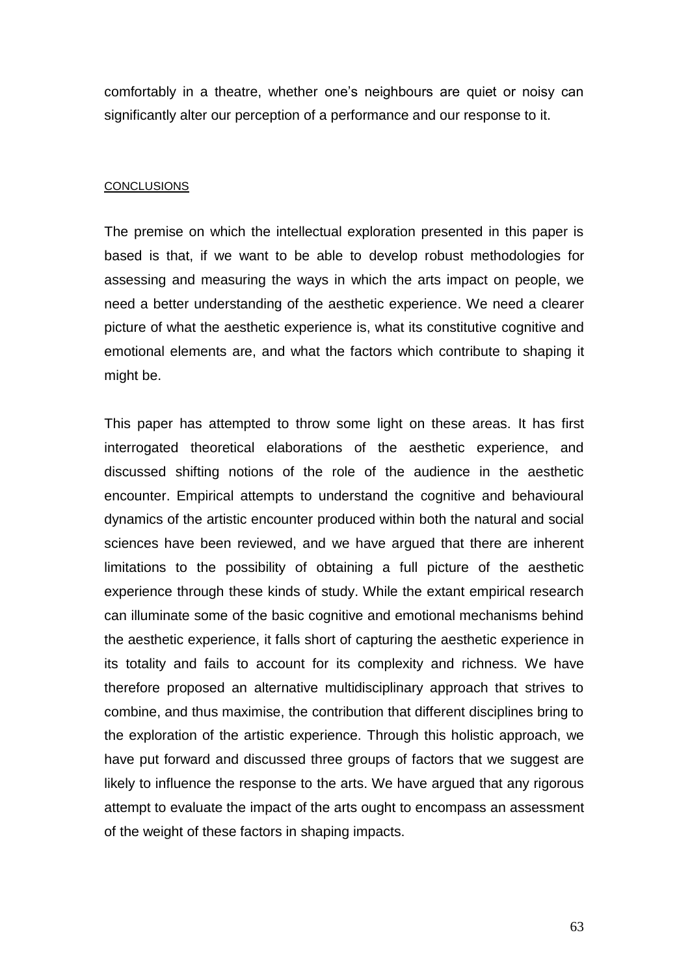comfortably in a theatre, whether one's neighbours are quiet or noisy can significantly alter our perception of a performance and our response to it.

## **CONCLUSIONS**

The premise on which the intellectual exploration presented in this paper is based is that, if we want to be able to develop robust methodologies for assessing and measuring the ways in which the arts impact on people, we need a better understanding of the aesthetic experience. We need a clearer picture of what the aesthetic experience is, what its constitutive cognitive and emotional elements are, and what the factors which contribute to shaping it might be.

This paper has attempted to throw some light on these areas. It has first interrogated theoretical elaborations of the aesthetic experience, and discussed shifting notions of the role of the audience in the aesthetic encounter. Empirical attempts to understand the cognitive and behavioural dynamics of the artistic encounter produced within both the natural and social sciences have been reviewed, and we have argued that there are inherent limitations to the possibility of obtaining a full picture of the aesthetic experience through these kinds of study. While the extant empirical research can illuminate some of the basic cognitive and emotional mechanisms behind the aesthetic experience, it falls short of capturing the aesthetic experience in its totality and fails to account for its complexity and richness. We have therefore proposed an alternative multidisciplinary approach that strives to combine, and thus maximise, the contribution that different disciplines bring to the exploration of the artistic experience. Through this holistic approach, we have put forward and discussed three groups of factors that we suggest are likely to influence the response to the arts. We have argued that any rigorous attempt to evaluate the impact of the arts ought to encompass an assessment of the weight of these factors in shaping impacts.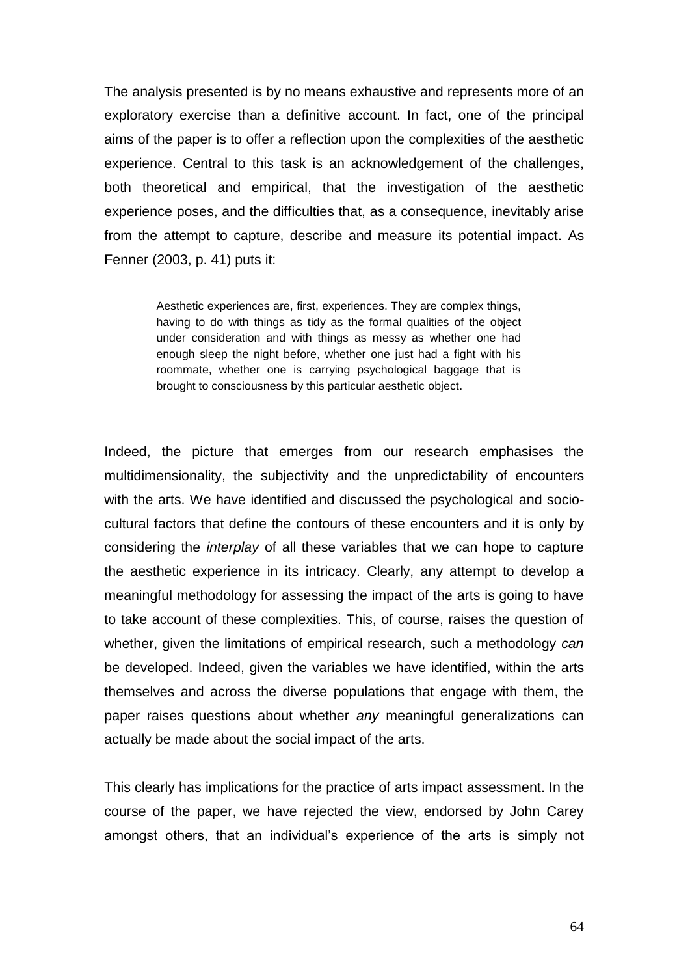The analysis presented is by no means exhaustive and represents more of an exploratory exercise than a definitive account. In fact, one of the principal aims of the paper is to offer a reflection upon the complexities of the aesthetic experience. Central to this task is an acknowledgement of the challenges, both theoretical and empirical, that the investigation of the aesthetic experience poses, and the difficulties that, as a consequence, inevitably arise from the attempt to capture, describe and measure its potential impact. As Fenner (2003, p. 41) puts it:

> Aesthetic experiences are, first, experiences. They are complex things, having to do with things as tidy as the formal qualities of the object under consideration and with things as messy as whether one had enough sleep the night before, whether one just had a fight with his roommate, whether one is carrying psychological baggage that is brought to consciousness by this particular aesthetic object.

Indeed, the picture that emerges from our research emphasises the multidimensionality, the subjectivity and the unpredictability of encounters with the arts. We have identified and discussed the psychological and sociocultural factors that define the contours of these encounters and it is only by considering the *interplay* of all these variables that we can hope to capture the aesthetic experience in its intricacy. Clearly, any attempt to develop a meaningful methodology for assessing the impact of the arts is going to have to take account of these complexities. This, of course, raises the question of whether, given the limitations of empirical research, such a methodology *can*  be developed. Indeed, given the variables we have identified, within the arts themselves and across the diverse populations that engage with them, the paper raises questions about whether *any* meaningful generalizations can actually be made about the social impact of the arts.

This clearly has implications for the practice of arts impact assessment. In the course of the paper, we have rejected the view, endorsed by John Carey amongst others, that an individual's experience of the arts is simply not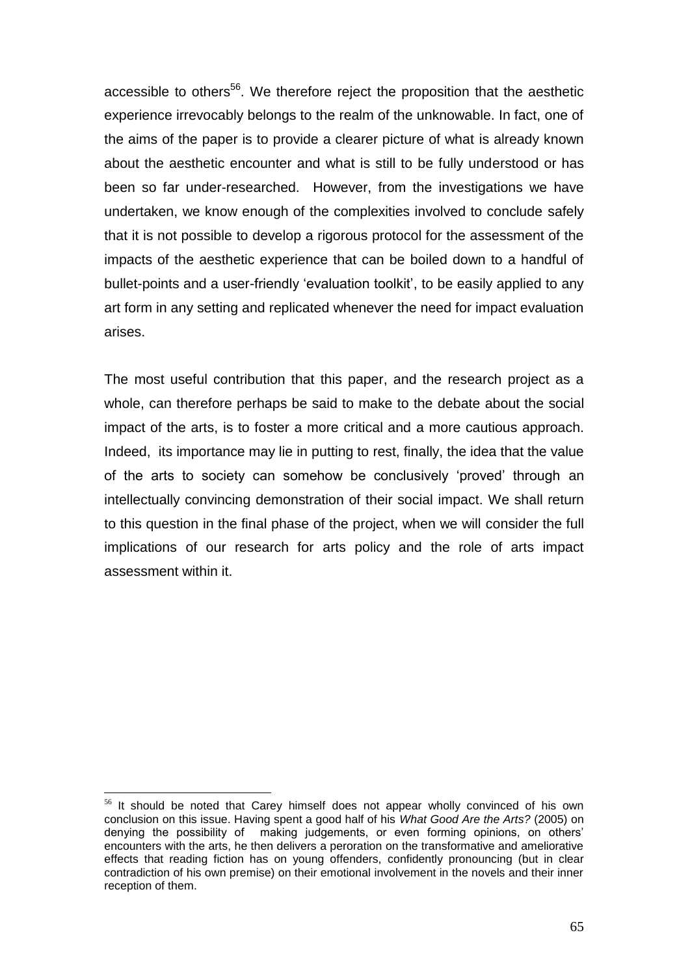accessible to others<sup>56</sup>. We therefore reject the proposition that the aesthetic experience irrevocably belongs to the realm of the unknowable. In fact, one of the aims of the paper is to provide a clearer picture of what is already known about the aesthetic encounter and what is still to be fully understood or has been so far under-researched. However, from the investigations we have undertaken, we know enough of the complexities involved to conclude safely that it is not possible to develop a rigorous protocol for the assessment of the impacts of the aesthetic experience that can be boiled down to a handful of bullet-points and a user-friendly 'evaluation toolkit', to be easily applied to any art form in any setting and replicated whenever the need for impact evaluation arises.

The most useful contribution that this paper, and the research project as a whole, can therefore perhaps be said to make to the debate about the social impact of the arts, is to foster a more critical and a more cautious approach. Indeed, its importance may lie in putting to rest, finally, the idea that the value of the arts to society can somehow be conclusively 'proved' through an intellectually convincing demonstration of their social impact. We shall return to this question in the final phase of the project, when we will consider the full implications of our research for arts policy and the role of arts impact assessment within it.

<sup>&</sup>lt;sup>56</sup> It should be noted that Carey himself does not appear wholly convinced of his own conclusion on this issue. Having spent a good half of his *What Good Are the Arts?* (2005) on denying the possibility of making judgements, or even forming opinions, on others' encounters with the arts, he then delivers a peroration on the transformative and ameliorative effects that reading fiction has on young offenders, confidently pronouncing (but in clear contradiction of his own premise) on their emotional involvement in the novels and their inner reception of them.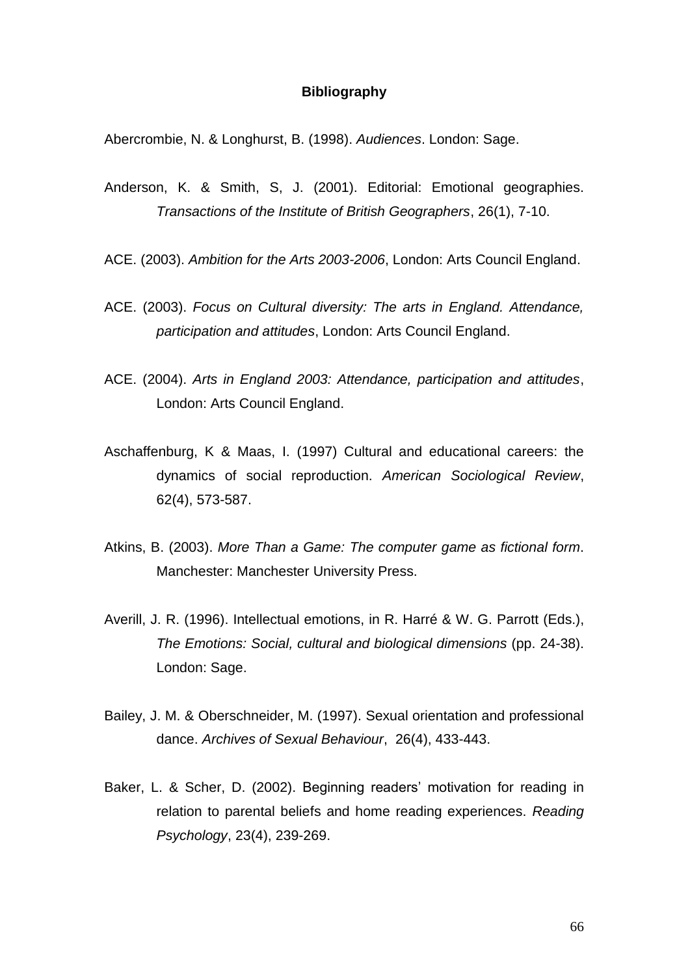# **Bibliography**

Abercrombie, N. & Longhurst, B. (1998). *Audiences*. London: Sage.

- Anderson, K. & Smith, S, J. (2001). Editorial: Emotional geographies. *Transactions of the Institute of British Geographers*, 26(1), 7-10.
- ACE. (2003). *Ambition for the Arts 2003-2006*, London: Arts Council England.
- ACE. (2003). *Focus on Cultural diversity: The arts in England. Attendance, participation and attitudes*, London: Arts Council England.
- ACE. (2004). *Arts in England 2003: Attendance, participation and attitudes*, London: Arts Council England.
- Aschaffenburg, K & Maas, I. (1997) Cultural and educational careers: the dynamics of social reproduction. *American Sociological Review*, 62(4), 573-587.
- Atkins, B. (2003). *More Than a Game: The computer game as fictional form*. Manchester: Manchester University Press.
- Averill, J. R. (1996). Intellectual emotions, in R. Harré & W. G. Parrott (Eds.), *The Emotions: Social, cultural and biological dimensions* (pp. 24-38). London: Sage.
- Bailey, J. M. & Oberschneider, M. (1997). Sexual orientation and professional dance. *Archives of Sexual Behaviour*, 26(4), 433-443.
- Baker, L. & Scher, D. (2002). Beginning readers' motivation for reading in relation to parental beliefs and home reading experiences. *Reading Psychology*, 23(4), 239-269.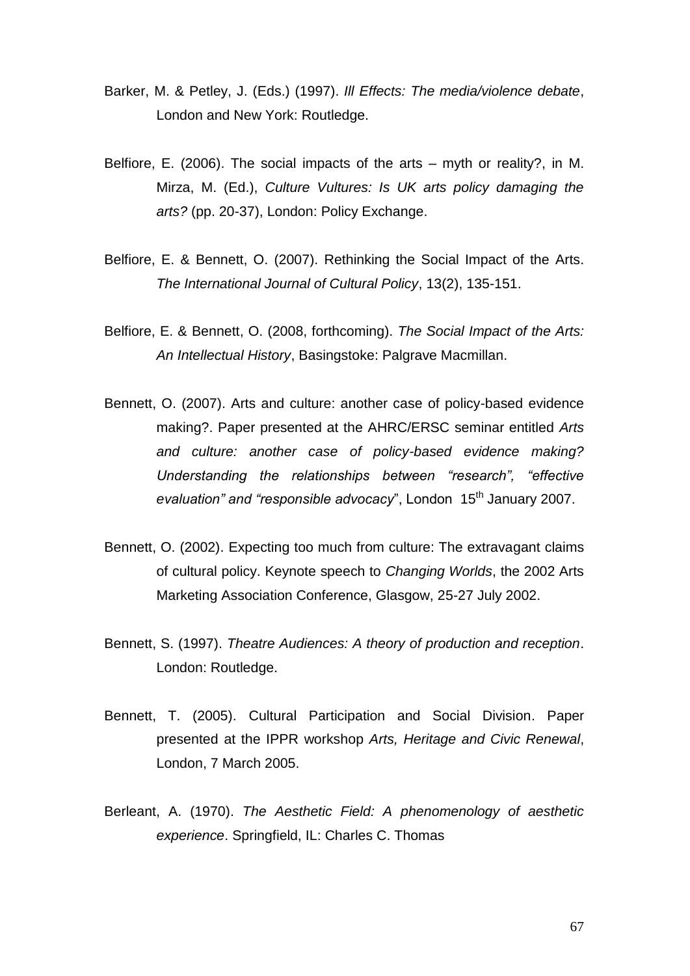- Barker, M. & Petley, J. (Eds.) (1997). *Ill Effects: The media/violence debate*, London and New York: Routledge.
- Belfiore, E. (2006). The social impacts of the arts myth or reality?, in M. Mirza, M. (Ed.), *Culture Vultures: Is UK arts policy damaging the arts?* (pp. 20-37), London: Policy Exchange.
- Belfiore, E. & Bennett, O. (2007). Rethinking the Social Impact of the Arts. *[The International Journal of Cultural Policy](http://www.tandf.co.uk/journals/titles/10286632.asp)*, 13(2), 135-151.
- Belfiore, E. & Bennett, O. (2008, forthcoming). *The Social Impact of the Arts: An Intellectual History*, Basingstoke: Palgrave Macmillan.
- Bennett, O. (2007). Arts and culture: another case of policy-based evidence making?. Paper presented at the AHRC/ERSC seminar entitled *Arts and culture: another case of policy-based evidence making? Understanding the relationships between "research", "effective*  evaluation" and "responsible advocacy", London 15<sup>th</sup> January 2007.
- Bennett, O. (2002). Expecting too much from culture: The extravagant claims of cultural policy. Keynote speech to *Changing Worlds*, the 2002 Arts Marketing Association Conference, Glasgow, 25-27 July 2002.
- Bennett, S. (1997). *Theatre Audiences: A theory of production and reception*. London: Routledge.
- Bennett, T. (2005). Cultural Participation and Social Division. Paper presented at the IPPR workshop *Arts, Heritage and Civic Renewal*, London, 7 March 2005.
- Berleant, A. (1970). *The Aesthetic Field: A phenomenology of aesthetic experience*. Springfield, IL: Charles C. Thomas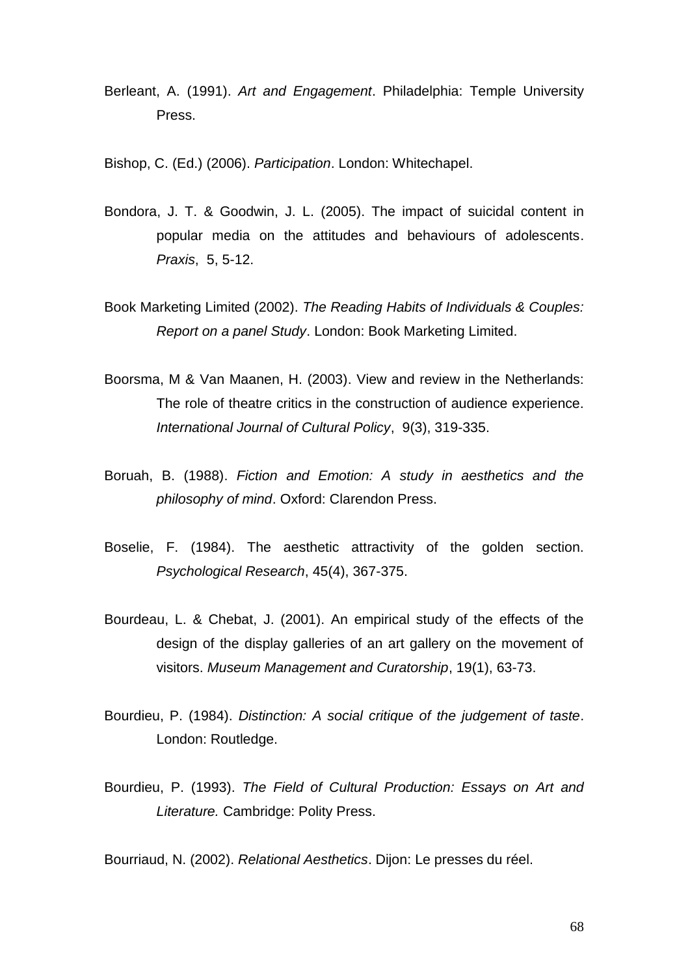Berleant, A. (1991). *Art and Engagement*. Philadelphia: Temple University Press.

Bishop, C. (Ed.) (2006). *Participation*. London: Whitechapel.

- Bondora, J. T. & Goodwin, J. L. (2005). The impact of suicidal content in popular media on the attitudes and behaviours of adolescents. *Praxis*, 5, 5-12.
- Book Marketing Limited (2002). *The Reading Habits of Individuals & Couples: Report on a panel Study*. London: Book Marketing Limited.
- Boorsma, M & Van Maanen, H. (2003). View and review in the Netherlands: The role of theatre critics in the construction of audience experience. *International Journal of Cultural Policy*, 9(3), 319-335.
- Boruah, B. (1988). *Fiction and Emotion: A study in aesthetics and the philosophy of mind*. Oxford: Clarendon Press.
- Boselie, F. (1984). The aesthetic attractivity of the golden section. *Psychological Research*, 45(4), 367-375.
- Bourdeau, L. & Chebat, J. (2001). An empirical study of the effects of the design of the display galleries of an art gallery on the movement of visitors. *Museum Management and Curatorship*, 19(1), 63-73.
- Bourdieu, P. (1984). *Distinction: A social critique of the judgement of taste*. London: Routledge.
- Bourdieu, P. (1993). *The Field of Cultural Production: Essays on Art and Literature.* Cambridge: Polity Press.

Bourriaud, N. (2002). *Relational Aesthetics*. Dijon: Le presses du réel.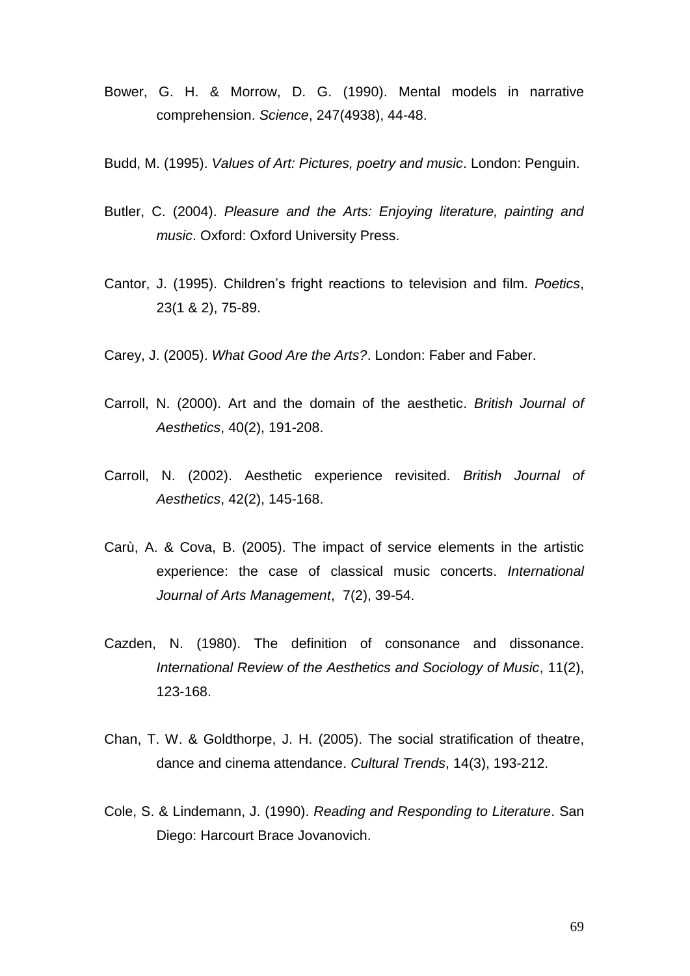- Bower, G. H. & Morrow, D. G. (1990). Mental models in narrative comprehension. *Science*, 247(4938), 44-48.
- Budd, M. (1995). *Values of Art: Pictures, poetry and music*. London: Penguin.
- Butler, C. (2004). *Pleasure and the Arts: Enjoying literature, painting and music*. Oxford: Oxford University Press.
- Cantor, J. (1995). Children's fright reactions to television and film. *Poetics*, 23(1 & 2), 75-89.
- Carey, J. (2005). *What Good Are the Arts?*. London: Faber and Faber.
- Carroll, N. (2000). Art and the domain of the aesthetic. *British Journal of Aesthetics*, 40(2), 191-208.
- Carroll, N. (2002). Aesthetic experience revisited. *British Journal of Aesthetics*, 42(2), 145-168.
- Carù, A. & Cova, B. (2005). The impact of service elements in the artistic experience: the case of classical music concerts. *International Journal of Arts Management*, 7(2), 39-54.
- Cazden, N. (1980). The definition of consonance and dissonance. *International Review of the Aesthetics and Sociology of Music*, 11(2), 123-168.
- Chan, T. W. & Goldthorpe, J. H. (2005). The social stratification of theatre, dance and cinema attendance. *Cultural Trends*, 14(3), 193-212.
- Cole, S. & Lindemann, J. (1990). *Reading and Responding to Literature*. San Diego: Harcourt Brace Jovanovich.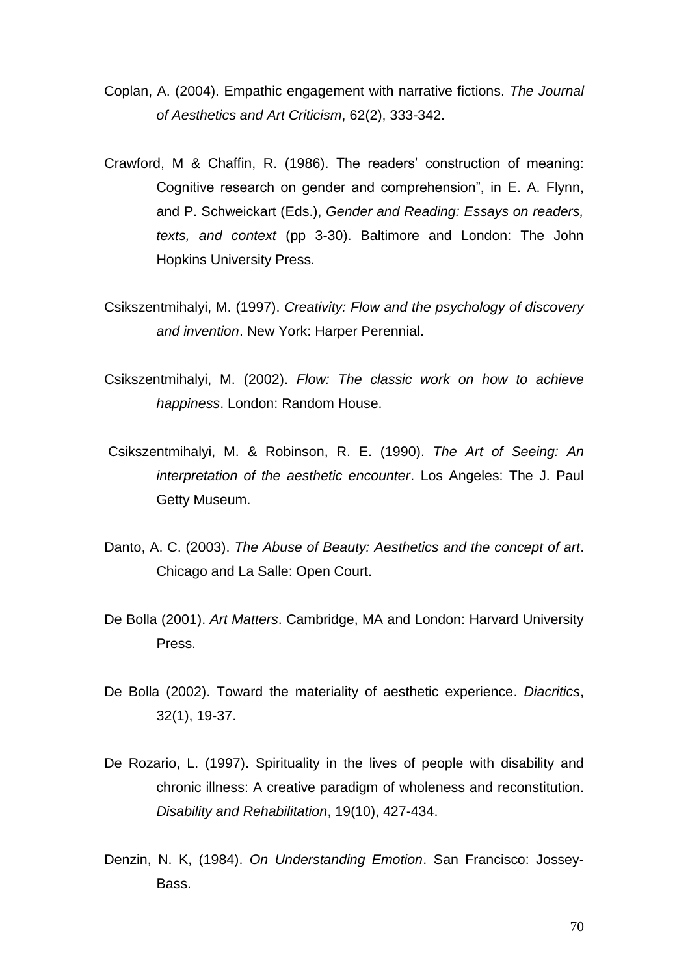- Coplan, A. (2004). Empathic engagement with narrative fictions. *The Journal of Aesthetics and Art Criticism*, 62(2), 333-342.
- Crawford, M & Chaffin, R. (1986). The readers' construction of meaning: Cognitive research on gender and comprehension", in E. A. Flynn, and P. Schweickart (Eds.), *Gender and Reading: Essays on readers, texts, and context* (pp 3-30). Baltimore and London: The John Hopkins University Press.
- Csikszentmihalyi, M. (1997). *Creativity: Flow and the psychology of discovery and invention*. New York: Harper Perennial.
- Csikszentmihalyi, M. (2002). *Flow: The classic work on how to achieve happiness*. London: Random House.
- Csikszentmihalyi, M. & Robinson, R. E. (1990). *The Art of Seeing: An interpretation of the aesthetic encounter*. Los Angeles: The J. Paul Getty Museum.
- Danto, A. C. (2003). *The Abuse of Beauty: Aesthetics and the concept of art*. Chicago and La Salle: Open Court.
- De Bolla (2001). *Art Matters*. Cambridge, MA and London: Harvard University Press.
- De Bolla (2002). Toward the materiality of aesthetic experience. *Diacritics*, 32(1), 19-37.
- De Rozario, L. (1997). Spirituality in the lives of people with disability and chronic illness: A creative paradigm of wholeness and reconstitution. *Disability and Rehabilitation*, 19(10), 427-434.
- Denzin, N. K, (1984). *On Understanding Emotion*. San Francisco: Jossey-Bass.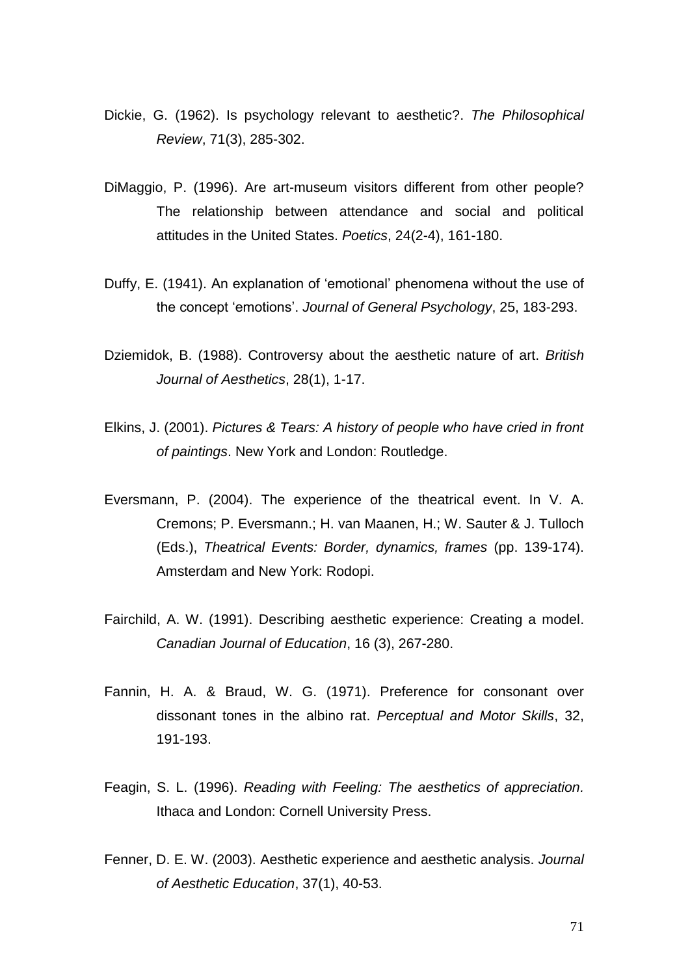- Dickie, G. (1962). Is psychology relevant to aesthetic?. *The Philosophical Review*, 71(3), 285-302.
- DiMaggio, P. (1996). Are art-museum visitors different from other people? The relationship between attendance and social and political attitudes in the United States. *Poetics*, 24(2-4), 161-180.
- Duffy, E. (1941). An explanation of 'emotional' phenomena without the use of the concept 'emotions'. *Journal of General Psychology*, 25, 183-293.
- Dziemidok, B. (1988). Controversy about the aesthetic nature of art. *British Journal of Aesthetics*, 28(1), 1-17.
- Elkins, J. (2001). *Pictures & Tears: A history of people who have cried in front of paintings*. New York and London: Routledge.
- Eversmann, P. (2004). The experience of the theatrical event. In V. A. Cremons; P. Eversmann.; H. van Maanen, H.; W. Sauter & J. Tulloch (Eds.), *Theatrical Events: Border, dynamics, frames* (pp. 139-174). Amsterdam and New York: Rodopi.
- Fairchild, A. W. (1991). Describing aesthetic experience: Creating a model. *Canadian Journal of Education*, 16 (3), 267-280.
- Fannin, H. A. & Braud, W. G. (1971). Preference for consonant over dissonant tones in the albino rat. *Perceptual and Motor Skills*, 32, 191-193.
- Feagin, S. L. (1996). *Reading with Feeling: The aesthetics of appreciation.* Ithaca and London: Cornell University Press.
- Fenner, D. E. W. (2003). Aesthetic experience and aesthetic analysis. *Journal of Aesthetic Education*, 37(1), 40-53.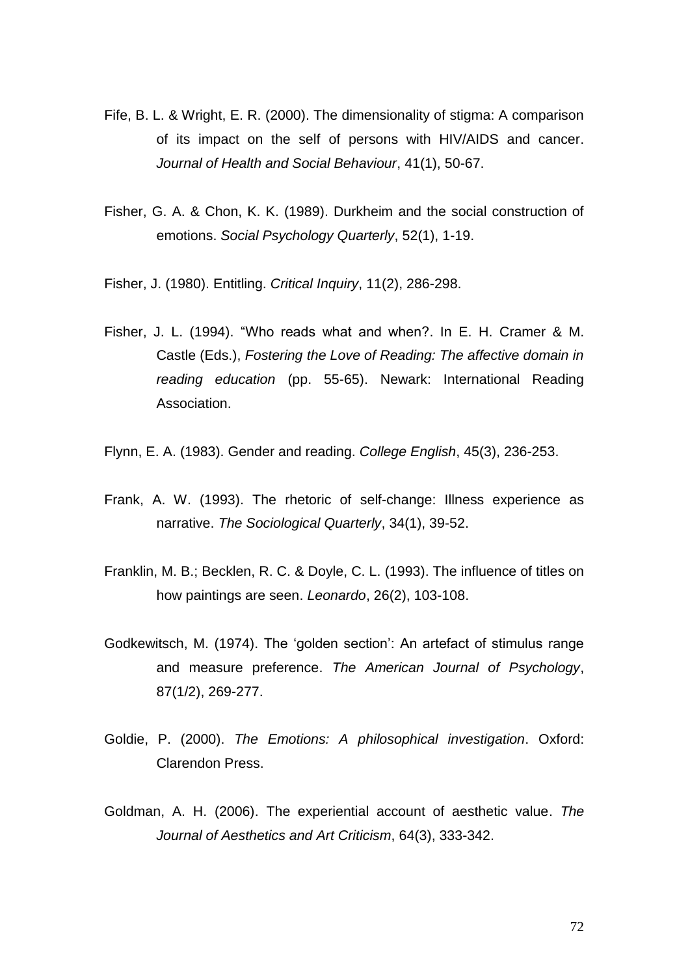- Fife, B. L. & Wright, E. R. (2000). The dimensionality of stigma: A comparison of its impact on the self of persons with HIV/AIDS and cancer. *Journal of Health and Social Behaviour*, 41(1), 50-67.
- Fisher, G. A. & Chon, K. K. (1989). Durkheim and the social construction of emotions. *Social Psychology Quarterly*, 52(1), 1-19.

Fisher, J. (1980). Entitling. *Critical Inquiry*, 11(2), 286-298.

- Fisher, J. L. (1994). "Who reads what and when?. In E. H. Cramer & M. Castle (Eds.), *Fostering the Love of Reading: The affective domain in reading education* (pp. 55-65). Newark: International Reading Association.
- Flynn, E. A. (1983). Gender and reading. *College English*, 45(3), 236-253.
- Frank, A. W. (1993). The rhetoric of self-change: Illness experience as narrative. *The Sociological Quarterly*, 34(1), 39-52.
- Franklin, M. B.; Becklen, R. C. & Doyle, C. L. (1993). The influence of titles on how paintings are seen. *Leonardo*, 26(2), 103-108.
- Godkewitsch, M. (1974). The 'golden section': An artefact of stimulus range and measure preference. *The American Journal of Psychology*, 87(1/2), 269-277.
- Goldie, P. (2000). *The Emotions: A philosophical investigation*. Oxford: Clarendon Press.
- Goldman, A. H. (2006). The experiential account of aesthetic value. *The Journal of Aesthetics and Art Criticism*, 64(3), 333-342.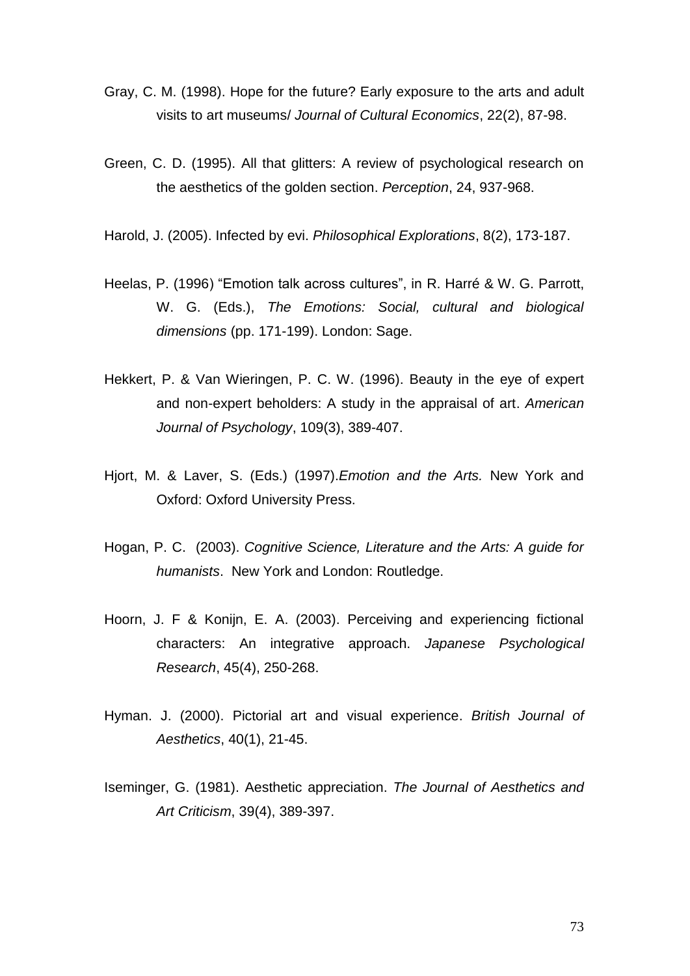- Gray, C. M. (1998). Hope for the future? Early exposure to the arts and adult visits to art museums/ *Journal of Cultural Economics*, 22(2), 87-98.
- Green, C. D. (1995). All that glitters: A review of psychological research on the aesthetics of the golden section. *Perception*, 24, 937-968.
- Harold, J. (2005). Infected by evi. *Philosophical Explorations*, 8(2), 173-187.
- Heelas, P. (1996) "Emotion talk across cultures", in R. Harré & W. G. Parrott, W. G. (Eds.), *The Emotions: Social, cultural and biological dimensions* (pp. 171-199). London: Sage.
- Hekkert, P. & Van Wieringen, P. C. W. (1996). Beauty in the eye of expert and non-expert beholders: A study in the appraisal of art. *American Journal of Psychology*, 109(3), 389-407.
- Hjort, M. & Laver, S. (Eds.) (1997).*Emotion and the Arts.* New York and Oxford: Oxford University Press.
- Hogan, P. C. (2003). *Cognitive Science, Literature and the Arts: A guide for humanists*. New York and London: Routledge.
- Hoorn, J. F & Konijn, E. A. (2003). Perceiving and experiencing fictional characters: An integrative approach. *Japanese Psychological Research*, 45(4), 250-268.
- Hyman. J. (2000). Pictorial art and visual experience. *British Journal of Aesthetics*, 40(1), 21-45.
- Iseminger, G. (1981). Aesthetic appreciation. *The Journal of Aesthetics and Art Criticism*, 39(4), 389-397.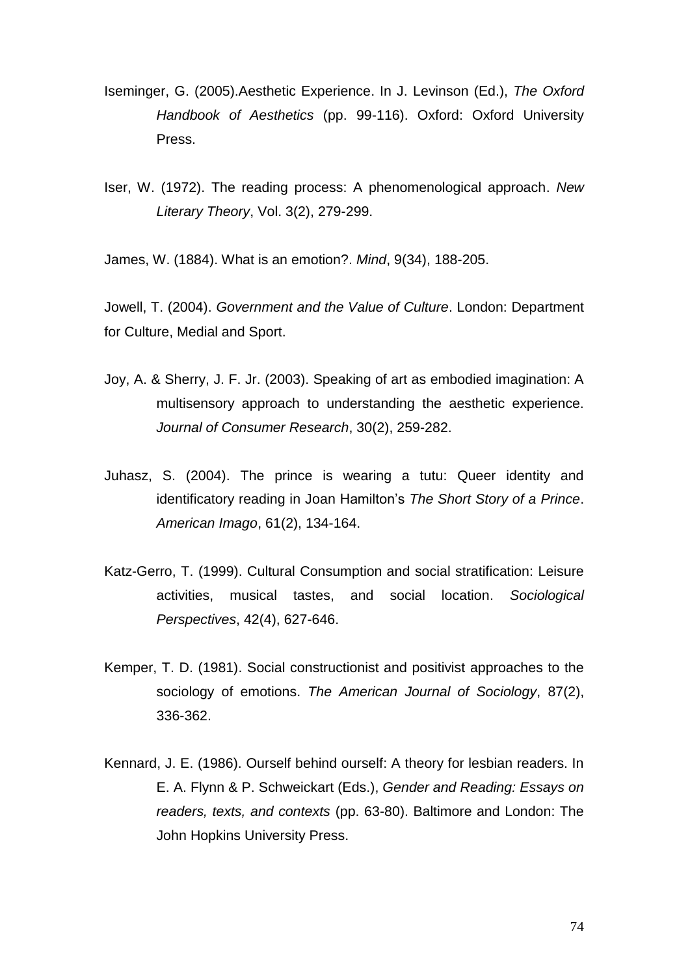- Iseminger, G. (2005).Aesthetic Experience. In J. Levinson (Ed.), *The Oxford Handbook of Aesthetics* (pp. 99-116). Oxford: Oxford University Press.
- Iser, W. (1972). The reading process: A phenomenological approach. *New Literary Theory*, Vol. 3(2), 279-299.

James, W. (1884). What is an emotion?. *Mind*, 9(34), 188-205.

Jowell, T. (2004). *Government and the Value of Culture*. London: Department for Culture, Medial and Sport.

- Joy, A. & Sherry, J. F. Jr. (2003). Speaking of art as embodied imagination: A multisensory approach to understanding the aesthetic experience. *Journal of Consumer Research*, 30(2), 259-282.
- Juhasz, S. (2004). The prince is wearing a tutu: Queer identity and identificatory reading in Joan Hamilton's *The Short Story of a Prince*. *American Imago*, 61(2), 134-164.
- Katz-Gerro, T. (1999). Cultural Consumption and social stratification: Leisure activities, musical tastes, and social location. *Sociological Perspectives*, 42(4), 627-646.
- Kemper, T. D. (1981). Social constructionist and positivist approaches to the sociology of emotions. *The American Journal of Sociology*, 87(2), 336-362.
- Kennard, J. E. (1986). Ourself behind ourself: A theory for lesbian readers. In E. A. Flynn & P. Schweickart (Eds.), *Gender and Reading: Essays on readers, texts, and contexts* (pp. 63-80). Baltimore and London: The John Hopkins University Press.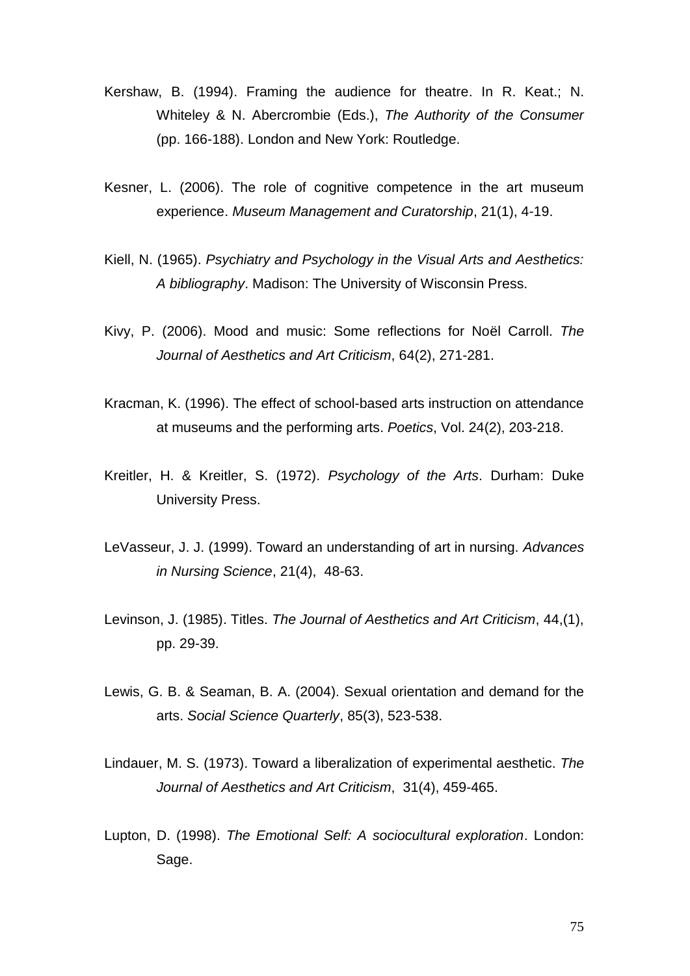- Kershaw, B. (1994). Framing the audience for theatre. In R. Keat.; N. Whiteley & N. Abercrombie (Eds.), *The Authority of the Consumer* (pp. 166-188). London and New York: Routledge.
- Kesner, L. (2006). The role of cognitive competence in the art museum experience. *Museum Management and Curatorship*, 21(1), 4-19.
- Kiell, N. (1965). *Psychiatry and Psychology in the Visual Arts and Aesthetics: A bibliography*. Madison: The University of Wisconsin Press.
- Kivy, P. (2006). Mood and music: Some reflections for Noël Carroll. *The Journal of Aesthetics and Art Criticism*, 64(2), 271-281.
- Kracman, K. (1996). The effect of school-based arts instruction on attendance at museums and the performing arts. *Poetics*, Vol. 24(2), 203-218.
- Kreitler, H. & Kreitler, S. (1972). *Psychology of the Arts*. Durham: Duke University Press.
- LeVasseur, J. J. (1999). Toward an understanding of art in nursing. *Advances in Nursing Science*, 21(4), 48-63.
- Levinson, J. (1985). Titles. *The Journal of Aesthetics and Art Criticism*, 44,(1), pp. 29-39.
- Lewis, G. B. & Seaman, B. A. (2004). Sexual orientation and demand for the arts. *Social Science Quarterly*, 85(3), 523-538.
- Lindauer, M. S. (1973). Toward a liberalization of experimental aesthetic. *The Journal of Aesthetics and Art Criticism*, 31(4), 459-465.
- Lupton, D. (1998). *The Emotional Self: A sociocultural exploration*. London: Sage.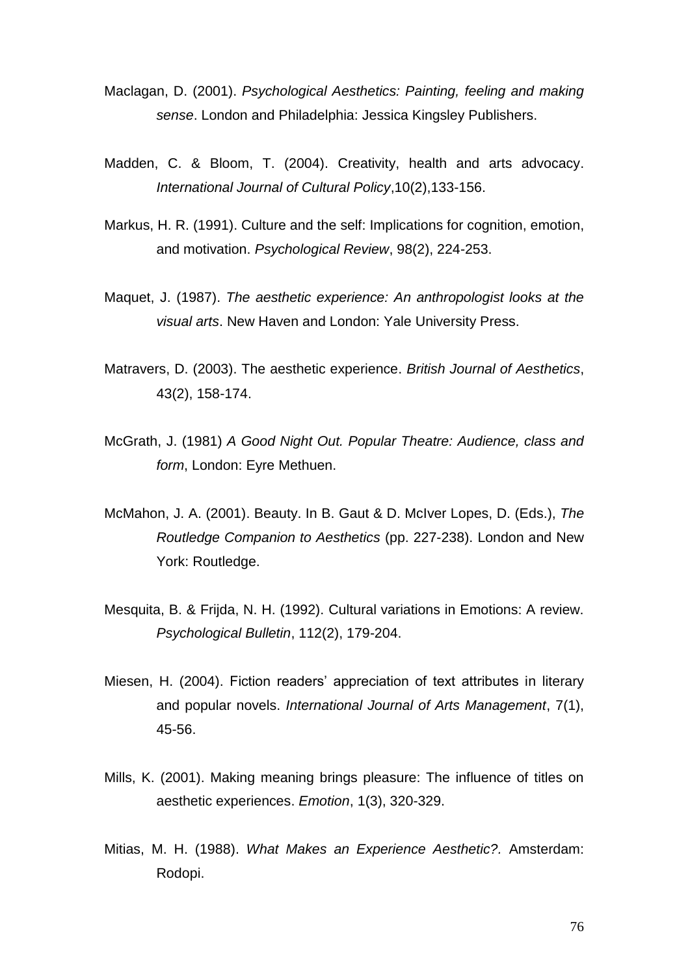- Maclagan, D. (2001). *Psychological Aesthetics: Painting, feeling and making sense*. London and Philadelphia: Jessica Kingsley Publishers.
- Madden, C. & Bloom, T. (2004). Creativity, health and arts advocacy. *International Journal of Cultural Policy*,10(2),133-156.
- Markus, H. R. (1991). Culture and the self: Implications for cognition, emotion, and motivation. *Psychological Review*, 98(2), 224-253.
- Maquet, J. (1987). *The aesthetic experience: An anthropologist looks at the visual arts*. New Haven and London: Yale University Press.
- Matravers, D. (2003). The aesthetic experience. *British Journal of Aesthetics*, 43(2), 158-174.
- McGrath, J. (1981) *A Good Night Out. Popular Theatre: Audience, class and form*, London: Eyre Methuen.
- McMahon, J. A. (2001). Beauty. In B. Gaut & D. McIver Lopes, D. (Eds.), *The Routledge Companion to Aesthetics* (pp. 227-238). London and New York: Routledge.
- Mesquita, B. & Frijda, N. H. (1992). Cultural variations in Emotions: A review. *Psychological Bulletin*, 112(2), 179-204.
- Miesen, H. (2004). Fiction readers' appreciation of text attributes in literary and popular novels. *International Journal of Arts Management*, 7(1), 45-56.
- Mills, K. (2001). Making meaning brings pleasure: The influence of titles on aesthetic experiences. *Emotion*, 1(3), 320-329.
- Mitias, M. H. (1988). *What Makes an Experience Aesthetic?.* Amsterdam: Rodopi.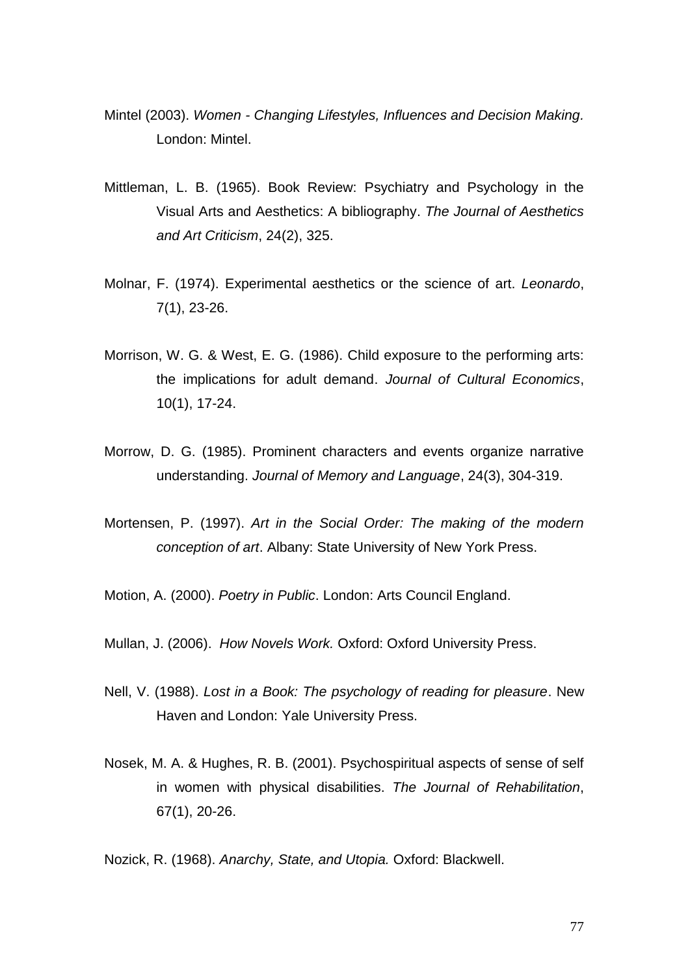- Mintel (2003). *Women - Changing Lifestyles, Influences and Decision Making.* London: Mintel.
- Mittleman, L. B. (1965). Book Review: Psychiatry and Psychology in the Visual Arts and Aesthetics: A bibliography. *The Journal of Aesthetics and Art Criticism*, 24(2), 325.
- Molnar, F. (1974). Experimental aesthetics or the science of art. *Leonardo*, 7(1), 23-26.
- Morrison, W. G. & West, E. G. (1986). Child exposure to the performing arts: the implications for adult demand. *Journal of Cultural Economics*, 10(1), 17-24.
- Morrow, D. G. (1985). Prominent characters and events organize narrative understanding. *Journal of Memory and Language*, 24(3), 304-319.
- Mortensen, P. (1997). *Art in the Social Order: The making of the modern conception of art*. Albany: State University of New York Press.

Motion, A. (2000). *Poetry in Public*. London: Arts Council England.

- Mullan, J. (2006). *How Novels Work.* Oxford: Oxford University Press.
- Nell, V. (1988). *Lost in a Book: The psychology of reading for pleasure*. New Haven and London: Yale University Press.
- Nosek, M. A. & Hughes, R. B. (2001). Psychospiritual aspects of sense of self in women with physical disabilities. *The Journal of Rehabilitation*, 67(1), 20-26.

Nozick, R. (1968). *Anarchy, State, and Utopia.* Oxford: Blackwell.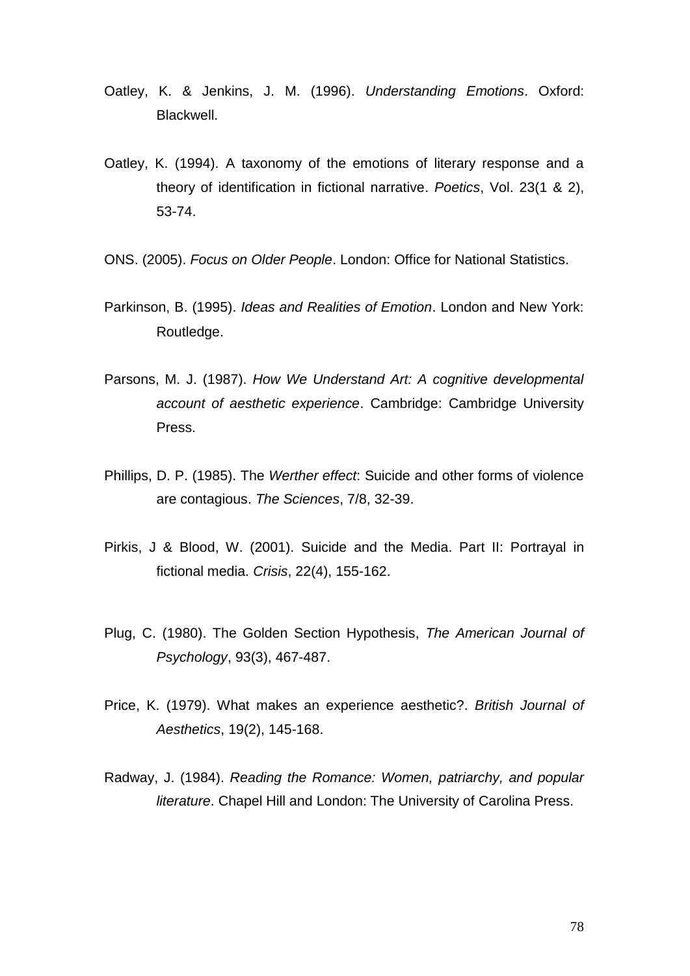- Oatley, K. & Jenkins, J. M. (1996). *Understanding Emotions*. Oxford: Blackwell.
- Oatley, K. (1994). A taxonomy of the emotions of literary response and a theory of identification in fictional narrative. *Poetics*, Vol. 23(1 & 2), 53-74.
- ONS. (2005). *Focus on Older People*. London: Office for National Statistics.
- Parkinson, B. (1995). *Ideas and Realities of Emotion*. London and New York: Routledge.
- Parsons, M. J. (1987). *How We Understand Art: A cognitive developmental account of aesthetic experience*. Cambridge: Cambridge University Press.
- Phillips, D. P. (1985). The *Werther effect*: Suicide and other forms of violence are contagious. *The Sciences*, 7/8, 32-39.
- Pirkis, J & Blood, W. (2001). Suicide and the Media. Part II: Portrayal in fictional media. *Crisis*, 22(4), 155-162.
- Plug, C. (1980). The Golden Section Hypothesis, *The American Journal of Psychology*, 93(3), 467-487.
- Price, K. (1979). What makes an experience aesthetic?. *British Journal of Aesthetics*, 19(2), 145-168.
- Radway, J. (1984). *Reading the Romance: Women, patriarchy, and popular literature*. Chapel Hill and London: The University of Carolina Press.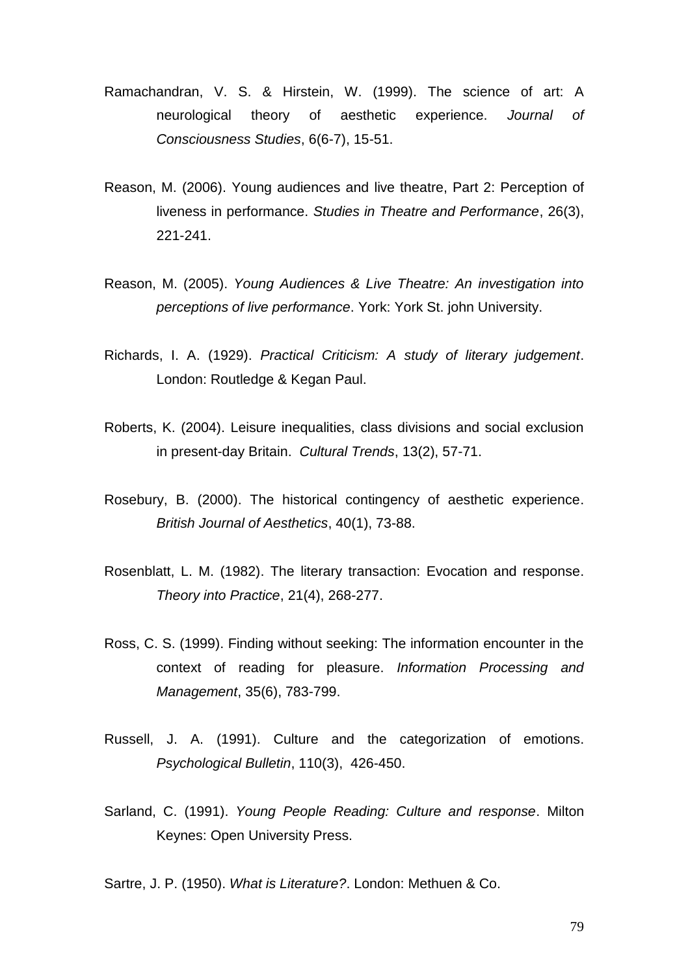- Ramachandran, V. S. & Hirstein, W. (1999). The science of art: A neurological theory of aesthetic experience. *Journal of Consciousness Studies*, 6(6-7), 15-51.
- Reason, M. (2006). Young audiences and live theatre, Part 2: Perception of liveness in performance. *Studies in Theatre and Performance*, 26(3), 221-241.
- Reason, M. (2005). *Young Audiences & Live Theatre: An investigation into perceptions of live performance*. York: York St. john University.
- Richards, I. A. (1929). *Practical Criticism: A study of literary judgement*. London: Routledge & Kegan Paul.
- Roberts, K. (2004). Leisure inequalities, class divisions and social exclusion in present-day Britain. *Cultural Trends*, 13(2), 57-71.
- Rosebury, B. (2000). The historical contingency of aesthetic experience. *British Journal of Aesthetics*, 40(1), 73-88.
- Rosenblatt, L. M. (1982). The literary transaction: Evocation and response. *Theory into Practice*, 21(4), 268-277.
- Ross, C. S. (1999). Finding without seeking: The information encounter in the context of reading for pleasure. *Information Processing and Management*, 35(6), 783-799.
- Russell, J. A. (1991). Culture and the categorization of emotions. *Psychological Bulletin*, 110(3), 426-450.
- Sarland, C. (1991). *Young People Reading: Culture and response*. Milton Keynes: Open University Press.

Sartre, J. P. (1950). *What is Literature?*. London: Methuen & Co.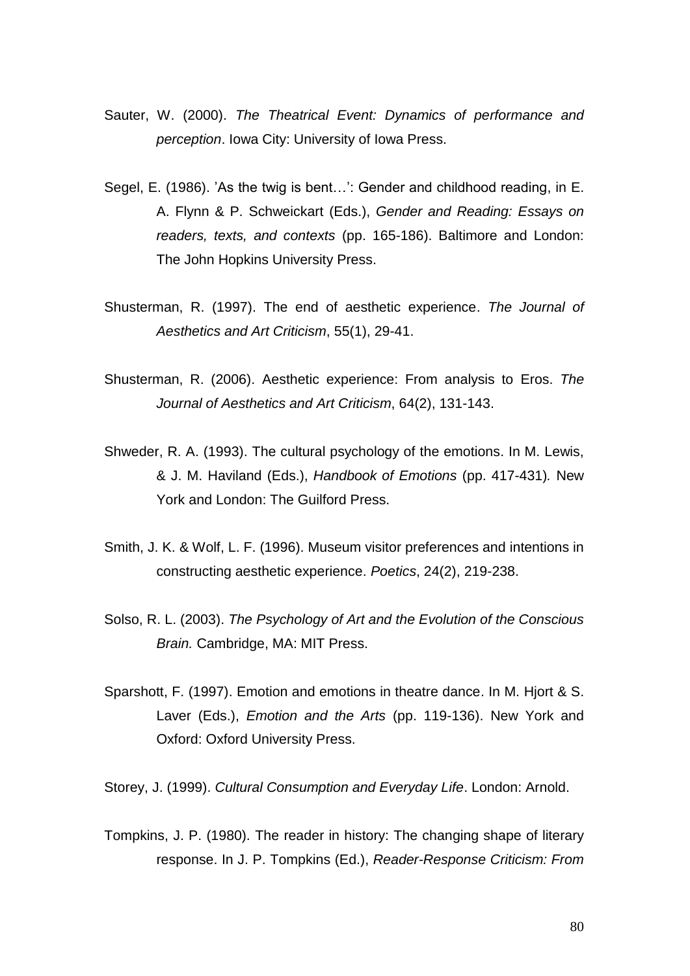- Sauter, W. (2000). *The Theatrical Event: Dynamics of performance and perception*. Iowa City: University of Iowa Press.
- Segel, E. (1986). 'As the twig is bent…': Gender and childhood reading, in E. A. Flynn & P. Schweickart (Eds.), *Gender and Reading: Essays on readers, texts, and contexts* (pp. 165-186). Baltimore and London: The John Hopkins University Press.
- Shusterman, R. (1997). The end of aesthetic experience. *The Journal of Aesthetics and Art Criticism*, 55(1), 29-41.
- Shusterman, R. (2006). Aesthetic experience: From analysis to Eros. *The Journal of Aesthetics and Art Criticism*, 64(2), 131-143.
- Shweder, R. A. (1993). The cultural psychology of the emotions. In M. Lewis, & J. M. Haviland (Eds.), *Handbook of Emotions* (pp. 417-431)*.* New York and London: The Guilford Press.
- Smith, J. K. & Wolf, L. F. (1996). Museum visitor preferences and intentions in constructing aesthetic experience. *Poetics*, 24(2), 219-238.
- Solso, R. L. (2003). *The Psychology of Art and the Evolution of the Conscious Brain.* Cambridge, MA: MIT Press.
- Sparshott, F. (1997). Emotion and emotions in theatre dance. In M. Hjort & S. Laver (Eds.), *Emotion and the Arts* (pp. 119-136). New York and Oxford: Oxford University Press.

Storey, J. (1999). *Cultural Consumption and Everyday Life*. London: Arnold.

Tompkins, J. P. (1980). The reader in history: The changing shape of literary response. In J. P. Tompkins (Ed.), *Reader-Response Criticism: From*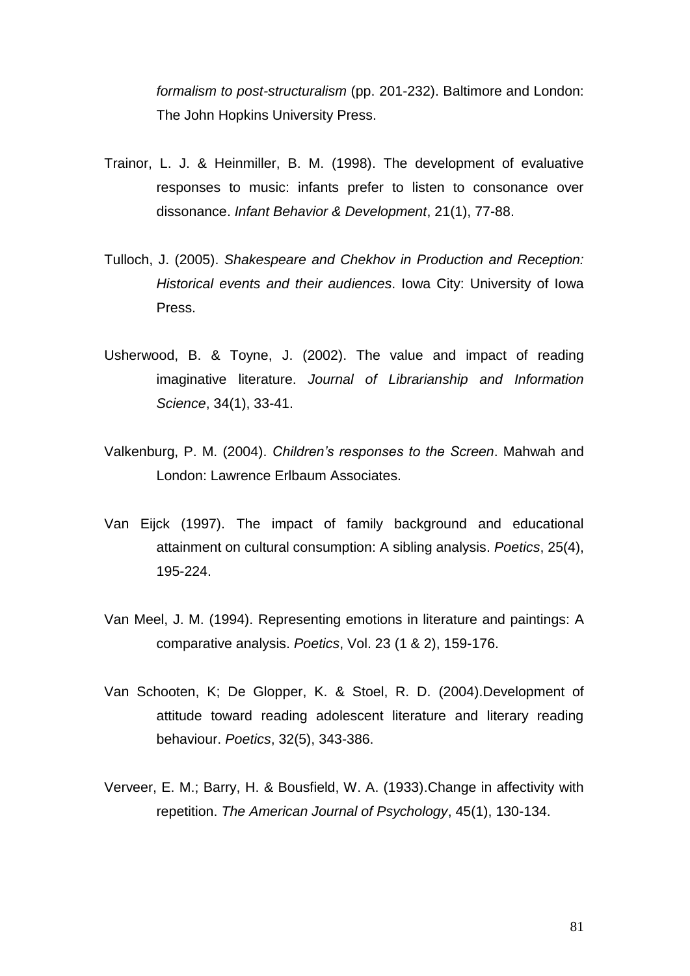*formalism to post-structuralism* (pp. 201-232). Baltimore and London: The John Hopkins University Press.

- Trainor, L. J. & Heinmiller, B. M. (1998). The development of evaluative responses to music: infants prefer to listen to consonance over dissonance. *Infant Behavior & Development*, 21(1), 77-88.
- Tulloch, J. (2005). *Shakespeare and Chekhov in Production and Reception: Historical events and their audiences*. Iowa City: University of Iowa Press.
- Usherwood, B. & Toyne, J. (2002). The value and impact of reading imaginative literature. *Journal of Librarianship and Information Science*, 34(1), 33-41.
- Valkenburg, P. M. (2004). *Children's responses to the Screen*. Mahwah and London: Lawrence Erlbaum Associates.
- Van Eijck (1997). The impact of family background and educational attainment on cultural consumption: A sibling analysis. *Poetics*, 25(4), 195-224.
- Van Meel, J. M. (1994). Representing emotions in literature and paintings: A comparative analysis. *Poetics*, Vol. 23 (1 & 2), 159-176.
- Van Schooten, K; De Glopper, K. & Stoel, R. D. (2004).Development of attitude toward reading adolescent literature and literary reading behaviour. *Poetics*, 32(5), 343-386.
- Verveer, E. M.; Barry, H. & Bousfield, W. A. (1933).Change in affectivity with repetition. *The American Journal of Psychology*, 45(1), 130-134.